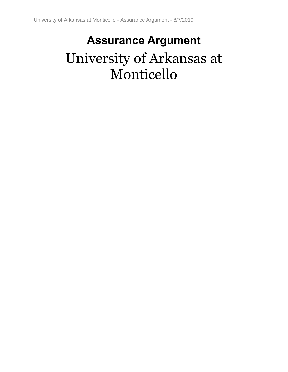# **Assurance Argument** University of Arkansas at Monticello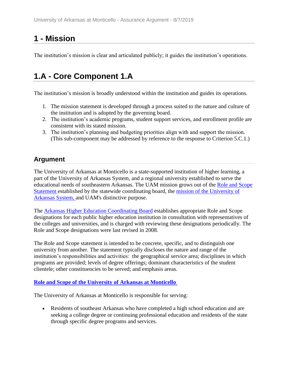# **1 - Mission**

The institution's mission is clear and articulated publicly; it guides the institution's operations.

# **1.A - Core Component 1.A**

The institution's mission is broadly understood within the institution and guides its operations.

- 1. The mission statement is developed through a process suited to the nature and culture of the institution and is adopted by the governing board.
- 2. The institution's academic programs, student support services, and enrollment profile are consistent with its stated mission.
- 3. The institution's planning and budgeting priorities align with and support the mission. (This sub-component may be addressed by reference to the response to Criterion 5.C.1.)

# **Argument**

The University of Arkansas at Monticello is a state-supported institution of higher learning, a part of the University of Arkansas System, and a regional university established to serve the educational needs of southeastern Arkansas. The UAM mission grows out of the Role and Scope Statement established by the statewide coordinating board, the mission of the University of Arkansas System, and UAM's distinctive purpose.

The Arkansas Higher Education Coordinating Board establishes appropriate Role and Scope designations for each public higher education institution in consultation with representatives of the colleges and universities, and is charged with reviewing these designations periodically. The Role and Scope designations were last revised in 2008.

The Role and Scope statement is intended to be concrete, specific, and to distinguish one university from another. The statement typically discloses the nature and range of the institution's responsibilities and activities: the geographical service area; disciplines in which programs are provided; levels of degree offerings; dominant characteristics of the student clientele; other constituencies to be served; and emphasis areas.

### **Role and Scope of the University of Arkansas at Monticello**

The University of Arkansas at Monticello is responsible for serving:

 Residents of southeast Arkansas who have completed a high school education and are seeking a college degree or continuing professional education and residents of the state through specific degree programs and services.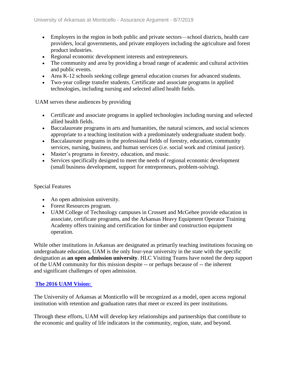- Employers in the region in both public and private sectors—school districts, health care providers, local governments, and private employers including the agriculture and forest product industries.
- Regional economic development interests and entrepreneurs.
- The community and area by providing a broad range of academic and cultural activities and public events.
- Area K-12 schools seeking college general education courses for advanced students.
- Two-year college transfer students. Certificate and associate programs in applied technologies, including nursing and selected allied health fields.

UAM serves these audiences by providing

- Certificate and associate programs in applied technologies including nursing and selected allied health fields.
- Baccalaureate programs in arts and humanities, the natural sciences, and social sciences appropriate to a teaching institution with a predominately undergraduate student body.
- Baccalaureate programs in the professional fields of forestry, education, community services, nursing, business, and human services (i.e. social work and criminal justice).
- Master's programs in forestry, education, and music.
- Services specifically designed to meet the needs of regional economic development (small business development, support for entrepreneurs, problem-solving).

#### Special Features

- An open admission university.
- Forest Resources program.
- UAM College of Technology campuses in Crossett and McGehee provide education in associate, certificate programs, and the Arkansas Heavy Equipment Operator Training Academy offers training and certification for timber and construction equipment operation.

While other institutions in Arkansas are designated as primarily teaching institutions focusing on undergraduate education, UAM is the only four-year university in the state with the specific designation as **an open admission university**. HLC Visiting Teams have noted the deep support of the UAM community for this mission despite -- or perhaps because of -- the inherent and significant challenges of open admission.

### **The 2016 UAM Vision:**

The University of Arkansas at Monticello will be recognized as a model, open access regional institution with retention and graduation rates that meet or exceed its peer institutions.

Through these efforts, UAM will develop key relationships and partnerships that contribute to the economic and quality of life indicators in the community, region, state, and beyond.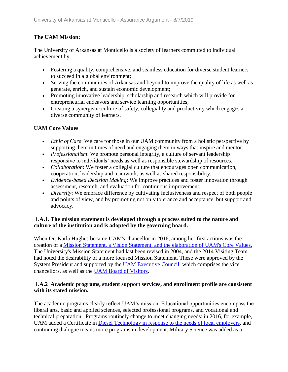### **The UAM Mission:**

The University of Arkansas at Monticello is a society of learners committed to individual achievement by:

- Fostering a quality, comprehensive, and seamless education for diverse student learners to succeed in a global environment;
- Serving the communities of Arkansas and beyond to improve the quality of life as well as generate, enrich, and sustain economic development;
- Promoting innovative leadership, scholarship and research which will provide for entrepreneurial endeavors and service learning opportunities;
- Creating a synergistic culture of safety, collegiality and productivity which engages a diverse community of learners.

### **UAM Core Values**

- *Ethic of Care*: We care for those in our UAM community from a holistic perspective by supporting them in times of need and engaging them in ways that inspire and mentor.
- *Professionalism*: We promote personal integrity, a culture of servant leadership responsive to individuals' needs as well as responsible stewardship of resources.
- *Collaboration*: We foster a collegial culture that encourages open communication, cooperation, leadership and teamwork, as well as shared responsibility.
- *Evidence-based Decision Making*: We improve practices and foster innovation through assessment, research, and evaluation for continuous improvement.
- *Diversity*: We embrace difference by cultivating inclusiveness and respect of both people and points of view, and by promoting not only tolerance and acceptance, but support and advocacy.

### **1.A.1. The mission statement is developed through a process suited to the nature and culture of the institution and is adopted by the governing board.**

When Dr. Karla Hughes became UAM's chancellor in 2016, among her first actions was the creation of a Mission Statement, a Vision Statement, and the elaboration of UAM's Core Values. [Th](../../evidence/viewfile?fileId=634429)e University's Mission Statement had last been revised in 2004, and the 2014 Visiting Team had noted the desirability of a more focused Mission Statement. These were approved by the System President and supported by the UAM Executive Council, which comprises the vice chancellors, as well as the UAM Board of Visitors.

### **1.A.2 Academic programs, student support services, and enrollment profile are consistent with its stated mission.**

The academic programs clearly reflect UAM's mission. Educational opportunities encompass the liberal arts, basic and applied sciences, selected professional programs, and vocational and technical preparation. Programs routinely change to meet changing needs: in 2016, for example, UAM added a Certificate in Diesel Technology in response to the needs of local employers, and continuing dialogue means more programs in development. Military Science was added as a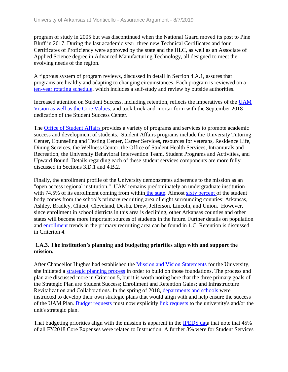program of study in 2005 but was discontinued when the National Guard moved its post to Pine Bluff in 2017. During the last academic year, three new Technical Certificates and four Certificates of Proficiency were approved by the state and the HLC, as well as an Associate of Applied Science degree in Advanced Manufacturing Technology, all designed to meet the evolving needs of the region.

A rigorous system of program reviews, discussed in detail in Section 4.A.1, assures that programs are healthy and adapting to changing circumstances. Each program is reviewed on a ten-year rotating schedule, which includes a self-study and review by outside authorities.

Increased attention on Student Success, including retention, reflects the imperatives of the UAM Vision as well as the Core Values, and took brick-and-mortar form with the September 2018 dedication of the Student Success Center.

The Office of Student Affairs provides a variety of programs and services to promote academic success and development of students. Student Affairs programs include the University Tutoring Center, Counseling and Testing Center, Career Services, resources for veterans, Residence Life, Dining Services, the Wellness Center, the Office of Student Health Services, Intramurals and Recreation, the University Behavioral Intervention Team, Student Programs and Activities, and Upward Bound. Details regarding each of these student services components are more fully discussed in Sections 3.D.1 and 4.B.2.

Finally, the enrollment profile of the University demonstrates adherence to the mission as an "open access regional institution." UAM remains predominately an undergraduate institution with 74.5% of its enrollment coming from within the state. Almost sixty percent of the student body comes from the school's primary recruiting area of eight surrounding counties: Arkansas, Ashley, Bradley, Chicot, Cleveland, Desha, Drew, Jefferson, Lincoln, and Union. However, since enrollment in school districts in this area is declining, other Arkansas counties and other states will become more important sources of students in the future. Further details on population and enrollment trends in the primary recruiting area can be found in 1.C. Retention is discussed in Criterion 4.

#### **1.A.3. The institution's planning and budgeting priorities align with and support the mission.**

After Chancellor Hughes had established the Mission and Vision Statement[s](../../evidence/viewfile?fileid=602573) for the University, she initiated a strategic planning process in order to build on those foundations. The process and plan are discussed more in Criterion 5, but it is worth noting here that the three primary goals of the Strategic Plan are Student Success; Enrollment and Retention Gains; and Infrastructure Revitalization and Collaborations. In the spring of 2018, departments and schools were instructed to develop their own strategic plans that would align with and help ensure the success of the UAM Plan. Budget requests must now explicitly link requests to the university's and/or the unit's strategic plan.

That budgeting priorities align with the mission is apparent in the **IPEDS** data that note that 45% of all FY2018 Core Expenses were related to Instruction. A further 8% were for Student Services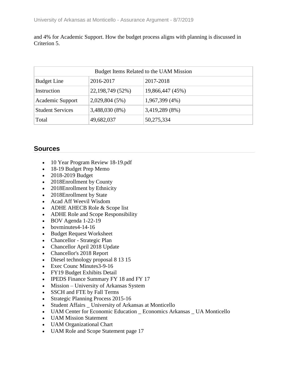and 4% for Academic Support. How the budget process aligns with planning is discussed in Criterion 5.

| Budget Items Related to the UAM Mission |                  |                  |  |  |  |
|-----------------------------------------|------------------|------------------|--|--|--|
| <b>Budget Line</b>                      | 2016-2017        | 2017-2018        |  |  |  |
| Instruction                             | 22,198,749 (52%) | 19,866,447 (45%) |  |  |  |
| Academic Support                        | 2,029,804 (5%)   | 1,967,399 (4%)   |  |  |  |
| <b>Student Services</b>                 | 3,488,030 (8%)   | 3,419,289 (8%)   |  |  |  |
| Total                                   | 49,682,037       | 50,275,334       |  |  |  |

- 10 Year Program Review 18-19.pdf
- 18-19 Budget Prep Memo
- 2018-2019 Budget
- 2018Enrollment by County
- 2018Enrollment by Ethnicity
- 2018Enrollment by State
- Acad Aff Weevil Wisdom
- ADHE AHECB Role & Scope list
- ADHE Role and Scope Responsibility
- $\bullet$  BOV Agenda 1-22-19
- $\bullet$  bovminutes 4-14-16
- Budget Request Worksheet
- Chancellor Strategic Plan
- Chancellor April 2018 Update
- Chancellor's 2018 Report
- Diesel technology proposal 8 13 15
- Exec Counc Minutes 3-9-16
- FY19 Budget Exhibits Detail
- IPEDS Finance Summary FY 18 and FY 17
- Mission University of Arkansas System
- SSCH and FTE by Fall Terms
- Strategic Planning Process 2015-16
- Student Affairs \_ University of Arkansas at Monticello
- UAM Center for Economic Education \_ Economics Arkansas \_ UA Monticello
- UAM Mission Statement
- UAM Organizational Chart
- UAM Role and Scope Statement page 17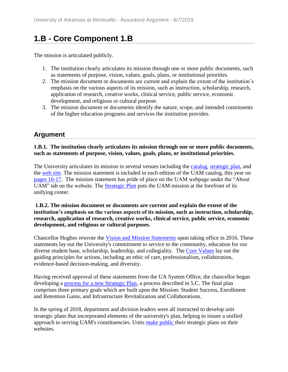# **1.B - Core Component 1.B**

The mission is articulated publicly.

- 1. The institution clearly articulates its mission through one or more public documents, such as statements of purpose, vision, values, goals, plans, or institutional priorities.
- 2. The mission document or documents are current and explain the extent of the institution's emphasis on the various aspects of its mission, such as instruction, scholarship, research, application of research, creative works, clinical service, public service, economic development, and religious or cultural purpose.
- 3. The mission document or documents identify the nature, scope, and intended constituents of the higher education programs and services the institution provides.

### **Argument**

#### **1.B.1. The institution clearly articulates its mission through one or more public documents, such as statements of purpose, vision, values, goals, plans, or institutional priorities.**

The University articulates its mission in several venues including the catalog, strategic plan, and the web site. The mission statement is included in each edition of the UAM catalog, this year on pages 16-17. The mission statement has pride of place on the UAM webpage under the "About UAM" tab on the website. The Strategic Plan puts the UAM mission at the forefront of its unifying center.

#### **1.B.2. The mission document or documents are current and explain the extent of the institution's emphasis on the various aspects of its mission, such as instruction, scholarship, research, application of research, creative works, clinical service, public service, economic development, and religious or cultural purposes.**

Chancellor Hughes rewrote the Vision and Mission Statements upon taking office in 2016. These statements lay out the University's commitment to service to the community, education for our diverse student base, scholarship, leadership, and collegiality. The Core Values lay out the guiding principles for actions, including an ethic of care, professionalism, collaboration, evidence-based decision-making, and diversity.

Having received approval of these statements from the UA System Office, the chancellor began developing a process for a new Strategic Plan, a process described in 5.C. The final plan comprises three primary goals which are built upon the Mission: Student Success, Enrollment and Retention Gains, and Infrastructure Revitalization and Collaborations.

In the spring of 2018, department and division leaders were all instructed to develop unit strategic plans that incorporated elements of the university's plan, helping to insure a unified approach to serving UAM's constituencies. Units make public their strategic plans on their websites.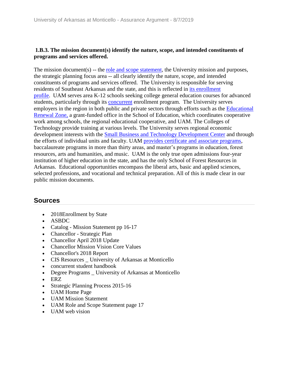### **1.B.3. The mission document(s) identify the nature, scope, and intended constituents of programs and services offered.**

The mission document(s) -- the <u>role and scope statement</u>, the University mission and purposes, the strategic planning focus area -- all clearly identify the nature, scope, and intended constituents of programs and services offered. The University is responsible for serving residents of Southeast Arkansas and the state, and this is reflected in its enrollment profile. UAM serves area K-12 schools seeking college general education courses for advanced students, particularly through its **concurrent** enrollment program. The University serves employers in the region in both public and private sectors through efforts such as the Educational Renewal Zone, a grant-funded office in the School of Education, which coordinates cooperative work among schools, the regional educational cooperative, and UAM. The Colleges of Technology provide training at various levels. The University serves regional economic development interests with the Small Business and Technology Development Center and through the efforts of individual units and faculty. UAM provides certificate and associate programs, baccalaureate programs in more than thirty areas, and master's programs in education, forest resources, arts and humanities, and music. UAM is the only true open admissions four-year institution of higher education in the state, and has the only School of Forest Resources in Arkansas. Educational opportunities encompass the liberal arts, basic and applied sciences, selected professions, and vocational and technical preparation. All of this is made clear in our public mission documents.

- 2018Enrollment by State
- ASBDC
- Catalog Mission Statement pp 16-17
- Chancellor Strategic Plan
- Chancellor April 2018 Update
- Chancellor Mission Vision Core Values
- Chancellor's 2018 Report
- CIS Resources \_ University of Arkansas at Monticello
- concurrent student handbook
- Degree Programs University of Arkansas at Monticello
- ERZ
- Strategic Planning Process 2015-16
- UAM Home Page
- UAM Mission Statement
- UAM Role and Scope Statement page 17
- UAM web vision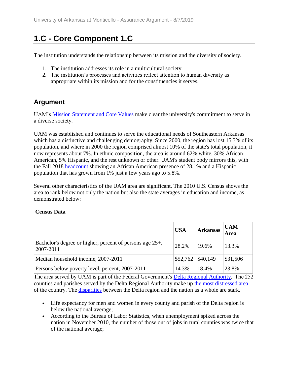# **1.C - Core Component 1.C**

The institution understands the relationship between its mission and the diversity of society.

- 1. The institution addresses its role in a multicultural society.
- 2. The institution's processes and activities reflect attention to human diversity as appropriate within its mission and for the constituencies it serves.

### **Argument**

UAM's Mission Statement and Core Values make clear the university's commitment to serve in a diverse society.

UAM was established and continues to serve the educational needs of Southeastern Arkansas which has a distinctive and challenging demography. Since 2000, the region has lost 15.3% of its population, and where in 2000 the region comprised almost 10% of the state's total population, it now represents about 7%. In ethnic composition, the area is around 62% white, 30% African American, 5% Hispanic, and the rest unknown or other. UAM's student body mirrors this, with the Fall 2018 headcount showing an African American presence of 28.1% and a Hispanic population that has grown from 1% just a few years ago to 5.8%.

Several other characteristics of the UAM area are significant. The 2010 U.S. Census shows the area to rank below not only the nation but also the state averages in education and income, as demonstrated below:

### **Census Data**

|                                                                             | <b>USA</b>          | <b>Arkansas</b> | <b>UAM</b><br>Area |
|-----------------------------------------------------------------------------|---------------------|-----------------|--------------------|
| Bachelor's degree or higher, percent of persons age 25+,<br>$ 2007 - 2011 $ | 28.2%               | 19.6%           | 13.3%              |
| Median household income, 2007-2011                                          | $$52,762$ $$40,149$ |                 | \$31,506           |
| Persons below poverty level, percent, 2007-2011                             | 14.3%               | 18.4%           | 23.8%              |

The area served by UAM is part of the Federal Government's Delta Regional Authority.  The 252 counties and parishes served by the Delta Regional Authority make up the most distressed area of the country. The disparities between the Delta region and the nation as a whole are stark.

- Life expectancy for men and women in every county and parish of the Delta region is below the national average;
- According to the Bureau of Labor Statistics, when unemployment spiked across the nation in November 2010, the number of those out of jobs in rural counties was twice that of the national average;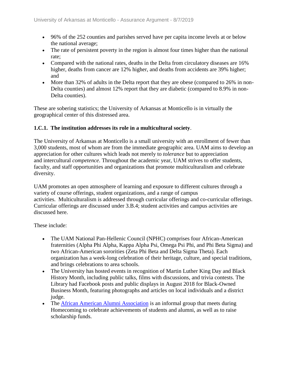- 96% of the 252 counties and parishes served have per capita income levels at or below the national average;
- The rate of persistent poverty in the region is almost four times higher than the national rate;
- Compared with the national rates, deaths in the Delta from circulatory diseases are 16% higher, deaths from cancer are 12% higher, and deaths from accidents are 39% higher; and
- More than 32% of adults in the Delta report that they are obese (compared to 26% in non-Delta counties) and almost 12% report that they are diabetic (compared to 8.9% in non-Delta counties).

These are sobering statistics; the University of Arkansas at Monticello is in virtually the geographical center of this distressed area.

### **1.C.1. The institution addresses its role in a multicultural society**.

The University of Arkansas at Monticello is a small university with an enrollment of fewer than 3,000 students, most of whom are from the immediate geographic area. UAM aims to develop an appreciation for other cultures which leads not merely to *tolerance* but to appreciation and intercultural *competence*. Throughout the academic year, UAM strives to offer students, faculty, and staff opportunities and organizations that promote multiculturalism and celebrate diversity.

UAM promotes an open atmosphere of learning and exposure to different cultures through a variety of course offerings, student organizations, and a range of campus activities. Multiculturalism is addressed through curricular offerings and co-curricular offerings. Curricular offerings are discussed under 3.B.4; student activities and campus activities are discussed here.

These include:

- The UAM National Pan-Hellenic Council (NPHC) comprises four African-American fraternities (Alpha Phi Alpha, Kappa Alpha Psi, Omega Psi Phi, and Phi Beta Sigma) and two African-American sororities (Zeta Phi Beta and Delta Sigma Theta). Each organization has a week-long celebration of their heritage, culture, and special traditions, and brings celebrations to area schools.
- The University has hosted events in recognition of Martin Luther King Day and Black History Month, including public talks, films with discussions, and trivia contests. The Library had Facebook posts and public displays in August 2018 for Black-Owned Business Month, featuring photographs and articles on local individuals and a district judge.
- The African American Alumni Association is an informal group that meets during Homecoming to celebrate achievements of students and alumni, as well as to raise scholarship funds.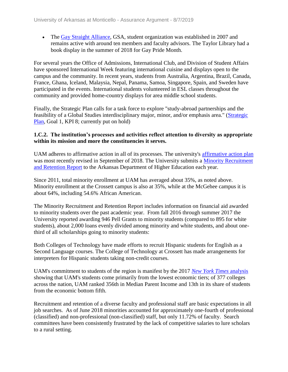• The Gay Straight Alliance, GSA, student organization was established in 2007 and remains active with around ten members and faculty advisors. The Taylor Library had a book display in the summer of 2018 for Gay Pride Month.

For several years the Office of Admissions, International Club, and Division of Student Affairs have sponsored International Week featuring international cuisine and displays open to the campus and the community. In recent years, students from Australia, Argentina, Brazil, Canada, France, Ghana, Iceland, Malaysia, Nepal, Panama, Samoa, Singapore, Spain, and Sweden have participated in the events. International students volunteered in ESL classes throughout the community and provided home-country displays for area middle school students.

Finally, the Strategic Plan calls for a task force to explore "study-abroad partnerships and the feasibility of a Global Studies interdisciplinary major, minor, and/or emphasis area." (Strategic Plan, Goal 1, KPI 8; currently put on hold)

#### **1.C.2. The institution's processes and activities reflect attention to diversity as appropriate within its mission and more the constituencies it serves.**

UAM adheres to affirmative action in all of its processes. The university's affirmative action plan was most recently revised in September of 2018. The University submits a Minority Recruitment and Retention Report to the Arkansas Department of Higher Education each year.

Since 2011, total minority enrollment at UAM has averaged about 35%, as noted above. Minority enrollment at the Crossett campus is also at 35%, while at the McGehee campus it is about 64%, including 54.6% African American.

The Minority Recruitment and Retention Report includes information on financial aid awarded to minority students over the past academic year. From fall 2016 through summer 2017 the University reported awarding 946 Pell Grants to minority students (compared to 895 for white students), about 2,000 loans evenly divided among minority and white students, and about onethird of all scholarships going to minority students:

Both Colleges of Technology have made efforts to recruit Hispanic students for English as a Second Language courses. The College of Technology at Crossett has made arrangements for interpreters for Hispanic students taking non-credit courses.

UAM's commitment to students of the region is manifest by the 2017 *New York Times* analysis showing that UAM's students come primarily from the lowest economic tiers; of 377 colleges across the nation, UAM ranked 356th in Median Parent Income and 13th in its share of students from the economic bottom fifth.

Recruitment and retention of a diverse faculty and professional staff are basic expectations in all job searches. As of June 2018 minorities accounted for approximately one-fourth of professional (classified) and non-professional (non-classified) staff, but only 11.72% of faculty. Search committees have been consistently frustrated by the lack of competitive salaries to lure scholars to a rural setting.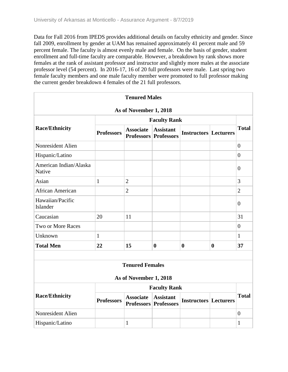Data for Fall 2016 from IPEDS provides additional details on faculty ethnicity and gender. Since fall 2009, enrollment by gender at UAM has remained approximately 41 percent male and 59 percent female. The faculty is almost evenly male and female. On the basis of gender, student enrollment and full-time faculty are comparable. However, a breakdown by rank shows more females at the rank of assistant professor and instructor and slightly more males at the associate professor level (54 percent). In 2016-17, 16 of 20 full professors were male. Last spring two female faculty members and one male faculty member were promoted to full professor making the current gender breakdown 4 females of the 21 full professors.

|                                  |                     | <b>Tenured Males</b>   |                                                  |                              |          |                |
|----------------------------------|---------------------|------------------------|--------------------------------------------------|------------------------------|----------|----------------|
|                                  |                     | As of November 1, 2018 |                                                  |                              |          |                |
|                                  |                     |                        | <b>Faculty Rank</b>                              |                              |          | <b>Total</b>   |
| <b>Race/Ethnicity</b>            | <b>Professors</b>   | <b>Associate</b>       | <b>Assistant</b><br><b>Professors Professors</b> | <b>Instructors Lecturers</b> |          |                |
| Nonresident Alien                |                     |                        |                                                  |                              |          | $\overline{0}$ |
| Hispanic/Latino                  |                     |                        |                                                  |                              |          | $\overline{0}$ |
| American Indian/Alaska<br>Native |                     |                        |                                                  |                              |          | $\overline{0}$ |
| Asian                            | $\mathbf{1}$        | $\overline{2}$         |                                                  |                              |          | 3              |
| African American                 |                     | $\overline{2}$         |                                                  |                              |          | $\overline{2}$ |
| Hawaiian/Pacific<br>Islander     |                     |                        |                                                  |                              |          | $\overline{0}$ |
| Caucasian                        | 20                  | 11                     |                                                  |                              |          | 31             |
| Two or More Races                |                     |                        |                                                  |                              |          | $\overline{0}$ |
| Unknown                          | $\mathbf{1}$        |                        |                                                  |                              |          | $\mathbf{1}$   |
| <b>Total Men</b>                 | 22                  | 15                     | $\boldsymbol{0}$                                 | $\boldsymbol{0}$             | $\bf{0}$ | 37             |
|                                  |                     |                        |                                                  |                              |          |                |
|                                  |                     | <b>Tenured Females</b> |                                                  |                              |          |                |
|                                  |                     | As of November 1, 2018 |                                                  |                              |          |                |
|                                  | <b>Faculty Rank</b> |                        |                                                  |                              |          |                |
| <b>Race/Ethnicity</b>            | <b>Professors</b>   | <b>Associate</b>       | <b>Assistant</b><br><b>Professors Professors</b> | <b>Instructors Lecturers</b> |          | <b>Total</b>   |
| Nonresident Alien                |                     |                        |                                                  |                              |          | $\overline{0}$ |
| Hispanic/Latino                  |                     | $\mathbf{1}$           |                                                  |                              |          | 1              |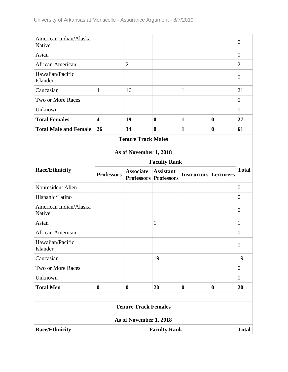| American Indian/Alaska<br>Native |                         |                             |                                                  |                              |                  | $\overline{0}$   |
|----------------------------------|-------------------------|-----------------------------|--------------------------------------------------|------------------------------|------------------|------------------|
| Asian                            |                         |                             |                                                  |                              |                  | $\boldsymbol{0}$ |
| African American                 |                         | $\overline{2}$              |                                                  |                              |                  | $\overline{2}$   |
| Hawaiian/Pacific<br>Islander     |                         |                             |                                                  |                              |                  | $\boldsymbol{0}$ |
| Caucasian                        | $\overline{4}$          | 16                          |                                                  | $\mathbf{1}$                 |                  | 21               |
| Two or More Races                |                         |                             |                                                  |                              |                  | $\overline{0}$   |
| Unknown                          |                         |                             |                                                  |                              |                  | $\overline{0}$   |
| <b>Total Females</b>             | $\overline{\mathbf{4}}$ | 19                          | $\boldsymbol{0}$                                 | $\mathbf{1}$                 | $\boldsymbol{0}$ | 27               |
| <b>Total Male and Female</b>     | 26                      | 34                          | $\boldsymbol{0}$                                 | $\mathbf{1}$                 | $\boldsymbol{0}$ | 61               |
|                                  |                         | <b>Tenure Track Males</b>   |                                                  |                              |                  |                  |
|                                  |                         | As of November 1, 2018      |                                                  |                              |                  |                  |
|                                  |                         |                             | <b>Faculty Rank</b>                              |                              |                  |                  |
| <b>Race/Ethnicity</b>            | <b>Professors</b>       | <b>Associate</b>            | <b>Assistant</b><br><b>Professors Professors</b> | <b>Instructors Lecturers</b> |                  | <b>Total</b>     |
| Nonresident Alien                |                         |                             |                                                  |                              |                  | $\overline{0}$   |
| Hispanic/Latino                  |                         |                             |                                                  |                              |                  | $\overline{0}$   |
| American Indian/Alaska<br>Native |                         |                             |                                                  |                              |                  | $\theta$         |
| Asian                            |                         |                             | $\mathbf{1}$                                     |                              |                  | $\mathbf{1}$     |
| African American                 |                         |                             |                                                  |                              |                  | $\theta$         |
| Hawaiian/Pacific<br>Islander     |                         |                             |                                                  |                              |                  | $\boldsymbol{0}$ |
| Caucasian                        |                         |                             | 19                                               |                              |                  | 19               |
| Two or More Races                |                         |                             |                                                  |                              |                  | $\overline{0}$   |
| Unknown                          |                         |                             |                                                  |                              |                  | $\overline{0}$   |
| <b>Total Men</b>                 | $\boldsymbol{0}$        | $\boldsymbol{0}$            | 20                                               | $\bf{0}$                     | $\boldsymbol{0}$ | 20               |
|                                  |                         |                             |                                                  |                              |                  |                  |
|                                  |                         | <b>Tenure Track Females</b> |                                                  |                              |                  |                  |
|                                  |                         | As of November 1, 2018      |                                                  |                              |                  |                  |
| <b>Race/Ethnicity</b>            | <b>Faculty Rank</b>     |                             |                                                  |                              |                  | <b>Total</b>     |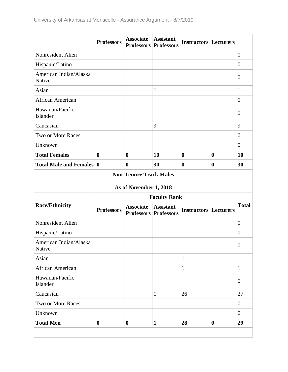|                                  | <b>Professors</b> | <b>Associate</b> | <b>Assistant</b><br><b>Professors Professors</b> | <b>Instructors Lecturers</b> |                  |                |
|----------------------------------|-------------------|------------------|--------------------------------------------------|------------------------------|------------------|----------------|
| Nonresident Alien                |                   |                  |                                                  |                              |                  | $\theta$       |
| Hispanic/Latino                  |                   |                  |                                                  |                              |                  | $\overline{0}$ |
| American Indian/Alaska<br>Native |                   |                  |                                                  |                              |                  | $\overline{0}$ |
| Asian                            |                   |                  | $\mathbf{1}$                                     |                              |                  | $\mathbf{1}$   |
| African American                 |                   |                  |                                                  |                              |                  | $\overline{0}$ |
| Hawaiian/Pacific<br>Islander     |                   |                  |                                                  |                              |                  | $\overline{0}$ |
| Caucasian                        |                   |                  | 9                                                |                              |                  | 9              |
| Two or More Races                |                   |                  |                                                  |                              |                  | $\theta$       |
| Unknown                          |                   |                  |                                                  |                              |                  | $\overline{0}$ |
| <b>Total Females</b>             | $\boldsymbol{0}$  | $\bf{0}$         | 10                                               | $\bf{0}$                     | $\boldsymbol{0}$ | 10             |
| <b>Total Male and Females 0</b>  |                   | 0                | 30                                               | $\bf{0}$                     | $\bf{0}$         | 30             |

### **Non-Tenure Track Males**

### **As of November 1, 2018**

| <b>Race/Ethnicity</b>            | <b>Faculty Rank</b> |                  |                                                  |                              |                  |                |
|----------------------------------|---------------------|------------------|--------------------------------------------------|------------------------------|------------------|----------------|
|                                  | <b>Professors</b>   | <b>Associate</b> | <b>Assistant</b><br><b>Professors Professors</b> | <b>Instructors Lecturers</b> |                  | <b>Total</b>   |
| Nonresident Alien                |                     |                  |                                                  |                              |                  | $\overline{0}$ |
| Hispanic/Latino                  |                     |                  |                                                  |                              |                  | $\theta$       |
| American Indian/Alaska<br>Native |                     |                  |                                                  |                              |                  | $\overline{0}$ |
| Asian                            |                     |                  |                                                  | $\mathbf{1}$                 |                  | 1              |
| African American                 |                     |                  |                                                  | $\mathbf{1}$                 |                  | 1              |
| Hawaiian/Pacific<br>Islander     |                     |                  |                                                  |                              |                  | $\overline{0}$ |
| Caucasian                        |                     |                  | $\mathbf{1}$                                     | 26                           |                  | 27             |
| Two or More Races                |                     |                  |                                                  |                              |                  | $\theta$       |
| Unknown                          |                     |                  |                                                  |                              |                  | $\overline{0}$ |
| <b>Total Men</b>                 | $\bf{0}$            | $\bf{0}$         | $\mathbf{1}$                                     | 28                           | $\boldsymbol{0}$ | 29             |
|                                  |                     |                  |                                                  |                              |                  |                |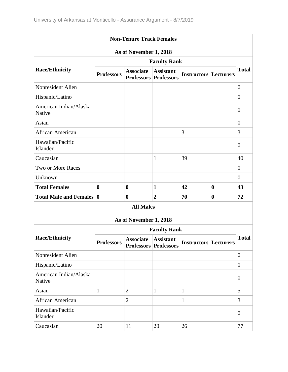| <b>Non-Tenure Track Females</b>  |                     |                        |                                                  |                              |                  |                  |  |
|----------------------------------|---------------------|------------------------|--------------------------------------------------|------------------------------|------------------|------------------|--|
| As of November 1, 2018           |                     |                        |                                                  |                              |                  |                  |  |
|                                  | <b>Faculty Rank</b> |                        |                                                  |                              |                  |                  |  |
| <b>Race/Ethnicity</b>            | <b>Professors</b>   | <b>Associate</b>       | <b>Assistant</b><br><b>Professors Professors</b> | <b>Instructors Lecturers</b> |                  | <b>Total</b>     |  |
| Nonresident Alien                |                     |                        |                                                  |                              |                  | $\overline{0}$   |  |
| Hispanic/Latino                  |                     |                        |                                                  |                              |                  | $\overline{0}$   |  |
| American Indian/Alaska<br>Native |                     |                        |                                                  |                              |                  | $\boldsymbol{0}$ |  |
| Asian                            |                     |                        |                                                  |                              |                  | $\overline{0}$   |  |
| African American                 |                     |                        |                                                  | 3                            |                  | 3                |  |
| Hawaiian/Pacific<br>Islander     |                     |                        |                                                  |                              |                  | $\boldsymbol{0}$ |  |
| Caucasian                        |                     |                        | $\mathbf{1}$                                     | 39                           |                  | 40               |  |
| Two or More Races                |                     |                        |                                                  |                              |                  | $\overline{0}$   |  |
| Unknown                          |                     |                        |                                                  |                              |                  | $\overline{0}$   |  |
| <b>Total Females</b>             | $\bf{0}$            | $\bf{0}$               | $\mathbf{1}$                                     | 42                           | $\boldsymbol{0}$ | 43               |  |
| Total Male and Females 0         |                     | $\boldsymbol{0}$       | $\overline{2}$                                   | 70                           | $\bf{0}$         | 72               |  |
|                                  |                     | <b>All Males</b>       |                                                  |                              |                  |                  |  |
|                                  |                     | As of November 1, 2018 |                                                  |                              |                  |                  |  |
|                                  |                     |                        | <b>Faculty Rank</b>                              |                              |                  |                  |  |
| <b>Race/Ethnicity</b>            | <b>Professors</b>   | <b>Associate</b>       | <b>Assistant</b><br><b>Professors Professors</b> | <b>Instructors Lecturers</b> |                  | <b>Total</b>     |  |
| Nonresident Alien                |                     |                        |                                                  |                              |                  | $\overline{0}$   |  |
| Hispanic/Latino                  |                     |                        |                                                  |                              |                  | $\overline{0}$   |  |
| American Indian/Alaska<br>Native |                     |                        |                                                  |                              |                  | $\boldsymbol{0}$ |  |
| Asian                            | $\mathbf{1}$        | $\overline{2}$         | $\mathbf{1}$                                     | $\mathbf{1}$                 |                  | 5                |  |
| African American                 |                     | $\overline{2}$         |                                                  | $\mathbf{1}$                 |                  | $\overline{3}$   |  |
| Hawaiian/Pacific<br>Islander     |                     |                        |                                                  |                              |                  | $\overline{0}$   |  |
| Caucasian                        | 20                  | 11                     | 20                                               | 26                           |                  | 77               |  |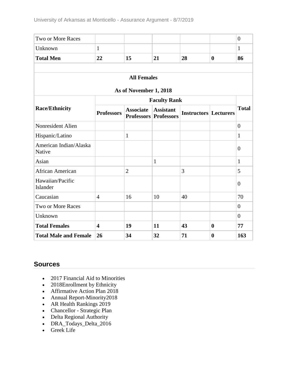| Two or More Races                |                         |                        |                                                  |                              |                  | $\overline{0}$   |
|----------------------------------|-------------------------|------------------------|--------------------------------------------------|------------------------------|------------------|------------------|
| Unknown                          | $\mathbf{1}$            |                        |                                                  |                              |                  | $\mathbf{1}$     |
| <b>Total Men</b>                 | 22                      | 15                     | 21                                               | 28                           | $\bf{0}$         | 86               |
|                                  |                         |                        |                                                  |                              |                  |                  |
|                                  |                         | <b>All Females</b>     |                                                  |                              |                  |                  |
|                                  |                         | As of November 1, 2018 |                                                  |                              |                  |                  |
|                                  |                         |                        | <b>Faculty Rank</b>                              |                              |                  |                  |
| <b>Race/Ethnicity</b>            | <b>Professors</b>       | <b>Associate</b>       | <b>Assistant</b><br><b>Professors Professors</b> | <b>Instructors Lecturers</b> |                  | <b>Total</b>     |
| Nonresident Alien                |                         |                        |                                                  |                              |                  | $\boldsymbol{0}$ |
| Hispanic/Latino                  |                         | $\mathbf{1}$           |                                                  |                              |                  | $\mathbf{1}$     |
| American Indian/Alaska<br>Native |                         |                        |                                                  |                              |                  | $\overline{0}$   |
| Asian                            |                         |                        | $\mathbf{1}$                                     |                              |                  | $\mathbf{1}$     |
| <b>African American</b>          |                         | $\overline{2}$         |                                                  | 3                            |                  | 5                |
| Hawaiian/Pacific<br>Islander     |                         |                        |                                                  |                              |                  | $\overline{0}$   |
| Caucasian                        | $\overline{4}$          | 16                     | 10                                               | 40                           |                  | 70               |
| <b>Two or More Races</b>         |                         |                        |                                                  |                              |                  | $\overline{0}$   |
| Unknown                          |                         |                        |                                                  |                              |                  | $\overline{0}$   |
| <b>Total Females</b>             | $\overline{\mathbf{4}}$ | 19                     | 11                                               | 43                           | $\bf{0}$         | 77               |
| <b>Total Male and Female</b>     | 26                      | 34                     | 32                                               | 71                           | $\boldsymbol{0}$ | 163              |

- 2017 Financial Aid to Minorities
- 2018Enrollment by Ethnicity
- Affirmative Action Plan 2018
- Annual Report-Minority2018
- AR Health Rankings 2019
- Chancellor Strategic Plan
- Delta Regional Authority
- DRA\_Todays\_Delta\_2016
- Greek Life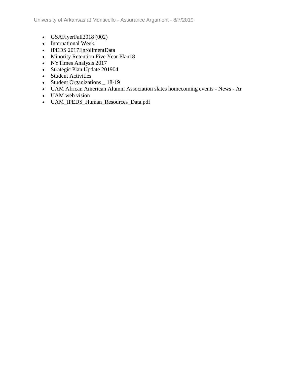- GSAFlyerFall2018 (002)
- International Week
- IPEDS 2017EnrollmentData
- Minority Retention Five Year Plan18
- NYTimes Analysis 2017
- Strategic Plan Update 201904
- Student Activities
- Student Organizations \_ 18-19
- UAM African American Alumni Association slates homecoming events News Ar
- UAM web vision
- UAM\_IPEDS\_Human\_Resources\_Data.pdf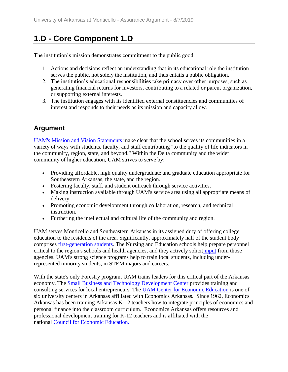# **1.D - Core Component 1.D**

The institution's mission demonstrates commitment to the public good.

- 1. Actions and decisions reflect an understanding that in its educational role the institution serves the public, not solely the institution, and thus entails a public obligation.
- 2. The institution's educational responsibilities take primacy over other purposes, such as generating financial returns for investors, contributing to a related or parent organization, or supporting external interests.
- 3. The institution engages with its identified external constituencies and communities of interest and responds to their needs as its mission and capacity allow.

# **Argument**

UAM's Mission and Vision Statements make clear that the school serves its communities in a variety of ways with students, faculty, and staff contributing "to the quality of life indicators in the community, region, state, and beyond." Within the Delta community and the wider community of higher education, UAM strives to serve by:

- Providing affordable, high quality undergraduate and graduate education appropriate for Southeastern Arkansas, the state, and the region.
- Fostering faculty, staff, and student outreach through service activities.
- Making instruction available through UAM's service area using all appropriate means of delivery.
- Promoting economic development through collaboration, research, and technical instruction.
- Furthering the intellectual and cultural life of the community and region.

UAM serves Monticello and Southeastern Arkansas in its assigned duty of offering college education to the residents of the area. Significantly, approximately half of the student body comprises first-generation students. The Nursing and Education schools help prepare personnel critical to the region's schools and health agencies, and they actively solicit input from those agencies. UAM's strong science programs help to train local students, including underrepresented minority students, in STEM majors and careers.

With the state's only Forestry program, UAM trains leaders for this critical part of the Arkansas economy. The Small Business and Technology Development Center provides training and consulting services for local entrepreneurs. The UAM Center for Economic Education is one of six university centers in Arkansas affiliated with Economics Arkansas. Since 1962, Economics Arkansas has been training Arkansas K-12 teachers how to integrate principles of economics and personal finance into the classroom curriculum. Economics Arkansas offers resources and professional development training for K-12 teachers and is affiliated with the national Council for Economic Education.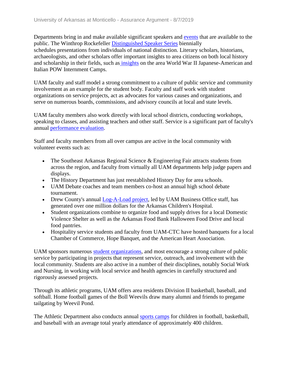Departments bring in and make available significant speakers and events that are available to the public. The Winthrop Rockefeller Distinguished Speaker Series biennially schedules presentations from individuals of national distinction. Literary scholars, historians, archaeologists, and other scholars offer important insights to area citizens on both local history and scholarship in their fields, such as insights on the area World War II Japanese-American and Italian POW Internment Camps.

UAM faculty and staff model a strong commitment to a culture of public service and community involvement as an example for the student body. Faculty and staff work with student organizations on service projects, act as advocates for various causes and organizations, and serve on numerous boards, commissions, and advisory councils at local and state levels.

UAM faculty members also work directly with local school districts, conducting workshops, speaking to classes, and assisting teachers and other staff. Service is a significant part of faculty's annual performance evaluation.

Staff and faculty members from all over campus are active in the local community with volunteer events such as:

- The Southeast Arkansas Regional Science & Engineering Fair attracts students from across the region, and faculty from virtually all UAM departments help judge papers and displays.
- The History Department has just reestablished History Day for area schools.
- UAM Debate coaches and team members co-host an annual high school debate tournament.
- Drew County's annual Log-A-Load project, led by UAM Business Office staff, has generated over one million dollars for the Arkansas Children's Hospital.
- Student organizations combine to organize food and supply drives for a local Domestic Violence Shelter as well as the Arkansas Food Bank Halloween Food Drive and local food pantries.
- Hospitality service students and faculty from UAM-CTC have hosted banquets for a local Chamber of Commerce, Hope Banquet, and the American Heart Association.

UAM sponsors numerous student organizations, and most encourage a strong culture of public service by participating in projects that represent service, outreach, and involvement with the local community. Students are also active in a number of their disciplines, notably Social Work and Nursing, in working with local service and health agencies in carefully structured and rigorously assessed projects.

Through its athletic programs, UAM offers area residents Division II basketball, baseball, and softball. Home football games of the Boll Weevils draw many alumni and friends to pregame tailgating by Weevil Pond.

The Athletic Department also conducts annual sports camps for children in football, basketball, and baseball with an average total yearly attendance of approximately 400 children.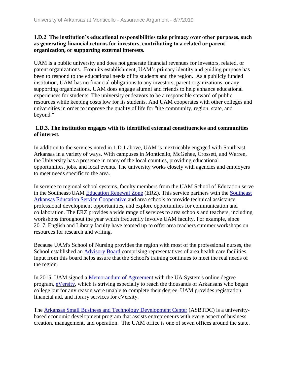#### **1.D.2 The institution's educational responsibilities take primacy over other purposes, such as generating financial returns for investors, contributing to a related or parent organization, or supporting external interests.**

UAM is a public university and does not generate financial revenues for investors, related, or parent organizations. From its establishment, UAM's primary identity and guiding purpose has been to respond to the educational needs of its students and the region. As a publicly funded institution, UAM has no financial obligations to any investors, parent organizations, or any supporting organizations. UAM does engage alumni and friends to help enhance educational experiences for students. The university endeavors to be a responsible steward of public resources while keeping costs low for its students. And UAM cooperates with other colleges and universities in order to improve the quality of life for "the community, region, state, and beyond."

#### **1.D.3. The institution engages with its identified external constituencies and communities of interest.**

In addition to the services noted in 1.D.1 above, UAM is inextricably engaged with Southeast Arkansas in a variety of ways. With campuses in Monticello, McGehee, Crossett, and Warren, the University has a presence in many of the local counties, providing educational opportunities, jobs, and local events. The university works closely with agencies and employers to meet needs specific to the area.

In service to regional school systems, faculty members from the UAM School of Education serve in the Southeast/UAM Education Renewal Zone (ERZ). This service partners wtih the Southeast Arkansas Education Service Cooperative and area schools to provide technical assistance, professional development opportunities, and explore opportunities for communication and collaboration. The ERZ provides a wide range of services to area schools and teachers, including workshops throughout the year which frequently involve UAM faculty. For example, since 2017, English and Library faculty have teamed up to offer area teachers summer workshops on resources for research and writing.

Because UAM's School of Nursing provides the region with most of the professional nurses, the School established an Advisory Board comprising representatives of area health care facilities. Input from this board helps assure that the School's training continues to meet the real needs of the region.

In 2015, UAM signed a Memorandum of Agreement with the UA System's online degree program, eVersity, which is striving especially to reach the thousands of Arkansans who began college but for any reason were unable to complete their degree. UAM provides registration, financial aid, and library services for eVersity.

The Arkansas Small Business and Technology Development Center (ASBTDC) is a universitybased economic development program that assists entrepreneurs with every aspect of business creation, management, and operation. The UAM office is one of seven offices around the state.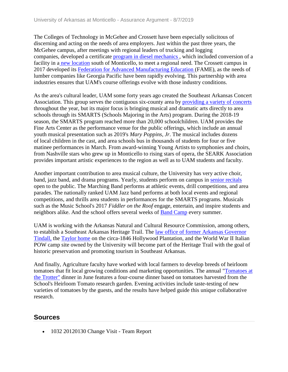The Colleges of Technology in McGehee and Crossett have been especially solicitous of discerning and acting on the needs of area employers. Just within the past three years, the McGehee campus, after meetings with regional leaders of trucking and logging companies, developed a certificate program in diesel mechanics , which included conversion of a facility in a new location south of Monticello, to meet a regional need. The Crossett campus in 2017 developed its Federation for Advanced Manufacturing Education (FAME), as the needs of lumber companies like Georgia Pacific have been rapidly evolving. This partnership with area industries ensures that UAM's course offerings evolve with those industry conditions.

As the area's cultural leader, UAM some forty years ago created the Southeast Arkansas Concert Association. This group serves the contiguous six-county area by providing a variety of concerts throughout the year, but its major focus is bringing musical and dramatic arts directly to area schools through its SMARTS (Schools Majoring in the Arts) program. During the 2018-19 season, the SMARTS program reached more than 20,000 schoolchildren. UAM provides the Fine Arts Center as the performance venue for the public offerings, which include an annual youth musical presentation such as 2019's *Mary Poppins, Jr*. The musical includes dozens of local children in the cast, and area schools bus in thousands of students for four or five matinee performances in March. From award-winning Young Artists to symphonies and choirs, from Nashville stars who grew up in Monticello to rising stars of opera, the SEARK Association provides important artistic experiences to the region as well as to UAM students and faculty.

Another important contribution to area musical culture, the University has very active choir, band, jazz band, and drama programs. Yearly, students perform on campus in senior recitals open to the public. The Marching Band performs at athletic events, drill competitions, and area parades. The nationally ranked UAM Jazz band performs at both local events and regional competitions, and thrills area students in performances for the SMARTS programs. Musicals such as the Music School's 2017 *Fiddler on the Roof* engage, entertain, and inspire students and neighbors alike. And the school offers several weeks of Band Camp every summer.

UAM is working with the Arkansas Natural and Cultural Resource Commission, among others, to establish a Southeast Arkansas Heritage Trail. The law office of former Arkansas Governor Tindall, the Taylor home on the circa-1846 Hollywood Plantation, and the World War II Italian POW camp site owned by the University will become part of the Heritage Trail with the goal of historic preservation and promoting tourism in Southeast Arkansas.

And finally, Agriculture faculty have worked with local farmers to develop breeds of heirloom tomatoes that fit local growing conditions and marketing opportunities. The annual "Tomatoes at the Trotter" dinner in June features a four-course dinner based on tomatoes harvested from the School's Heirloom Tomato research garden. Evening activities include taste-testing of new varieties of tomatoes by the guests, and the results have helped guide this unique collaborative research.

### **Sources**

• 1032 20120130 Change Visit - Team Report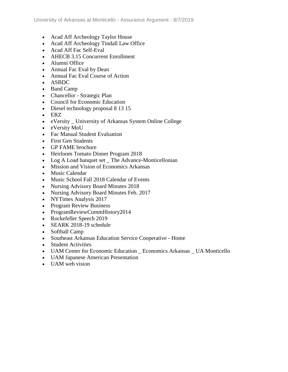- Acad Aff Archeology Taylor House
- Acad Aff Archeology Tindall Law Office
- Acad Aff Fac Self-Eval
- AHECB 3.15 Concurrent Enrollment
- Alumni Office
- Annual Fac Eval by Dean
- Annual Fac Eval Course of Action
- ASBDC
- Band Camp
- Chancellor Strategic Plan
- Council for Economic Education
- Diesel technology proposal 8 13 15
- ERZ
- eVersity \_ University of Arkansas System Online College
- eVersity MoU
- Fac Manual Student Evaluation
- First Gen Students
- GP FAME brochure
- Heirloom Tomato Dinner Program 2018
- Log A Load banquet set \_ The Advance-Monticellonian
- Mission and Vision of Economics Arkansas
- Music Calendar
- Music School Fall 2018 Calendar of Events
- Nursing Advisory Board Minutes 2018
- Nursing Advisory Board Minutes Feb. 2017
- NYTimes Analysis 2017
- Program Review Business
- ProgramReviewCommHistory2014
- Rockefeller Speech 2019
- SEARK 2018-19 schedule
- Softball Camp
- Southeast Arkansas Education Service Cooperative Home
- Student Activities
- UAM Center for Economic Education \_ Economics Arkansas \_ UA Monticello
- UAM Japanese American Presentation
- UAM web vision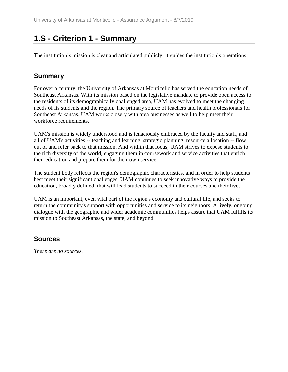# **1.S - Criterion 1 - Summary**

The institution's mission is clear and articulated publicly; it guides the institution's operations.

### **Summary**

For over a century, the University of Arkansas at Monticello has served the education needs of Southeast Arkansas. With its mission based on the legislative mandate to provide open access to the residents of its demographically challenged area, UAM has evolved to meet the changing needs of its students and the region. The primary source of teachers and health professionals for Southeast Arkansas, UAM works closely with area businesses as well to help meet their workforce requirements.

UAM's mission is widely understood and is tenaciously embraced by the faculty and staff, and all of UAM's activities -- teaching and learning, strategic planning, resource allocation -- flow out of and refer back to that mission. And within that focus, UAM strives to expose students to the rich diversity of the world, engaging them in coursework and service activities that enrich their education and prepare them for their own service.

The student body reflects the region's demographic characteristics, and in order to help students best meet their significant challenges, UAM continues to seek innovative ways to provide the education, broadly defined, that will lead students to succeed in their courses and their lives

UAM is an important, even vital part of the region's economy and cultural life, and seeks to return the community's support with opportunities and service to its neighbors. A lively, ongoing dialogue with the geographic and wider academic communities helps assure that UAM fulfills its mission to Southeast Arkansas, the state, and beyond.

### **Sources**

*There are no sources.*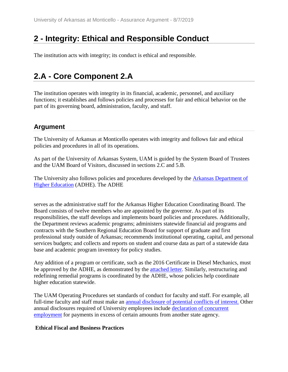# **2 - Integrity: Ethical and Responsible Conduct**

The institution acts with integrity; its conduct is ethical and responsible.

# **2.A - Core Component 2.A**

The institution operates with integrity in its financial, academic, personnel, and auxiliary functions; it establishes and follows policies and processes for fair and ethical behavior on the part of its governing board, administration, faculty, and staff.

# **Argument**

The University of Arkansas at Monticello operates with integrity and follows fair and ethical policies and procedures in all of its operations.

As part of the University of Arkansas System, UAM is guided by the System Board of Trustees and the UAM Board of Visitors, discussed in sections 2.C and 5.B.

The University also follows policies and procedures developed by the Arkansas Department of Higher Education (ADHE). The ADHE

serves as the administrative staff for the Arkansas Higher Education Coordinating Board. The Board consists of twelve members who are appointed by the governor. As part of its responsibilities, the staff develops and implements board policies and procedures. Additionally, the Department reviews academic programs; administers statewide financial aid programs and contracts with the Southern Regional Education Board for support of graduate and first professional study outside of Arkansas; recommends institutional operating, capital, and personal services budgets; and collects and reports on student and course data as part of a statewide data base and academic program inventory for policy studies.

Any addition of a program or certificate, such as the 2016 Certificate in Diesel Mechanics, must be approved by the ADHE, as demonstrated by the attached letter. Similarly, restructuring and redefining remedial programs is coordinated by the ADHE, whose policies help coordinate higher education statewide.

The UAM Operating Procedures set standards of conduct for faculty and staff. For example, all full-time faculty and staff must make an **annual disclosure of potential conflicts of interest**. Other annual disclosures required of University employees include declaration of concurrent employment for payments in excess of certain amounts from another state agency.

### **Ethical Fiscal and Business Practices**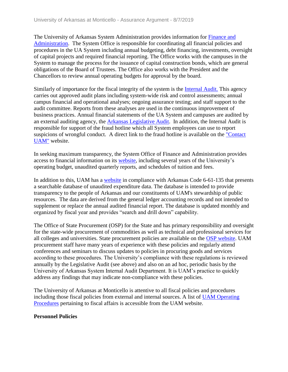The University of Arkansas System Administration provides information for Finance and Administration. The System Office is responsible for coordinating all financial policies and procedures in the UA System including annual budgeting, debt financing, investments, oversight of capital projects and required financial reporting. The Office works with the campuses in the System to manage the process for the issuance of capital construction bonds, which are general obligations of the Board of Trustees. The Office also works with the President and the Chancellors to review annual operating budgets for approval by the board.

Similarly of importance for the fiscal integrity of the system is the Internal Audit. This agency carries out approved audit plans including system-wide risk and control assessments; annual campus financial and operational analyses; ongoing assurance testing; and staff support to the audit committee. Reports from these analyses are used in the continuous improvement of business practices. Annual financial statements of the UA System and campuses are audited by an external auditing agency, the Arkansas Legislative Audit. In addition, the Internal Audit is responsible for support of the fraud hotline which all System employees can use to report suspicions of wrongful conduct. A direct link to the fraud hotline is available on the "Contact UAM" website.

In seeking maximum transparency, the System Office of Finance and Administration provides access to financial information on its website, including several years of the University's operating budget, unaudited quarterly reports, and schedules of tuition and fees.

In addition to this, UAM has a website in compliance with Arkansas Code 6-61-135 that presents a searchable database of unaudited expenditure data. The database is intended to provide transparency to the people of Arkansas and our constituents of UAM's stewardship of public resources. The data are derived from the general ledger accounting records and not intended to supplement or replace the annual audited financial report. The database is updated monthly and organized by fiscal year and provides "search and drill down" capability.

The Office of State Procurement (OSP) for the State and has primary responsibility and oversight for the state-wide procurement of commodities as well as technical and professional services for all colleges and universities. State procurement policies are available on the OSP website. UAM procurement staff have many years of experience with these policies and regularly attend conferences and seminars to discuss updates to policies in procuring goods and services according to these procedures. The University's compliance with these regulations is reviewed annually by the Legislative Audit (see above) and also on an ad hoc, periodic basis by the University of Arkansas System Internal Audit Department. It is UAM's practice to quickly address any findings that may indicate non-compliance with these policies.

The University of Arkansas at Monticello is attentive to all fiscal policies and procedures including those fiscal policies from external and internal sources. A list of UAM Operating Procedures pertaining to fiscal affairs is accessible from the UAM website.

### **Personnel Policies**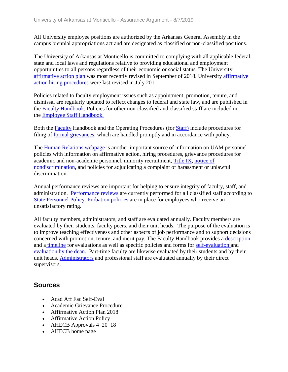All University employee positions are authorized by the Arkansas General Assembly in the campus biennial appropriations act and are designated as classified or non-classified positions.

The University of Arkansas at Monticello is committed to complying with all applicable federal, state and local laws and regulations relative to providing educational and employment opportunities to all persons regardless of their economic or social status. The University affirmative action plan was most recently revised in September of 2018. University affirmative action hiring procedures were last revised in July 2011.

Policies related to faculty employment issues such as appointment, promotion, tenure, and dismissal are regularly updated to reflect changes to federal and state law, and are published in the Faculty Handbook. Policies for other non-classified and classified staff are included in the Employee Staff Handbook.

Both the Faculty Handbook and the Operating Procedures (for Staff) include procedures for filing of formal grievances, which are handled promptly and in accordance with policy.

The Human Relations webpage is another important source of information on UAM personnel policies with information on affirmative action, hiring procedures, grievance procedures for academic and non-academic personnel, minority recruitment, Title IX, notice of nondiscrimination, and policies for adjudicating a complaint of harassment or unlawful discrimination.

Annual performance reviews are important for helping to ensure integrity of faculty, staff, and administration. Performance reviews are currently performed for all classified staff according to State Personnel Policy. Probation policies are in place for employees who receive an unsatisfactory rating.

All faculty members, administrators, and staff are evaluated annually. Faculty members are evaluated by their students, faculty peers, and their unit heads. The purpose of the evaluation is to improve teaching effectiveness and other aspects of job performance and to support decisions concerned with promotion, tenure, and merit pay. The Faculty Handbook provides a description and [a](../../evidence/viewfile?fileid=632607) timeline for evaluations as well as specific policies and forms for self-evaluation and evaluation by the dean. Part-time faculty are likewise evaluated by their students and by their unit heads. Administrators and professional staff are evaluated annually by their direct supervisors.

- Acad Aff Fac Self-Eval
- Academic Grievance Procedure
- Affirmative Action Plan 2018
- Affirmative Action Policy
- AHECB Approvals 4\_20\_18
- AHECB home page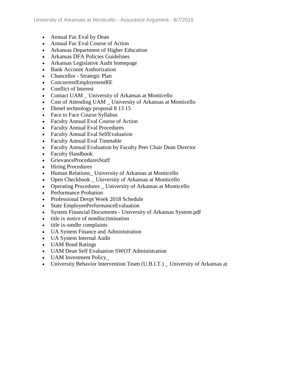- Annual Fac Eval by Dean
- Annual Fac Eval Course of Action
- Arkansas Department of Higher Education
- Arkansas DFA Policies Guidelines
- Arkansas Legislative Audit homepage
- Bank Account Authorization
- Chancellor Strategic Plan
- ConcurrentEmploymentRE
- Conflict of Interest
- Contact UAM University of Arkansas at Monticello
- Cost of Attending UAM \_ University of Arkansas at Monticello
- Diesel technology proposal 8 13 15
- Face to Face Course Syllabus
- Faculty Annual Eval Course of Action
- Faculty Annual Eval Procedures
- Faculty Annual Eval SelfEvaluation
- Faculty Annual Eval Timetable
- Faculty Annual Evaluation by Faculty Peer Chair Dean Director
- Faculty Handbook
- GrievanceProceduresStaff
- Hiring Procedures
- Human Relations University of Arkansas at Monticello
- Open Checkbook University of Arkansas at Monticello
- Operating Procedures \_ University of Arkansas at Monticello
- Performance Probation
- Professional Devpt Week 2018 Schedule
- State EmployeePerformanceEvaluation
- System Financial Documents University of Arkansas System.pdf
- title ix notice of nondiscrimination
- title ix-smdhr complaints
- UA System Finance and Administration
- UA System Internal Audit
- UAM Bond Ratings
- UAM Dean Self Evaluation SWOT Administration
- UAM Investment Policy
- University Behavior Intervention Team (U.B.I.T.) University of Arkansas at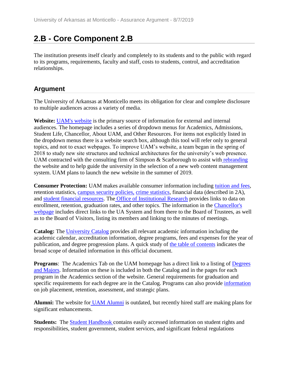# **2.B - Core Component 2.B**

The institution presents itself clearly and completely to its students and to the public with regard to its programs, requirements, faculty and staff, costs to students, control, and accreditation relationships.

### **Argument**

The University of Arkansas at Monticello meets its obligation for clear and complete disclosure to multiple audiences across a variety of media.

**Website:** [UAM's website](../../evidence/viewfile?fileId=649689) is the primary source of information for external and internal audiences. The homepage includes a series of dropdown menus for Academics, Admissions, Student Life, Chancellor, About UAM, and Other Resources. For items not explicitly listed in the dropdown menus there is a website search box, although this tool will refer only to general topics, and not to exact webpages. To improve UAM's website, a team began in the spring of 2018 to study new site structures and technical architectures for the university's web presence. UAM contracted with the consulting firm of Simpson & Scarborough to assist with rebranding the website and to help guide the university in the selection of a new web content management system. UAM plans to launch the new website in the summer of 2019.

**Consumer Protection:** UAM makes available consumer information including tuition and fees, retention statistics, campus security policies, crime statistics, financial data (described in 2A), and student financial resources. The Office of Institutional Research provides links to data on enrollment, retention, graduation rates, and other topics. The information in the Chancellor's webpage includes direct links to the UA System and from there to the Board of Trustees, as well as to the Board of Visitors, listing its members and linking to the minutes of meetings.

**Catalog:** The University Catalog provides all relevant academic information including the academic calendar, accreditation information, degree programs, fees and expenses for the year of publication, and degree progression plans. A quick study of the table of contents indicates the broad scope of detailed information in this official document.

**Programs**: The Academics Tab on the UAM homepage has a direct link to a listing of Degrees and Majors. Information on these is included in both the Catalog and in the pages for each program in the Academics section of the website. General requirements for graduation and specific requirements for each degree are in the Catalog. Programs can also provide information on job placement, retention, assessment, and strategic plans.

**Alumni:** The website for UAM Alumni is outdated, but recently hired staff are making plans for significant enhancements.

**Students:** The Student Handbook contains easily accessed information on student rights and responsibilities, student government, student services, and significant federal regulations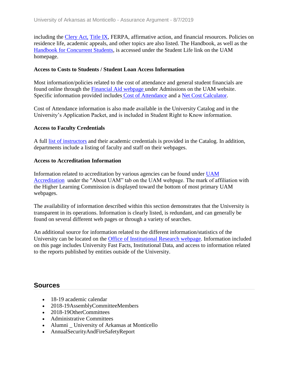including the Clery Act, Title IX, FERPA, affirmative action, and financial resources. Policies on residence life, academic appeals, and other topics are also listed. The Handbook, as well as the Handbook for Concurrent Students, is accessed under the Student Life link on the UAM homepage.

#### **Access to Costs to Students / Student Loan Access Information**

Most information/policies related to the cost of attendance and general student financials are found online through the Financial Aid webpage under Admissions on the UAM website. Specific information provided includes Cost of Attendance and a Net Cost Calculator.

Cost of Attendance information is also made available in the University Catalog and in the University's Application Packet, and is included in Student Right to Know information.

#### **Access to Faculty Credentials**

A full list of instructors and their academic credentials is provided in the Catalog. In addition, departments include a listing of faculty and staff on their webpages.

#### **Access to Accreditation Information**

Information related to accreditation by various agencies can be found under UAM Accreditation under the "About UAM" tab on the UAM webpage. The mark of affiliation with the Higher Learning Commission is displayed toward the bottom of most primary UAM webpages.

The availability of information described within this section demonstrates that the University is transparent in its operations. Information is clearly listed, is redundant, and can generally be found on several different web pages or through a variety of searches.

An additional source for information related to the different information/statistics of the University can be located on the Office of Institutional Research webpage. Information included on this page includes University Fast Facts, Institutional Data, and access to information related to the reports published by entities outside of the University.

- 18-19 academic calendar
- 2018-19AssemblyCommitteeMembers
- 2018-19OtherCommittees
- Administrative Committees
- Alumni \_ University of Arkansas at Monticello
- AnnualSecurityAndFireSafetyReport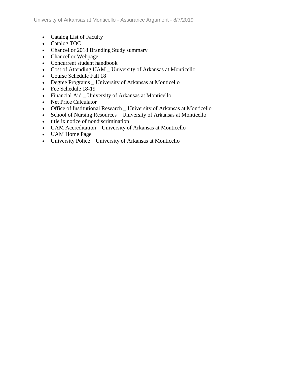- Catalog List of Faculty
- Catalog TOC
- Chancellor 2018 Branding Study summary
- Chancellor Webpage
- Concurrent student handbook
- Cost of Attending UAM \_ University of Arkansas at Monticello
- Course Schedule Fall 18
- Degree Programs \_ University of Arkansas at Monticello
- Fee Schedule 18-19
- Financial Aid \_ University of Arkansas at Monticello
- Net Price Calculator
- Office of Institutional Research \_ University of Arkansas at Monticello
- School of Nursing Resources \_ University of Arkansas at Monticello
- title ix notice of nondiscrimination
- UAM Accreditation \_ University of Arkansas at Monticello
- UAM Home Page
- University Police \_ University of Arkansas at Monticello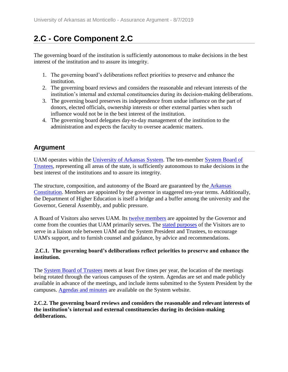# **2.C - Core Component 2.C**

The governing board of the institution is sufficiently autonomous to make decisions in the best interest of the institution and to assure its integrity.

- 1. The governing board's deliberations reflect priorities to preserve and enhance the institution.
- 2. The governing board reviews and considers the reasonable and relevant interests of the institution's internal and external constituencies during its decision-making deliberations.
- 3. The governing board preserves its independence from undue influence on the part of donors, elected officials, ownership interests or other external parties when such influence would not be in the best interest of the institution.
- 4. The governing board delegates day-to-day management of the institution to the administration and expects the faculty to oversee academic matters.

# **Argument**

UAM operates within the University of Arkansas System. The ten-member System Board of Trustees, representing all areas of the state, is sufficiently autonomous to make decisions in the best interest of the institutions and to assure its integrity.

The structure, composition, and autonomy of the Board are guaranteed by the Arkansas Constitution. Members are appointed by the governor in staggered ten-year terms. Additionally, the Department of Higher Education is itself a bridge and a buffer among the university and the Governor, General Assembly, and public pressure.

A Board of Visitors also serves UAM. Its twelve members are appointed by the Governor and come from the counties that UAM primarily serves. The stated purposes of the Visitors are to serve in a liaison role between UAM and the System President and Trustees, to encourage UAM's support, and to furnish counsel and guidance, by advice and recommendations.

### **2.C.1. The governing board's deliberations reflect priorities to preserve and enhance the institution.**

The **System Board of Trustees** meets at least five times per year, the location of the meetings being rotated through the various campuses of the system. Agendas are set and made publicly available in advance of the meetings, and include items submitted to the System President by the campuses. Agendas and minutes are available on the System website.

### **2.C.2. The governing board reviews and considers the reasonable and relevant interests of the institution's internal and external constituencies during its decision-making deliberations.**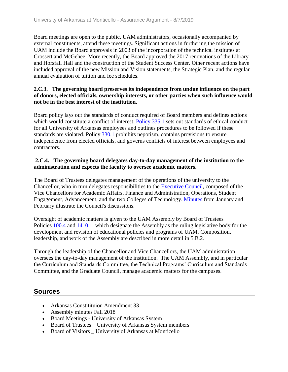Board meetings are open to the public. UAM administrators, occasionally accompanied by external constituents, attend these meetings. Significant actions in furthering the mission of UAM include the Board approvals in 2003 of the incorporation of the technical institutes at Crossett and McGehee. More recently, the Board approved the 2017 renovations of the Library and Horsfall Hall and the construction of the Student Success Center. Other recent actions have included approval of the new Mission and Vision statements, the Strategic Plan, and the regular annual evaluation of tuition and fee schedules.

### **2.C.3. The governing board preserves its independence from undue influence on the part of donors, elected officials, ownership interests, or other parties when such influence would not be in the best interest of the institution.**

Board policy lays out the standards of conduct required of Board members and defines actions which would constitute a conflict of interest. Policy 335.1 sets out standards of ethical conduct for all University of Arkansas employees and outlines procedures to be followed if these standards are violated. Policy 330.1 prohibits nepotism, contains provisions to ensure independence from elected officials, and governs conflicts of interest between employees and contractors.

### **2.C.4. The governing board delegates day-to-day management of the institution to the administration and expects the faculty to oversee academic matters.**

The Board of Trustees delegates management of the operations of the university to the Chancellor, who in turn delegates responsibilities to the Executive Council, composed of the Vice Chancellors for Academic Affairs, Finance and Administration, Operations, Student Engagement, Advancement, and the two Colleges of Technology. Minutes from January and February illustrate the Council's discussions.

Oversight of academic matters is given to the UAM Assembly by Board of Trustees Policies 100.4 and 1410.1, which designate the Assembly as the ruling legislative body for the development and revision of educational policies and programs of UAM. Composition, leadership, and work of the Assembly are described in more detail in 5.B.2.

Through the leadership of the Chancellor and Vice Chancellors, the UAM administration oversees the day-to-day management of the institution. The UAM Assembly, and in particular the Curriculum and Standards Committee, the Technical Programs' Curriculum and Standards Committee, and the Graduate Council, manage academic matters for the campuses.

- Arkansas Constitituion Amendment 33
- Assembly minutes Fall 2018
- Board Meetings University of Arkansas System
- Board of Trustees University of Arkansas System members
- Board of Visitors University of Arkansas at Monticello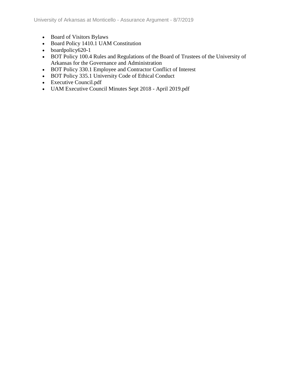- Board of Visitors Bylaws
- Board Policy 1410.1 UAM Constitution
- boardpolicy620-1
- BOT Policy 100.4 Rules and Regulations of the Board of Trustees of the University of Arkansas for the Governance and Administration
- BOT Policy 330.1 Employee and Contractor Conflict of Interest
- BOT Policy 335.1 University Code of Ethical Conduct
- Executive Council.pdf
- UAM Executive Council Minutes Sept 2018 April 2019.pdf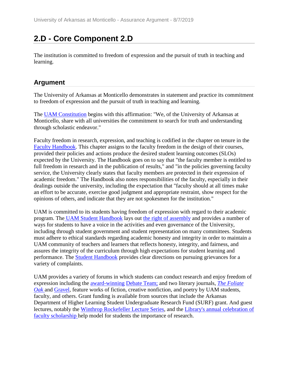# **2.D - Core Component 2.D**

The institution is committed to freedom of expression and the pursuit of truth in teaching and learning.

### **Argument**

The University of Arkansas at Monticello demonstrates in statement and practice its commitment to freedom of expression and the pursuit of truth in teaching and learning.

The UAM Constitution begins with this affirmation: "We, of the University of Arkansas at Monticello, share with all universities the commitment to search for truth and understanding through scholastic endeavor."

Faculty freedom in research, expression, and teaching is codified in the chapter on tenure in the Faculty Handbook. This chapter assigns to the faculty freedom in the design of their courses, provided their policies and actions produce the desired student learning outcomes (SLOs) expected by the University. The Handbook goes on to say that "the faculty member is entitled to full freedom in research and in the publication of results," and "in the policies governing faculty service, the University clearly states that faculty members are protected in their expression of academic freedom." The Handbook also notes responsibilities of the faculty, especially in their dealings outside the university, including the expectation that "faculty should at all times make an effort to be accurate, exercise good judgment and appropriate restraint, show respect for the opinions of others, and indicate that they are not spokesmen for the institution."

UAM is committed to its students having freedom of expression with regard to their academic program. The UAM Student Handbook lays out the right of assembly and provides a number of ways for students to have a voice in the activities and even governance of the University, including through student government and student representation on many committees. Students must adhere to ethical standards regarding academic honesty and integrity in order to maintain a UAM community of teachers and learners that reflects honesty, integrity, and fairness, and assures the integrity of the curriculum through high expectations for student learning and performance. The Student Handbook provides clear directions on pursuing grievances for a variety of complaints.

UAM provides a variety of forums in which students can conduct research and enjoy freedom of expression including the award-winning Debate Team; and two literary journals, *The Foliate Oak* and Gravel*,* feature works of fiction, creative nonfiction, and poetry by UAM students, faculty, and others. Grant funding is available from sources that include the Arkansas Department of Higher Learning Student Undergraduate Research Fund (SURF) grant. And guest lectures, notably the Winthrop Rockefeller Lecture Series, and the Library's annual celebration of faculty scholarship help model for students the importance of research.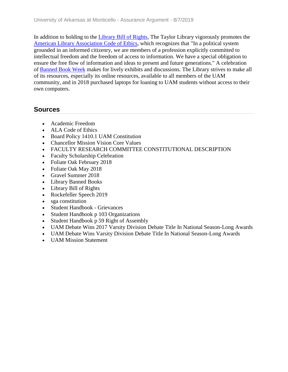In addition to holding to the Library Bill of Rights, The Taylor Library vigorously promotes the American Library Association Code of Ethics, which recognizes that "In a political system grounded in an informed citizenry, we are members of a profession explicitly committed to intellectual freedom and the freedom of access to information. We have a special obligation to ensure the free flow of information and ideas to present and future generations." A celebration of Banned Book Week makes for lively exhibits and discussions. The Library strives to make all of its resources, especially its online resources, available to all members of the UAM community, and in 2018 purchased laptops for loaning to UAM students without access to their own computers.

- Academic Freedom
- ALA Code of Ethics
- Board Policy 1410.1 UAM Constitution
- Chancellor Mission Vision Core Values
- FACULTY RESEARCH COMMITTEE CONSTITUTIONAL DESCRIPTION
- Faculty Scholarship Celebration
- Foliate Oak February 2018
- Foliate Oak May 2018
- Gravel Summer 2018
- Library Banned Books
- Library Bill of Rights
- Rockefeller Speech 2019
- sga constitution
- Student Handbook Grievances
- Student Handbook p 103 Organizations
- Student Handbook p 59 Right of Assembly
- UAM Debate Wins 2017 Varsity Division Debate Title In National Season-Long Awards
- UAM Debate Wins Varsity Division Debate Title In National Season-Long Awards
- UAM Mission Statement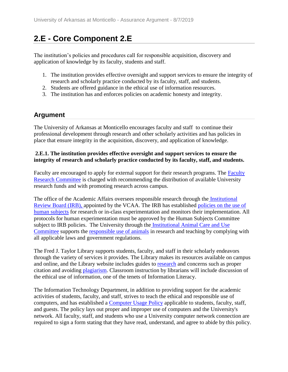# **2.E - Core Component 2.E**

The institution's policies and procedures call for responsible acquisition, discovery and application of knowledge by its faculty, students and staff.

- 1. The institution provides effective oversight and support services to ensure the integrity of research and scholarly practice conducted by its faculty, staff, and students.
- 2. Students are offered guidance in the ethical use of information resources.
- 3. The institution has and enforces policies on academic honesty and integrity.

### **Argument**

The University of Arkansas at Monticello encourages faculty and staff to continue their professional development through research and other scholarly activities and has policies in place that ensure integrity in the acquisition, discovery, and application of knowledge.

### **2.E.1. The institution provides effective oversight and support services to ensure the integrity of research and scholarly practice conducted by its faculty, staff, and students.**

Faculty are encouraged to apply for external support for their research programs. The Faculty Research Committee is charged with recommending the distribution of available University research funds and with promoting research across campus.

The office of the Academic Affairs oversees responsible research through the Institutional Review Board (IRB), appointed by the VCAA. The IRB has established policies on the use of human subjects for research or in-class experimentation and monitors their implementation. All protocols for human experimentation must be approved by the Human Subjects Committee subject to IRB policies. The University through the Institutional Animal Care and Use Committee supports the responsible use of animals in research and teaching by complying with all applicable laws and government regulations.

The Fred J. Taylor Library supports students, faculty, and staff in their scholarly endeavors through the variety of services it provides. The Library makes its resources available on campus and online, and the Library website includes guides to research and concerns such as proper citation and avoiding plagiarism. Classroom instruction by librarians will include discussion of the ethical use of information, one of the tenets of Information Literacy.

The Information Technology Department, in addition to providing support for the academic activities of students, faculty, and staff, strives to teach the ethical and responsible use of computers, and has established a Computer Usage Policy applicable to students, faculty, staff, and guests. The policy lays out proper and improper use of computers and the University's network. All faculty, staff, and students who use a University computer network connection are required to sign a form stating that they have read, understand, and agree to abide by this policy.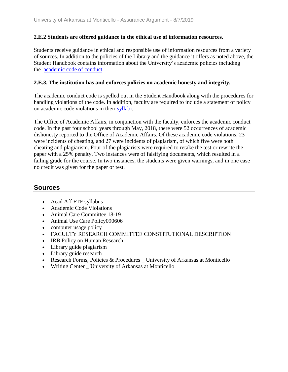#### **2.E.2 Students are offered guidance in the ethical use of information resources.**

Students receive guidance in ethical and responsible use of information resources from a variety of sources. In addition to the policies of the Library and the guidance it offers as noted above, the Student Handbook contains information about the University's academic policies including the academic code of conduct.

#### **2.E.3. The institution has and enforces policies on academic honesty and integrity.**

The academic conduct code is spelled out in the Student Handbook along with the procedures for handling violations of the code. In addition, faculty are required to include a statement of policy on academic code violations in their syllabi.

The Office of Academic Affairs, in conjunction with the faculty, enforces the academic conduct code. In the past four school years through May, 2018, there were 52 occurrences of academic dishonesty reported to the Office of Academic Affairs. Of these academic code violations, 23 were incidents of cheating, and 27 were incidents of plagiarism, of which five were both cheating and plagiarism. Four of the plagiarists were required to retake the test or rewrite the paper with a 25% penalty. Two instances were of falsifying documents, which resulted in a failing grade for the course. In two instances, the students were given warnings, and in one case no credit was given for the paper or test.

#### **Sources**

- Acad Aff FTF syllabus
- Academic Code Violations
- Animal Care Committee 18-19
- Animal Use Care Policy090606
- computer usage policy
- FACULTY RESEARCH COMMITTEE CONSTITUTIONAL DESCRIPTION
- IRB Policy on Human Research
- Library guide plagiarism
- Library guide research
- Exercise Research Forms, Policies & Procedures University of Arkansas at Monticello
- Writing Center University of Arkansas at Monticello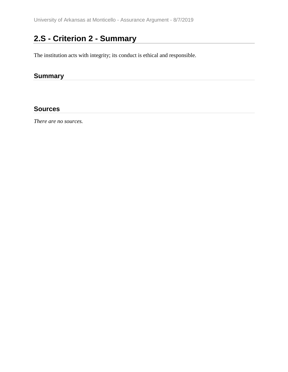# **2.S - Criterion 2 - Summary**

The institution acts with integrity; its conduct is ethical and responsible.

<u> 1980 - John Stein, mars and de Branch</u>

## **Summary**

#### **Sources**

*There are no sources.*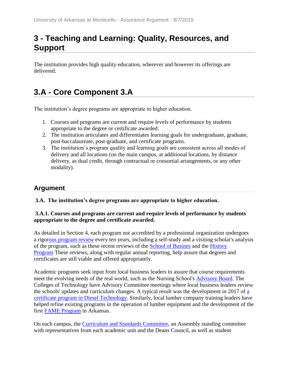## **3 - Teaching and Learning: Quality, Resources, and Support**

The institution provides high quality education, wherever and however its offerings are delivered.

# **3.A - Core Component 3.A**

The institution's degree programs are appropriate to higher education.

- 1. Courses and programs are current and require levels of performance by students appropriate to the degree or certificate awarded.
- 2. The institution articulates and differentiates learning goals for undergraduate, graduate, post-baccalaureate, post-graduate, and certificate programs.
- 3. The institution's program quality and learning goals are consistent across all modes of delivery and all locations (on the main campus, at additional locations, by distance delivery, as dual credit, through contractual or consortial arrangements, or any other modality).

## **Argument**

#### **3.A. The institution's degree programs are appropriate to higher education.**

#### **3.A.1. Courses and programs are current and require levels of performance by students appropriate to the degree and certificate awarded.**

As detailed in Section 4, each program not accredited by a professional organization undergoes a rigorous program review every ten years, including a self-study and a visiting scholar's analysis of the program, such as these recent reviews of the School of Busines and the History Program These reviews, along with regular annual reporting, help assure that degrees and certificates are still viable and offered appropriately.

Academic programs seek input from local business leaders to assure that course requirements meet the evolving needs of the real world, such as the Nursing School's Advisory Board. The Colleges of Technology have Advisory Committee meetings where local business leaders review the schools' updates and curriculum changes. A typical result was the development in 2017 of a certificate program in Diesel Technology. Similarly, local lumber company training leaders have helped refine existing programs in the operation of lumber equipment and the development of the first FAME Program in Arkansas.

On each campus, the Curriculum and Standards Committee, an Assembly standing committee with representatives from each academic unit and the Deans Council, as well as student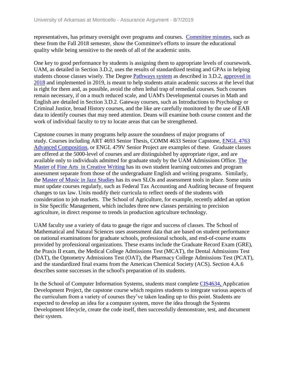representatives, has primary oversight over programs and courses. Committee minutes, such as these from the Fall 2018 semester, show the Committee's efforts to insure the educational quality while being sensitive to the needs of all of the academic units.

One key to good performance by students is assigning them to appropriate levels of coursework. UAM, as detailed in Section 3.D.2, uses the results of standardized testing and GPAs in helping students choose classes wisely. The Degree [Pa](../../evidence/viewfile?fileid=699520)thways system as described in 3.D.2, approved in 2018 and implemented in 2019, is meant to help students attain academic success at the level that is right for them and, as possible, avoid the often lethal trap of remedial courses. Such courses remain necessary, if on a much reduced scale, and UAM's Developmental courses in Math and English are detailed in Section 3.D.2. Gateway courses, such as Introductions to Psychology or Criminal Justice, broad History courses, and the like are carefully monitored by the use of EAB data to identify courses that may need attention. Deans will examine both course content and the work of individual faculty to try to locate areas that can be strengthened.

Capstone courses in many programs help assure the soundness of major programs of study. Courses including ART 4693 Senior Thesis, COMM 4633 Senior Capstone, ENGL 4763 Advanced Composition, or ENGL 479V Senior Project are examples of these. Graduate classes are offered at the 5000-level of courses and are distinguished by appropriate rigor, and are available only to individuals admitted for graduate study by the UAM Admissions Office. The Master of Fine Arts in Creative Writing has its own student learning outcomes and program assessment separate from those of the undergraduate English and writing programs. Similarly, the Master of Music in Jazz Studies has its own SLOs and assessment tools in place. Some units must update courses regularly, such as Federal Tax Accounting and Auditing because of frequent changes to tax law. Units modify their curricula to reflect needs of the students with consideration to job markets. The School of Agriculture, for example, recently added an option in Site Specific Management, which includes three new classes pertaining to precision agriculture, in direct response to trends in production agriculture technology.

UAM faculty use a variety of data to gauge the rigor and success of classes. The School of Mathematical and Natural Sciences uses assessment data that are based on student performance on national examinations for graduate schools, professional schools, and end-of-course exams provided by professional organizations. These exams include the Graduate Record Exam (GRE), the Praxis II exam, the Medical College Admissions Test (MCAT), the Dental Admissions Test (DAT), the Optometry Admissions Test (OAT), the Pharmacy College Admissions Test (PCAT), and the standardized final exams from the American Chemical Society (ACS). Section 4.A.6 describes some successes in the school's preparation of its students.

In the School of Computer Information Systems, students must complete CIS4634, Application Development Project, the capstone course which requires students to integrate various aspects of the curriculum from a variety of courses they've taken leading up to this point. Students are expected to develop an idea for a computer system, move the idea through the Systems Development lifecycle, create the code itself, then successfully demonstrate, test, and document their system.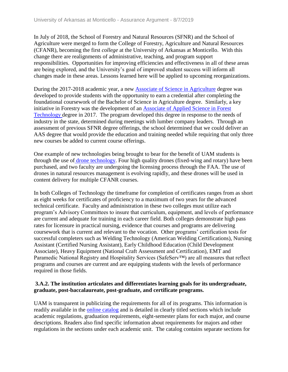In July of 2018, the School of Forestry and Natural Resources (SFNR) and the School of Agriculture were merged to form the College of Forestry, Agriculture and Natural Resources (CFANR), becoming the first *college* at the University of Arkansas at Monticello. With this change there are realignments of administrative, teaching, and program support responsibilities. Opportunities for improving efficiencies and effectiveness in all of these areas are being explored, and the University's goal of improved student success will inform all changes made in these areas. Lessons learned here will be applied to upcoming reorganizations.

During the 2017-2018 academic year, a new Associate of Science in Agriculture degree was developed to provide students with the opportunity to earn a credential after completing the foundational coursework of the Bachelor of Science in Agriculture degree. Similarly, a key initiative in Forestry was the development of an Associate of Applied Science in Forest Technology degree in 2017. The program developed this degree in response to the needs of industry in the state, determined during meetings with lumber company leaders. Through an assessment of previous SFNR degree offerings, the school determined that we could deliver an AAS degree that would provide the education and training needed while requiring that only three new courses be added to current course offerings.

One example of new technologies being brought to bear for the benefit of UAM students is through the use of drone technology. Four high quality drones (fixed-wing and rotary) have been purchased, and two faculty are undergoing the licensing process through the FAA. The use of drones in natural resources management is evolving rapidly, and these drones will be used in content delivery for multiple CFANR courses.

In both Colleges of Technology the timeframe for completion of certificates ranges from as short as eight weeks for certificates of proficiency to a maximum of two years for the advanced technical certificate. Faculty and administration in these two colleges must utilize each program's Advisory Committees to insure that curriculum, equipment, and levels of performance are current and adequate for training in each career field. Both colleges demonstrate high pass rates for licensure in practical nursing, evidence that courses and programs are delivering coursework that is current and relevant to the vocation. Other programs' certification tests for successful completers such as Welding Technology (American Welding Certifications), Nursing Assistant (Certified Nursing Assistant), Early Childhood Education (Child Development Associate), Heavy Equipment (National Craft Assessment and Certification), EMT and Paramedic National Registry and Hospitality Services (SafeServ™) are all measures that reflect programs and courses are current and are equipping students with the levels of performance required in those fields.

#### **3.A.2. The institution articulates and differentiates learning goals for its undergraduate, graduate, post-baccalaureate, post-graduate, and certificate programs.**

UAM is transparent in publicizing the requirements for all of its programs. This information is readily available in the online catalog and is detailed in clearly titled sections which include academic regulations, graduation requirements, eight-semester plans for each major, and course descriptions. Readers also find specific information about requirements for majors and other regulations in the sections under each academic unit. The catalog contains separate sections for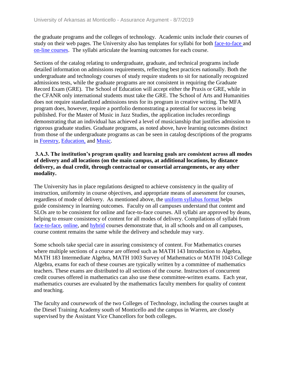the graduate programs and the colleges of technology. Academic units include their courses of study on their web pages. The University also has templates for syllabi for both face-to-face and on-line courses. The syllabi articulate the learning outcomes for each course.

Sections of the catalog relating to undergraduate, graduate, and technical programs include detailed information on admissions requirements, reflecting best practices nationally. Both the undergraduate and technology courses of study require students to sit for nationally recognized admissions tests, while the graduate programs are not consistent in requiring the Graduate Record Exam (GRE). The School of Education will accept either the Praxis or GRE, while in the CFANR only international students must take the GRE. The School of Arts and Humanities does not require standardized admissions tests for its program in creative writing. The MFA program does, however, require a portfolio demonstrating a potential for success in being published. For the Master of Music in Jazz Studies, the application includes recordings demonstrating that an individual has achieved a level of musicianship that justifies admission to rigorous graduate studies. Graduate programs, as noted above, have learning outcomes distinct from those of the undergraduate programs as can be seen in catalog descriptions of the programs in Forestry, Education, and Music.

#### **3.A.3. The institution's program quality and learning goals are consistent across all modes of delivery and all locations (on the main campus, at additional locations, by distance delivery, as dual credit, through contractual or consortial arrangements, or any other modality.**

The University has in place regulations designed to achieve consistency in the quality of instruction, uniformity in course objectives, and appropriate means of assessment for courses, regardless of mode of delivery. As mentioned above, the uniform syllabus format helps guide consistency in learning outcomes. Faculty on all campuses understand that content and SLOs are to be consistent for online and face-to-face courses. All syllabi are approved by deans, helping to ensure consistency of content for all modes of delivery. Compilations of syllabi from face-to-face, online, and hybrid courses demonstrate that, in all schools and on all campuses, course content remains the same while the delivery and schedule may vary.

Some schools take special care in assuring consistency of content. For Mathematics courses where multiple sections of a course are offered such as MATH 143 Introduction to Algebra, MATH 183 Intermediate Algebra, MATH 1003 Survey of Mathematics or MATH 1043 College Algebra, exams for each of these courses are typically written by a committee of mathematics teachers. These exams are distributed to all sections of the course. Instructors of concurrent credit courses offered in mathematics can also use these committee-written exams. Each year, mathematics courses are evaluated by the mathematics faculty members for quality of content and teaching.

The faculty and coursework of the two Colleges of Technology, including the courses taught at the Diesel Training Academy south of Monticello and the campus in Warren, are closely supervised by the Assistant Vice Chancellors for both colleges.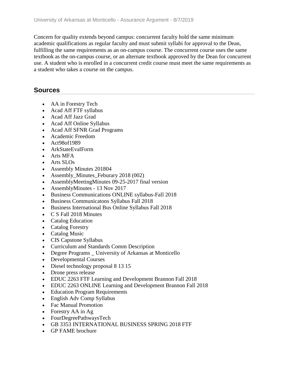Concern for quality extends beyond campus: concurrent faculty hold the same minimum academic qualifications as regular faculty and must submit syllabi for approval to the Dean, fulfilling the same requirements as an on-campus course. The concurrent course uses the same textbook as the on-campus course, or an alternate textbook approved by the Dean for concurrent use. A student who is enrolled in a concurrent credit course must meet the same requirements as a student who takes a course on the campus.

### **Sources**

- AA in Forestry Tech
- Acad Aff FTF syllabus
- Acad Aff Jazz Grad
- Acad Aff Online Syllabus
- Acad Aff SFNR Grad Programs
- Academic Freedom
- Act98of1989
- ArkStateEvalForm
- Arts MFA
- Arts SLOs
- Assembly Minutes 201804
- Assembly\_Minutes\_Feburary 2018 (002)
- AssemblyMeetingMinutes 09-25-2017 final version
- AssemblyMinutes 13 Nov 2017
- Business Communications ONLINE syllabus-Fall 2018
- Business Communicatons Syllabus Fall 2018
- Business International Bus Online Syllabus Fall 2018
- C S Fall 2018 Minutes
- Catalog Education
- Catalog Forestry
- Catalog Music
- CIS Capstone Syllabus
- Curriculum and Standards Comm Description
- Degree Programs \_ University of Arkansas at Monticello
- Developmental Courses
- Diesel technology proposal 8 13 15
- Drone press release
- EDUC 2263 FTF Learning and Development Brannon Fall 2018
- EDUC 2263 ONLINE Learning and Development Brannon Fall 2018
- Education Program Requirements
- English Adv Comp Syllabus
- Fac Manual Promotion
- Forestry AA in Ag
- FourDegreePathwaysTech
- GB 3353 INTERNATIONAL BUSINESS SPRING 2018 FTF
- GP FAME brochure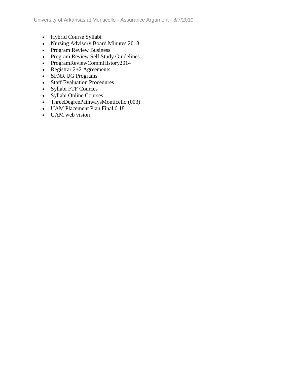- Hybrid Course Syllabi
- Nursing Advisory Board Minutes 2018
- Program Review Business
- Program Review Self Study Guidelines
- ProgramReviewCommHistory2014
- Registrar  $2+2$  Agreements
- SFNR UG Programs
- Staff Evaluation Procedures
- Syllabi FTF Cources
- Syllabi Online Courses
- ThreeDegreePathwaysMonticello (003)
- UAM Placement Plan Final 6 18
- UAM web vision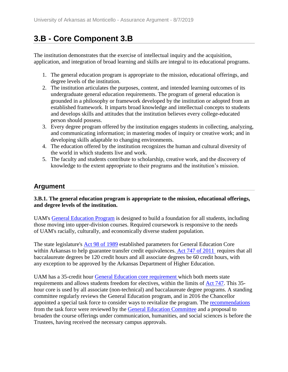# **3.B - Core Component 3.B**

The institution demonstrates that the exercise of intellectual inquiry and the acquisition, application, and integration of broad learning and skills are integral to its educational programs.

- 1. The general education program is appropriate to the mission, educational offerings, and degree levels of the institution.
- 2. The institution articulates the purposes, content, and intended learning outcomes of its undergraduate general education requirements. The program of general education is grounded in a philosophy or framework developed by the institution or adopted from an established framework. It imparts broad knowledge and intellectual concepts to students and develops skills and attitudes that the institution believes every college-educated person should possess.
- 3. Every degree program offered by the institution engages students in collecting, analyzing, and communicating information; in mastering modes of inquiry or creative work; and in developing skills adaptable to changing environments.
- 4. The education offered by the institution recognizes the human and cultural diversity of the world in which students live and work.
- 5. The faculty and students contribute to scholarship, creative work, and the discovery of knowledge to the extent appropriate to their programs and the institution's mission.

### **Argument**

#### **3.B.1. The general education program is appropriate to the mission, educational offerings, and degree levels of the institution.**

UAM's General Education Program is designed to build a foundation for all students, including those moving into upper-division courses. Required coursework is responsive to the needs of UAM's racially, culturally, and economically diverse student population.

The state legislature's Act 98 of 1989 established parameters for General Education Core within Arkansas to help guarantee transfer credit equivalences. Act 747 of 2011 requires that all baccalaureate degrees be 120 credit hours and all associate degrees be 60 credit hours, with any exception to be approved by the Arkansas Department of Higher Education.

UAM has a 35-credit hour General Education core requirement which both meets state requirements and allows students freedom for electives, within the limits of Act 747. This 35 hour core is used by all associate (non-technical) and baccalaureate degree programs. A standing committee regularly reviews the General Education program, and in 2016 the Chancellor appointed a special task force to consider ways to revitalize the program. The recommendations from the task force were reviewed by the **General Education Committee** and a proposal to broaden the course offerings under communication, humanities, and social sciences is before the Trustees, having received the necessary campus approvals.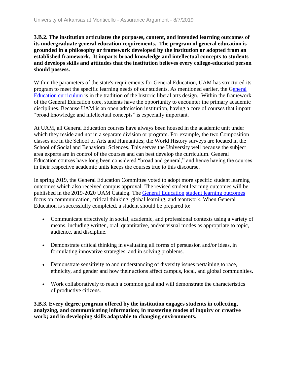**3.B.2. The institution articulates the purposes, content, and intended learning outcomes of its undergraduate general education requirements. The program of general education is grounded in a philosophy or framework developed by the institution or adopted from an established framework. It imparts broad knowledge and intellectual concepts to students and develops skills and attitudes that the institution believes every college-educated person should possess.**

Within the parameters of the state's requirements for General Education, UAM has structured its program to meet the specific learning needs of our students. As mentioned earlier, the General Education curriculum is in the tradition of the historic liberal arts design. Within the framework of the General Education core, students have the opportunity to encounter the primary academic disciplines. Because UAM is an open admission institution, having a core of courses that impart "broad knowledge and intellectual concepts" is especially important.

At UAM, all General Education courses have always been housed in the academic unit under which they reside and not in a separate division or program. For example, the two Composition classes are in the School of Arts and Humanities; the World History surveys are located in the School of Social and Behavioral Sciences. This serves the University well because the subject area experts are in control of the courses and can best develop the curriculum. General Education courses have long been considered "broad and general," and hence having the courses in their respective academic units keeps the courses true to this discourse.

In spring 2019, the General Education Committee voted to adopt more specific student learning outcomes which also received campus approval. The revised student learning outcomes will be published in the 2019-2020 UAM Catalog. The General Education student learning outcomes focus on communication, critical thinking, global learning, and teamwork. When General Education is successfully completed, a student should be prepared to:

- Communicate effectively in social, academic, and professional contexts using a variety of means, including written, oral, quantitative, and/or visual modes as appropriate to topic, audience, and discipline.
- Demonstrate critical thinking in evaluating all forms of persuasion and/or ideas, in formulating innovative strategies, and in solving problems.
- Demonstrate sensitivity to and understanding of diversity issues pertaining to race, ethnicity, and gender and how their actions affect campus, local, and global communities.
- Work collaboratively to reach a common goal and will demonstrate the characteristics of productive citizens.

**3.B.3. Every degree program offered by the institution engages students in collecting, analyzing, and communicating information; in mastering modes of inquiry or creative work; and in developing skills adaptable to changing environments.**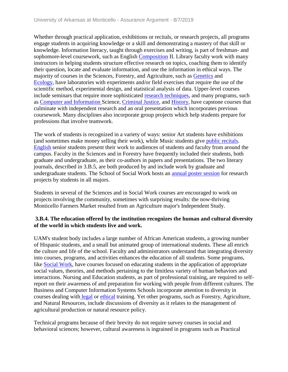Whether through practical application, exhibitions or recitals, or research projects, all programs engage students in acquiring knowledge or a skill and demonstrating a mastery of that skill or knowledge. Information literacy, taught through exercises and writing, is part of freshman- and sophomore-level coursework, such as English Composition II. Library faculty work with many instructors in helping students structure effective research on topics, coaching them to identify their question, locate and evaluate information, and use the information in ethical ways. The majority of courses in the Sciences, Forestry, and Agriculture, such as Genetics and Ecology, have laboratories with experiments and/or field exercises that require the use of the scientific method, experimental design, and statistical analysis of data. Upper-level courses include seminars that require more sophisticated research techniques, and many programs, such as Computer and Information Science, Criminal Justice, and History, have capstone courses that culminate with independent research and an oral presentation which incorporates previous coursework. Many disciplines also incorporate group projects which help students prepare for professions that involve teamwork.

The work of students is recognized in a variety of ways: senior Art students have exhibitions (and sometimes make money selling their work), while Music students give public recitals. English senior students present their work to audiences of students and faculty from around the campus. Faculty in the Sciences and in Forestry have frequently included their students, both graduate and undergraduate, as their co-authors in papers and presentations. The two literary journals, described in 3.B.5, are both produced by and include work by graduate and undergraduate students. The School of Social Work hosts an annual poster session for research projects by students in all majors.

Students in several of the Sciences and in Social Work courses are encouraged to work on projects involving the community, sometimes with surprising results: the now-thriving Monticello Farmers Market resulted from an Agriculture major's Independent Study.

#### **3.B.4. The education offered by the institution recognizes the human and cultural diversity of the world in which students live and work.**

UAM's student body includes a large number of African American students, a growing number of Hispanic students, and a small but animated group of international students. These all enrich the culture and life of the school. Faculty and administrators understand that integrating diversity into courses, programs, and activities enhances the education of all students. Some programs, like Social Work, have courses focused on educating students in the application of appropriate social values, theories, and methods pertaining to the limitless variety of human behaviors and interactions. Nursing and Education students, as part of professional training, are required to selfreport on their awareness of and preparation for working with people from different cultures. The Business and Computer Information Systems Schools incorporate attention to diversity in courses dealing with legal or ethical training. Yet other programs, such as Forestry, Agriculture, and Natural Resources, include discussions of diversity as it relates to the management of agricultural production or natural resource policy.

Technical programs because of their brevity do not require survey courses in social and behavioral sciences; however, cultural awareness is ingrained in programs such as Practical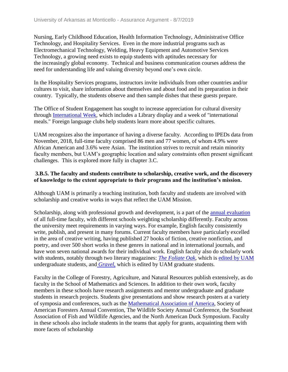Nursing, Early Childhood Education, Health Information Technology, Administrative Office Technology, and Hospitality Services. Even in the more industrial programs such as Electromechanical Technology, Welding, Heavy Equipment and Automotive Services Technology, a growing need exists to equip students with aptitudes necessary for the increasingly global economy. Technical and business communication courses address the need for understanding life and valuing diversity beyond one's own circle.

In the Hospitality Services programs, instructors invite individuals from other countries and/or cultures to visit, share information about themselves and about food and its preparation in their country. Typically, the students observe and then sample dishes that these guests prepare.

The Office of Student Engagement has sought to increase appreciation for cultural diversity through International Week, which includes a Library display and a week of "international meals." Foreign language clubs help students learn more about specific cultures.

UAM recognizes also the importance of having a diverse faculty. According to IPEDs data from November, 2018, full-time faculty comprised 86 men and 77 women, of whom 4.9% were African American and 3.6% were Asian. The institution strives to recruit and retain minority faculty members, but UAM's geographic location and salary constraints often present significant challenges. This is explored more fully in chapter 3.C.

#### **3.B.5. The faculty and students contribute to scholarship, creative work, and the discovery of knowledge to the extent appropriate to their programs and the institution's mission.**

Although UAM is primarily a teaching institution, both faculty and students are involved with scholarship and creative works in ways that reflect the UAM Mission.

Scholarship, along with professional growth and development, is a part of the annual evaluation of all full-time faculty, with different schools weighting scholarship differently. Faculty across the university meet requirements in varying ways. For example, English faculty consistently write, publish, and present in many forums. Current faculty members have particularly excelled in the area of creative writing, having published 27 books of fiction, creative nonfiction, and poetry, and over 500 short works in these genres in national and in international journals, and have won seven national awards for their individual work. English faculty also do scholarly work with students, notably through two literary magazines: *[The Foliate Oak](../../evidence/viewfile?fileId=602600)*, which is [edited by UAM](../../evidence/viewfile?fileId=602602) undergraduate students, and *[Gravel](../../evidence/viewfile?fileId=602601)*, which is edited by UAM graduate students.

Faculty in the College of Forestry, Agriculture, and Natural Resources publish extensively, as do faculty in the School of Mathematics and Sciences. In addition to their own work, faculty members in these schools have research assignments and mentor undergraduate and graduate students in research projects. Students give presentations and show research posters at a variety of symposia and conferences, such as the [Mathematical Association of America,](../../evidence/viewfile?fileId=684632) Society of American Foresters Annual Convention, The Wildlife Society Annual Conference, the Southeast Association of Fish and Wildlife Agencies, and the North American Duck Symposium. Faculty in these schools also include students in the teams that apply for grants, acquainting them with more facets of scholarship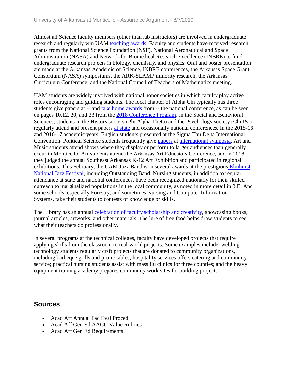Almost all Science faculty members (other than lab instructors) are involved in undergraduate research and regularly win UAM teaching awards. Faculty and students have received research grants from the National Science Foundation (NSF), National Aeronautical and Space Administration (NASA) and Network for Biomedical Research Excellence (INBRE) to fund undergraduate research projects in biology, chemistry, and physics. Oral and poster presentation are made at the Arkansas Academic of Science, INBRE conferences, the Arkansas Space Grant Consortium (NASA) symposiums, the ARK-SLAMP minority research, the Arkansas Curriculum Conference, and the National Council of Teachers of Mathematics meeting.

UAM students are widely involved with national honor societies in which faculty play active roles encouraging and guiding students. The local chapter of Alpha Chi typically has three students give papers at -- and take home awards from -- the national conference, as can be seen on pages 10,12, 20, and 23 from the 2018 Conference Program. In the Social and Behavioral Sciences, students in the History society (Phi Alpha Theta) and the Psychology society (Chi Psi) regularly attend and present papers at state and occasionally national conferences. In the 2015-16 and 2016-17 academic years, English students presented at the Sigma Tau Delta International Convention. Political Science students frequently give papers at international symposia. Art and Music students attend shows where they display or perform to larger audiences than generally occur in Monticello. Art students attend the Arkansas Art Educators Conference, and in 2018 they judged the annual Southeast Arkansas K-12 Art Exhibition and participated in regional exhibitions. This February, the UAM Jazz Band won several awards at the prestigious Elmhurst National Jazz Festival, including Outstanding Band. Nursing students, in addition to regular attendance at state and national conferences, have been recognized nationally for their skilled outreach to marginalized populations in the local community, as noted in more detail in 3.E. And some schools, especially Forestry, and sometimes Nursing and Computer Information Systems, take their students to contests of knowledge or skills.

The Library has an annual celebration of faculty scholarship and creativity, showcasing books, journal articles, artworks, and other materials. The lure of free food helps draw students to see what their teachers do professionally.

In several programs at the technical colleges, faculty have developed projects that require applying skills from the classroom to real-world projects. Some examples include: welding technology students regularly craft projects that are donated to community organizations, including barbeque grills and picnic tables; hospitality services offers catering and community service; practical nursing students assist with mass flu clinics for three counties; and the heavy equipment training academy prepares community work sites for building projects.

### **Sources**

- Acad Aff Annual Fac Eval Proced
- Acad Aff Gen Ed AACU Value Rubrics
- Acad Aff Gen Ed Requirements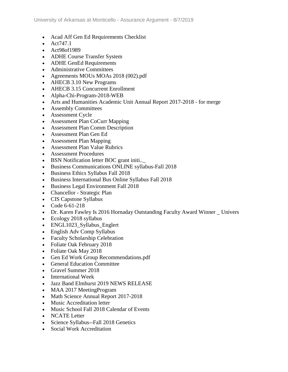- Acad Aff Gen Ed Requirements Checklist
- $\bullet$  Act747.1
- Act98of1989
- ADHE Course Transfer System
- ADHE GenEd Requirements
- Administrative Committees
- Agreements MOUs MOAs 2018 (002).pdf
- AHECB 3.10 New Programs
- AHECB 3.15 Concurrent Enrollment
- Alpha-Chi-Program-2018-WEB
- Arts and Humanities Academic Unit Annual Report 2017-2018 for merge
- Assembly Committees
- Assessment Cycle
- Assessment Plan CoCurr Mapping
- Assessment Plan Comm Description
- Assessment Plan Gen Ed
- Assessment Plan Mapping
- Assessment Plan Value Rubrics
- Assessment Procedures
- BSN Notification letter BOC grant initi..\_
- Business Communications ONLINE syllabus-Fall 2018
- Business Ethics Syllabus Fall 2018
- Business International Bus Online Syllabus Fall 2018
- **Business Legal Environment Fall 2018**
- Chancellor Strategic Plan
- CIS Capstone Syllabus
- $\bullet$  Code 6-61-218
- Dr. Karen Fawley Is 2016 Hornaday Outstanding Faculty Award Winner Univers
- Ecology 2018 syllabus
- ENGL1023 Syllabus Englert
- English Adv Comp Syllabus
- Faculty Scholarship Celebration
- Foliate Oak February 2018
- Foliate Oak May 2018
- Gen Ed Work Group Recommendations.pdf
- General Education Committee
- Gravel Summer 2018
- International Week
- Jazz Band Elmhurst 2019 NEWS RELEASE
- MAA 2017 Meeting Program
- Math Science Annual Report 2017-2018
- Music Accreditation letter
- Music School Fall 2018 Calendar of Events
- NCATE Letter
- Science Syllabus--Fall 2018 Genetics
- Social Work Accreditation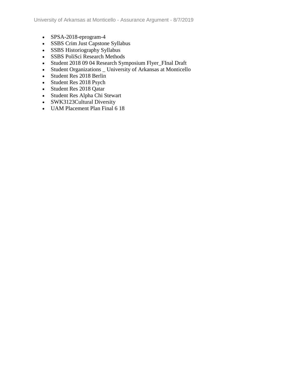- SPSA-2018-eprogram-4
- SSBS Crim Just Capstone Syllabus
- SSBS Historiography Syllabus
- SSBS PoliSci Research Methods
- Student 2018 09 04 Research Symposium Flyer\_FInal Draft
- Student Organizations \_ University of Arkansas at Monticello
- Student Res 2018 Berlin
- Student Res 2018 Psych
- Student Res 2018 Qatar
- Student Res Alpha Chi Stewart
- SWK3123Cultural Diversity
- UAM Placement Plan Final 6 18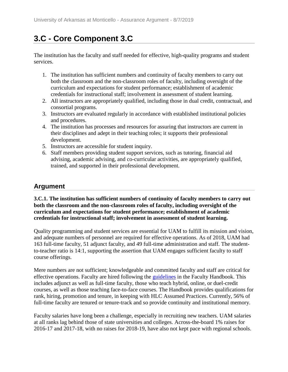# **3.C - Core Component 3.C**

The institution has the faculty and staff needed for effective, high-quality programs and student services.

- 1. The institution has sufficient numbers and continuity of faculty members to carry out both the classroom and the non-classroom roles of faculty, including oversight of the curriculum and expectations for student performance; establishment of academic credentials for instructional staff; involvement in assessment of student learning.
- 2. All instructors are appropriately qualified, including those in dual credit, contractual, and consortial programs.
- 3. Instructors are evaluated regularly in accordance with established institutional policies and procedures.
- 4. The institution has processes and resources for assuring that instructors are current in their disciplines and adept in their teaching roles; it supports their professional development.
- 5. Instructors are accessible for student inquiry.
- 6. Staff members providing student support services, such as tutoring, financial aid advising, academic advising, and co-curricular activities, are appropriately qualified, trained, and supported in their professional development.

### **Argument**

**3.C.1. The institution has sufficient numbers of continuity of faculty members to carry out both the classroom and the non-classroom roles of faculty, including oversight of the curriculum and expectations for student performance; establishment of academic credentials for instructional staff; involvement in assessment of student learning.**

Quality programming and student services are essential for UAM to fulfill its mission and vision, and adequate numbers of personnel are required for effective operations. As of 2018, UAM had 163 full-time faculty, 51 adjunct faculty, and 49 full-time administration and staff. The studentto-teacher ratio is 14:1, supporting the assertion that UAM engages sufficient faculty to staff course offerings.

Mere numbers are not sufficient; knowledgeable and committed faculty and staff are critical for effective operations. Faculty are hired following the guidelines in the Faculty Handbook. This includes adjunct as well as full-time faculty, those who teach hybrid, online, or duel-credit courses, as well as those teaching face-to-face courses. The Handbook provides qualifications for rank, hiring, promotion and tenure, in keeping with HLC Assumed Practices. Currently, 56% of full-time faculty are tenured or tenure-track and so provide continuity and institutional memory.

Faculty salaries have long been a challenge, especially in recruiting new teachers. UAM salaries at all ranks lag behind those of state universities and colleges. Across-the-board 1% raises for 2016-17 and 2017-18, with no raises for 2018-19, have also not kept pace with regional schools.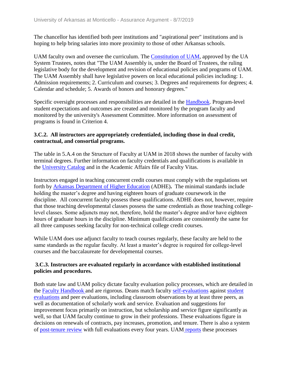The chancellor has identified both peer institutions and "aspirational peer" institutions and is hoping to help bring salaries into more proximity to those of other Arkansas schools.

UAM faculty own and oversee the curriculum. The Constitution of UAM, approved by the UA System Trustees, notes that "The UAM Assembly is, under the Board of Trustees, the ruling legislative body for the development and revision of educational policies and programs of UAM. The UAM Assembly shall have legislative powers on local educational policies including: 1. Admission requirements; 2. Curriculum and courses; 3. Degrees and requirements for degrees; 4. Calendar and schedule; 5. Awards of honors and honorary degrees."

Specific oversight processes and responsibilities are detailed in the Handbook. Program-level student expectations and outcomes are created and monitored by the program faculty and monitored by the university's Assessment Committee. More information on assessment of programs is found in Criterion 4.

#### **3.C.2. All instructors are appropriately credentialed, including those in dual credit, contractual, and consortial programs.**

The table in 5.A.4 on the Structure of Faculty at UAM in 2018 shows the number of faculty with terminal degrees. Further information on faculty credentials and qualifications is available in the University Catalog and in the Academic Affairs file of Faculty Vitas.

Instructors engaged in teaching concurrent credit courses must comply with the regulations set forth by Arkansas Department of Higher Education (ADHE)**.** The minimal standards include holding the master's degree and having eighteen hours of graduate coursework in the discipline. All concurrent faculty possess these qualifications. ADHE does not, however, require that those teaching developmental classes possess the same credentials as those teaching collegelevel classes. Some adjuncts may not, therefore, hold the master's degree and/or have eighteen hours of graduate hours in the discipline. Minimum qualifications are consistently the same for all three campuses seeking faculty for non-technical college credit courses.

While UAM does use adjunct faculty to teach courses regularly, these faculty are held to the same standards as the regular faculty. At least a master's degree is required for college-level courses and the baccalaureate for developmental courses.

#### **3.C.3. Instructors are evaluated regularly in accordance with established institutional policies and procedures.**

Both state law and UAM policy dictate faculty evaluation policy processes, which are detailed in the Faculty Handbook and are rigorous. Deans match faculty self-evaluations against student evaluations and peer evaluations, including classroom observations by at least three peers, as well as documentation of scholarly work and service. Evaluation and suggestions for improvement focus primarily on instruction, but scholarship and service figure significantly as well, so that UAM faculty continue to grow in their professions. These evaluations figure in decisions on renewals of contracts, pay increases, promotion, and tenure. There is also a system of post-tenure review with full evaluations every four years. UAM reports these processes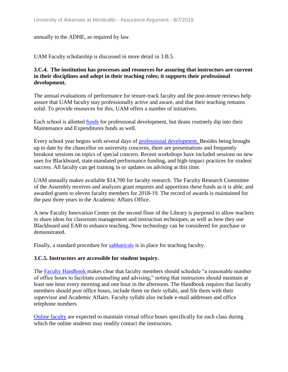#### annually to the ADHE, as required by law.

UAM Faculty scholarship is discussed in more detail in 3.B.5.

#### **3.C.4. The institution has processes and resources for assuring that instructors are current in their disciplines and adept in their teaching roles; it supports their professional development.**

The annual evaluations of performance for tenure-track faculty and the post-tenure reviews help assure that UAM faculty stay professionally active and aware, and that their teaching remains solid. To provide resources for this, UAM offers a number of initiatives.

Each school is allotted funds for professional development, but deans routinely dip into their Maintenance and Expenditures funds as well.

Every school year begins with several days of professional development. Besides being brought up to date by the chancellor on university concerns, there are presentations and frequently breakout sessions on topics of special concern. Recent workshops have included sessions on new uses for Blackboard, state-mandated performance funding, and high-impact practices for student success. All faculty can get training in or updates on advising at this time.

UAM annually makes available \$14,700 for faculty research. The Faculty Research Committee of the Assembly receives and analyzes grant requests and apportions these funds as it is able, and awarded grants to eleven faculty members for 2018-19. The record of awards is maintained for the past three years in the Academic Affairs Office.

A new Faculty Innovation Center on the second floor of the Library is purposed to allow teachers to share ideas for classroom management and instruction techniques, as well as how they use Blackboard and EAB to enhance teaching. New technology can be considered for purchase or demonstrated.

Finally, a standard procedure for sabbaticals is in place for teaching faculty.

#### **3.C.5. Instructors are accessible for student inquiry.**

The Faculty Handbook makes clear that faculty members should schedule "a reasonable number of office hours to facilitate counseling and advising," noting that instructors should maintain at least one hour every morning and one hour in the afternoon. The Handbook requires that faculty members should post office hours, include them on their syllabi, and file them with their supervisor and Academic Affairs. Faculty syllabi also include e-mail addresses and office telephone numbers

Online faculty are expected to maintain virtual office hours specifically for each class during which the online students may readily contact the instructors.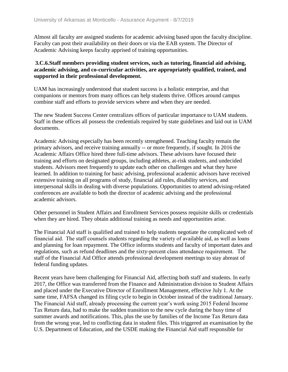Almost all faculty are assigned students for academic advising based upon the faculty discipline. Faculty can post their availability on their doors or via the EAB system. The Director of Academic Advising keeps faculty apprised of training opportunities.

#### **3.C.6.Staff members providing student services, such as tutoring, financial aid advising, academic advising, and co-curricular activities, are appropriately qualified, trained, and supported in their professional development.**

UAM has increasingly understood that student success is a holistic enterprise, and that companions or mentors from many offices can help students thrive. Offices around campus combine staff and efforts to provide services where and when they are needed.

The new Student Success Center centralizes offices of particular importance to UAM students. Staff in these offices all possess the credentials required by state guidelines and laid out in UAM documents.

Academic Advising especially has been recently strengthened. Teaching faculty remain the primary advisors, and receive training annually -- or more frequently, if sought. In 2016 the Academic Affairs Office hired three full-time advisors. These advisors have focused their training and efforts on designated groups, including athletes, at-risk students, and undecided students. Advisors meet frequently to update each other on challenges and what they have learned. In addition to training for basic advising, professional academic advisors have received extensive training on all programs of study, financial aid rules, disability services, and interpersonal skills in dealing with diverse populations. Opportunities to attend advising-related conferences are available to both the director of academic advising and the professional academic advisors.

Other personnel in Student Affairs and Enrollment Services possess requisite skills or credentials when they are hired. They obtain additional training as needs and opportunities arise.

The Financial Aid staff is qualified and trained to help students negotiate the complicated web of financial aid.  The staff counsels students regarding the variety of available aid, as well as loans and planning for loan repayment. The Office informs students and faculty of important dates and regulations, such as refund deadlines and the sixty-percent class attendance requirement.   The staff of the Financial Aid Office attends professional development meetings to stay abreast of federal funding updates.

Recent years have been challenging for Financial Aid, affecting both staff and students. In early 2017, the Office was transferred from the Finance and Administration division to Student Affairs and placed under the Executive Director of Enrollment Management, effective July 1. At the same time, FAFSA changed its filing cycle to begin in October instead of the traditional January. The Financial Aid staff, already processing the current year's work using 2015 Federal Income Tax Return data, had to make the sudden transition to the new cycle during the busy time of summer awards and notifications. This, plus the use by families of the Income Tax Return data from the wrong year, led to conflicting data in student files. This triggered an examination by the U.S. Department of Education, and the USDE making the Financial Aid staff responsible for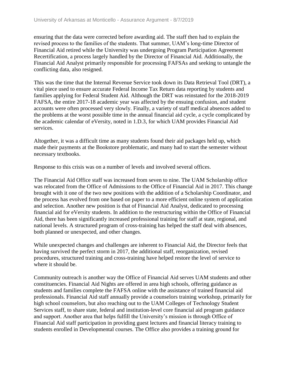ensuring that the data were corrected before awarding aid. The staff then had to explain the revised process to the families of the students. That summer, UAM's long-time Director of Financial Aid retired while the University was undergoing Program Participation Agreement Recertification, a process largely handled by the Director of Financial Aid. Additionally, the Financial Aid Analyst primarily responsible for processing FAFSAs and seeking to untangle the conflicting data, also resigned.

This was the time that the Internal Revenue Service took down its Data Retrieval Tool (DRT), a vital piece used to ensure accurate Federal Income Tax Return data reporting by students and families applying for Federal Student Aid. Although the DRT was reinstated for the 2018-2019 FAFSA, the entire 2017-18 academic year was affected by the ensuing confusion, and student accounts were often processed very slowly. Finally, a variety of staff medical absences added to the problems at the worst possible time in the annual financial aid cycle, a cycle complicated by the academic calendar of eVersity, noted in 1.D.3, for which UAM provides Financial Aid services.

Altogether, it was a difficult time as many students found their aid packages held up, which made their payments at the Bookstore problematic, and many had to start the semester without necessary textbooks.

Response to this crisis was on a number of levels and involved several offices.

The Financial Aid Office staff was increased from seven to nine. The UAM Scholarship office was relocated from the Office of Admissions to the Office of Financial Aid in 2017. This change brought with it one of the two new positions with the addition of a Scholarship Coordinator, and the process has evolved from one based on paper to a more efficient online system of application and selection. Another new position is that of Financial Aid Analyst, dedicated to processing financial aid for eVersity students. In addition to the restructuring within the Office of Financial Aid, there has been significantly increased professional training for staff at state, regional, and national levels. A structured program of cross-training has helped the staff deal with absences, both planned or unexpected, and other changes.

While unexpected changes and challenges are inherent to Financial Aid, the Director feels that having survived the perfect storm in 2017, the additional staff, reorganization, revised procedures, structured training and cross-training have helped restore the level of service to where it should be.

Community outreach is another way the Office of Financial Aid serves UAM students and other constituencies. Financial Aid Nights are offered in area high schools, offering guidance as students and families complete the FAFSA online with the assistance of trained financial aid professionals. Financial Aid staff annually provide a counselors training workshop, primarily for high school counselors, but also reaching out to the UAM Colleges of Technology Student Services staff, to share state, federal and institution-level core financial aid program guidance and support. Another area that helps fulfill the University's mission is through Office of Financial Aid staff participation in providing guest lectures and financial literacy training to students enrolled in Developmental courses. The Office also provides a training ground for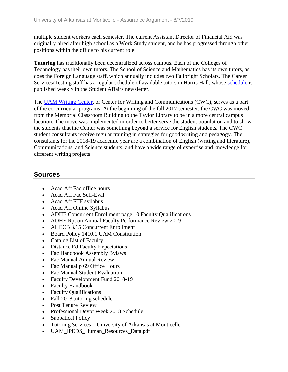multiple student workers each semester. The current Assistant Director of Financial Aid was originally hired after high school as a Work Study student, and he has progressed through other positions within the office to his current role.

**Tutoring** has traditionally been decentralized across campus. Each of the Colleges of Technology has their own tutors. The School of Science and Mathematics has its own tutors, as does the Foreign Language staff, which annually includes two Fullbright Scholars. The Career Services/Testing staff has a regular schedule of available tutors in Harris Hall, whose schedule is published weekly in the Student Affairs newsletter.

The UAM Writing Center, or Center for Writing and Communications (CWC), serves as a part of the co-curricular programs. At the beginning of the fall 2017 semester, the CWC was moved from the Memorial Classroom Building to the Taylor Library to be in a more central campus location. The move was implemented in order to better serve the student population and to show the students that the Center was something beyond a service for English students. The CWC student consultants receive regular training in strategies for good writing and pedagogy. The consultants for the 2018-19 academic year are a combination of English (writing and literature), Communications, and Science students, and have a wide range of expertise and knowledge for different writing projects.

### **Sources**

- Acad Aff Fac office hours
- Acad Aff Fac Self-Eval
- Acad Aff FTF syllabus
- Acad Aff Online Syllabus
- ADHE Concurrent Enrollment page 10 Faculty Qualifications
- ADHE Rpt on Annual Faculty Performance Review 2019
- AHECB 3.15 Concurrent Enrollment
- Board Policy 1410.1 UAM Constitution
- Catalog List of Faculty
- Distance Ed Faculty Expectations
- Fac Handbook Assembly Bylaws
- Fac Manual Annual Review
- Fac Manual p 69 Office Hours
- Fac Manual Student Evaluation
- Faculty Development Fund 2018-19
- Faculty Handbook
- Faculty Qualifications
- Fall 2018 tutoring schedule
- Post Tenure Review
- Professional Devpt Week 2018 Schedule
- Sabbatical Policy
- Tutoring Services \_ University of Arkansas at Monticello
- UAM\_IPEDS\_Human\_Resources\_Data.pdf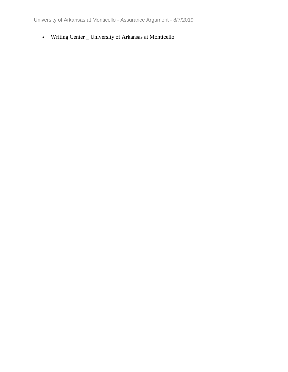University of Arkansas at Monticello - Assurance Argument - 8/7/2019

Writing Center \_ University of Arkansas at Monticello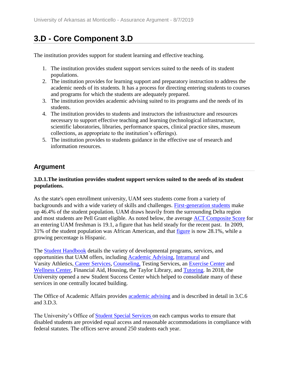# **3.D - Core Component 3.D**

The institution provides support for student learning and effective teaching.

- 1. The institution provides student support services suited to the needs of its student populations.
- 2. The institution provides for learning support and preparatory instruction to address the academic needs of its students. It has a process for directing entering students to courses and programs for which the students are adequately prepared.
- 3. The institution provides academic advising suited to its programs and the needs of its students.
- 4. The institution provides to students and instructors the infrastructure and resources necessary to support effective teaching and learning (technological infrastructure, scientific laboratories, libraries, performance spaces, clinical practice sites, museum collections, as appropriate to the institution's offerings).
- 5. The institution provides to students guidance in the effective use of research and information resources.

## **Argument**

#### **3.D.1.The institution provides student support services suited to the needs of its student populations.**

As the state's open enrollment university, UAM sees students come from a variety of backgrounds and with a wide variety of skills and challenges. First-generation students make up 46.4% of the student population. UAM draws heavily from the surrounding Delta region and most students are Pell Grant eligible. As noted below, the average ACT Composite Score for an entering UAM freshman is 19.1, a figure that has held steady for the recent past. In 2009, 31% of the student population was African American, and that figure is now 28.1%, while a growing percentage is Hispanic.

The Student Handbook details the variety of developmental programs, services, and opportunities that UAM offers, including Academic Advising, Intramural and Varsity Athletics, Career Services, Counseling, Testing Services, an Exercise Center and Wellness Center, Financial Aid, Housing, the Taylor Library, and Tutoring. In 2018, the University opened a new Student Success Center which helped to consolidate many of these services in one centrally located building.

The Office of Academic Affairs provides **academic advising** and is described in detail in 3.C.6 and 3.D.3.

The University's Office of Student Special Services on each campus works to ensure that disabled students are provided equal access and reasonable accommodations in compliance with federal statutes. The offices serve around 250 students each year.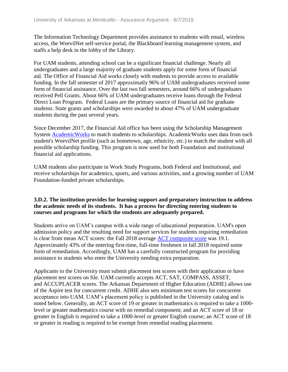The Information Technology Department provides assistance to students with email, wireless access, the WeevilNet self-service portal, the Blackboard learning management system, and staffs a help desk in the lobby of the Library.

For UAM students, attending school can be a significant financial challenge. Nearly all undergraduates and a large majority of graduate students apply for some form of financial aid. The Office of Financial Aid works closely with students to provide access to available funding. In the fall semester of 2017 approximatly 96% of UAM undergraduates received some form of financial assistance. Over the last two fall semesters, around 66% of undergraduates received Pell Grants. About 66% of UAM undergraduates receive loans through the Federal Direct Loan Program. Federal Loans are the primary source of financial aid for graduate students. State grants and scholarships were awarded to about 47% of UAM undergraduate students during the past several years.

Since December 2017, the Financial Aid office has been using the Scholarship Management System AcademicWorks to match students to scholarships. AcademicWorks uses data from each student's WeevilNet profile (such as hometown, age, ethnicity, etc.) to match the student with all possible scholarship funding. This program is now used for both Foundation and institutional financial aid applications.

UAM students also participate in Work Study Programs, both Federal and Institutional, and receive scholarships for academics, sports, and various activities, and a growing number of UAM Foundation-funded private scholarships.

#### **3.D.2. The institution provides for learning support and preparatory instruction to address the academic needs of its students. It has a process for directing entering students to courses and programs for which the students are adequately prepared.**

Students arrive on UAM's campus with a wide range of educational preparation. UAM's open admission policy and the resulting need for support services for students requiring remediation is clear from mean ACT scores: the Fall 2018 average ACT composite score was 19.1. Approximately 43% of the entering first-time, full-time freshmen in fall 2018 required some form of remediation. Accordingly, UAM has a carefully constructed program for providing assistance to students who enter the University needing extra preparation.

Applicants to the University must submit placement test scores with their application or have placement test scores on file. UAM currently accepts ACT, SAT, COMPASS, ASSET, and ACCUPLACER scores. The Arkansas Department of Higher Education (ADHE) allows use of the Aspire test for concurrent credit. ADHE also sets minimum test scores for concurrent acceptance into UAM. UAM's placement policy is published in the University catalog and is noted below. Generally, an ACT score of 19 or greater in mathematics is required to take a 1000 level or greater mathematics course with no remedial component; and an ACT score of 18 or greater in English is required to take a 1000-level or greater English course; an ACT score of 18 or greater in reading is required to be exempt from remedial reading placement.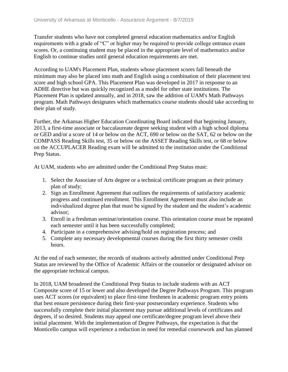Transfer students who have not completed general education mathematics and/or English requirements with a grade of "C" or higher may be required to provide college entrance exam scores. Or, a continuing student may be placed in the appropriate level of mathematics and/or English to continue studies until general education requirements are met.

According to UAM's Placement Plan, students whose placement scores fall beneath the minimum may also be placed into math and English using a combination of their placement test score and high school GPA. This Placement Plan was developed in 2017 in response to an ADHE directive but was quickly recognized as a model for other state institutions. The Placement Plan is updated annually, and in 2018, saw the addition of UAM's Math Pathways program. Math Pathways designates which mathematics course students should take according to their plan of study.

Further, the Arkansas Higher Education Coordinating Board indicated that beginning January, 2013, a first-time associate or baccalaureate degree seeking student with a high school diploma or GED and/or a score of 14 or below on the ACT, 690 or below on the SAT, 62 or below on the COMPASS Reading Skills test, 35 or below on the ASSET Reading Skills test, or 68 or below on the ACCUPLACER Reading exam will be admitted to the institution under the Conditional Prep Status.

At UAM, students who are admitted under the Conditional Prep Status must:

- 1. Select the Associate of Arts degree or a technical certificate program as their primary plan of study;
- 2. Sign an Enrollment Agreement that outlines the requirements of satisfactory academic progress and continued enrollment. This Enrollment Agreement must also include an individualized degree plan that must be signed by the student and the student's academic advisor;
- 3. Enroll in a freshman seminar/orientation course. This orientation course must be repeated each semester until it has been successfully completed;
- 4. Participate in a comprehensive advising/hold on registration process; and
- 5. Complete any necessary developmental courses during the first thirty semester credit hours.

At the end of each semester, the records of students actively admitted under Conditional Prep Status are reviewed by the Office of Academic Affairs or the counselor or designated advisor on the appropriate technical campus.

In 2018, UAM broadened the Conditional Prep Status to include students with an ACT Composite score of 15 or lower and also developed the Degree Pathways Program. This program uses ACT scores (or equivalent) to place first-time freshmen in academic program entry points that best ensure persistence during their first-year postsecondary experience. Students who successfully complete their initial placement may pursue additional levels of certificates and degrees, if so desired. Students may appeal one certificate/degree program level above their initial placement. With the implementation of Degree Pathways, the expectation is that the Monticello campus will experience a reduction in need for remedial coursework and has planned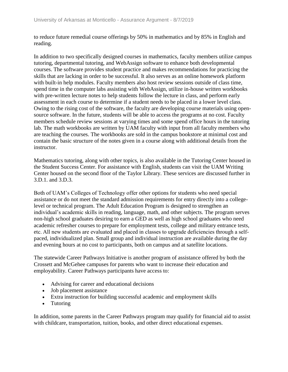to reduce future remedial course offerings by 50% in mathematics and by 85% in English and reading.

In addition to two specifically designed courses in mathematics, faculty members utilize campus tutoring, departmental tutoring, and WebAssign software to enhance both developmental courses. The software provides student practice and makes recommendations for practicing the skills that are lacking in order to be successful. It also serves as an online homework platform with built-in help modules. Faculty members also host review sessions outside of class time, spend time in the computer labs assisting with WebAssign, utilize in-house written workbooks with pre-written lecture notes to help students follow the lecture in class, and perform early assessment in each course to determine if a student needs to be placed in a lower level class. Owing to the rising cost of the software, the faculty are developing course materials using opensource software. In the future, students will be able to access the programs at no cost. Faculty members schedule review sessions at varying times and some spend office hours in the tutoring lab. The math workbooks are written by UAM faculty with input from all faculty members who are teaching the courses. The workbooks are sold in the campus bookstore at minimal cost and contain the basic structure of the notes given in a course along with additional details from the instructor.

Mathematics tutoring, along with other topics, is also available in the Tutoring Center housed in the Student Success Center. For assistance with English, students can visit the UAM Writing Center housed on the second floor of the Taylor Library. These services are discussed further in 3.D.1. and 3.D.3.

Both of UAM's Colleges of Technology offer other options for students who need special assistance or do not meet the standard admission requirements for entry directly into a collegelevel or technical program. The Adult Education Program is designed to strengthen an individual's academic skills in reading, language, math, and other subjects. The program serves non-high school graduates desiring to earn a GED as well as high school graduates who need academic refresher courses to prepare for employment tests, college and military entrance tests, etc. All new students are evaluated and placed in classes to upgrade deficiencies through a selfpaced, individualized plan. Small group and individual instruction are available during the day and evening hours at no cost to participants, both on campus and at satellite locations.

The statewide Career Pathways Initiative is another program of assistance offered by both the Crossett and McGehee campuses for parents who want to increase their education and employability. Career Pathways participants have access to:

- Advising for career and educational decisions
- Job placement assistance
- Extra instruction for building successful academic and employment skills
- Tutoring

In addition, some parents in the Career Pathways program may qualify for financial aid to assist with childcare, transportation, tuition, books, and other direct educational expenses.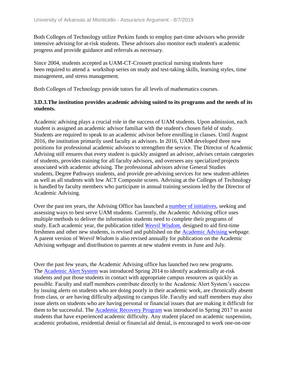Both Colleges of Technology utilize Perkins funds to employ part-time advisors who provide intensive advising for at-risk students. These advisors also monitor each student's academic progress and provide guidance and referrals as necessary.

Since 2004, students accepted as UAM-CT-Crossett practical nursing students have been required to attend a workshop series on study and test-taking skills, learning styles, time management, and stress management.

Both Colleges of Technology provide tutors for all levels of mathematics courses.

#### **3.D.3.The institution provides academic advising suited to its programs and the needs of its students.**

Academic advising plays a crucial role in the success of UAM students. Upon admission, each student is assigned an academic advisor familiar with the student's chosen field of study. Students are required to speak to an academic advisor before enrolling in classes. Until August 2016, the institution primarily used faculty as advisors. In 2016, UAM developed three new positions for professional academic advisors to strengthen the service. The Director of Academic Advising still ensures that every student is quickly assigned an advisor, advises certain categories of students, provides training for all faculty advisors, and oversees any specialized projects associated with academic advising. The professional advisors advise General Studies students, Degree Pathways students, and provide pre-advising services for new student-athletes as well as all students with low ACT Composite scores. Advising at the Colleges of Technology is handled by faculty members who participate in annual training sessions led by the Director of Academic Advising.

Over the past ten years, the Advising Office has launched a number of initiatives, seeking and assessing ways to best serve UAM students. Currently, the Academic Advising office uses multiple methods to deliver the information students need to complete their programs of study. Each academic year, the publication titled *Weevil Wisdom,* designed to aid first-time freshmen and other new students, is revised and published on the Academic Advising webpage. A parent version of *Weevil Wisdom* is also revised annually for publication on the Academic Advising webpage and distribution to parents at new student events in June and July.

Over the past few years, the Academic Advising office has launched two new programs. The Academic Alert System was introduced Spring 2014 to identify academically at-risk students and put those students in contact with appropriate campus resources as quickly as possible. Faculty and staff members contribute directly to the Academic Alert System's success by issuing alerts on students who are doing poorly in their academic work, are chronically absent from class, or are having difficulty adjusting to campus life. Faculty and staff members may also issue alerts on students who are having personal or financial issues that are making it difficult for them to be successful. The **Academic Recovery Program** was introduced in Spring 2017 to assist students that have experienced academic difficulty. Any student placed on academic suspension, academic probation, residential denial or financial aid denial, is encouraged to work one-on-one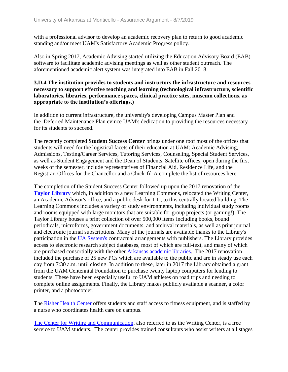with a professional advisor to develop an academic recovery plan to return to good academic standing and/or meet UAM's Satisfactory Academic Progress policy.

Also in Spring 2017, Academic Advising started utilizing the Education Advisory Board (EAB) software to facilitate academic advising meetings as well as other student outreach. The aforementioned academic alert system was integrated into EAB in Fall 2018.

#### **3.D.4 The institution provides to students and instructors the infrastructure and resources necessary to support effective teaching and learning (technological infrastructure, scientific laboratories, libraries, performance spaces, clinical practice sites, museum collections, as appropriate to the institution's offerings.)**

In addition to current infrastructure, the university's developing Campus Master Plan and the Deferred Maintenance Plan evince UAM's dedication to providing the resources necessary for its students to succeed.

The recently completed **Student Success Center** brings under one roof most of the offices that students will need for the logistical facets of their education at UAM: Academic Advising, Admissions, Testing/Career Services, Tutoring Services, Counseling, Special Student Services, as well as Student Engagement and the Dean of Students. Satellite offices, open during the first weeks of the semester, include representatives of Financial Aid, Residence Life, and the Registrar. Offices for the Chancellor and a Chick-fil-A complete the list of resources here.

The completion of the Student Success Center followed up upon the 2017 renovation of the **Taylor Library** which, in addition to a new Learning Commons, relocated the Writing Center, an Academic Advisor's office, and a public desk for I.T., to this centrally located building. The Learning Commons includes a variety of study environments, including individual study rooms and rooms equipped with large monitors that are suitable for group projects (or gaming!). The Taylor Library houses a print collection of over 500,000 items including books, bound periodicals, microforms, government documents, and archival materials, as well as print journal and electronic journal subscriptions. Many of the journals are available thanks to the Library's participation in the UA System's contractual arrangements with publishers. The Library provides access to electronic research subject databases, most of which are full-text, and many of which are purchased consortially with the other Arkansas academic libraries. The 2017 renovation included the purchase of 25 new PCs which are available to the public and are in steady use each day from 7:30 a.m. until closing. In addition to these, later in 2017 the Library obtained a grant from the UAM Centennial Foundation to purchase twenty laptop computers for lending to students. These have been especially useful to UAM athletes on road trips and needing to complete online assignments. Finally, the Library makes publicly available a scanner, a color printer, and a photocopier.

The Risher Health Center offers students and staff access to fitness equipment, and is staffed by a nurse who coordinates health care on campus.

The Center for Writing and Communication, also referred to as the Writing Center, is a free service to UAM students. The center provides trained consultants who assist writers at all stages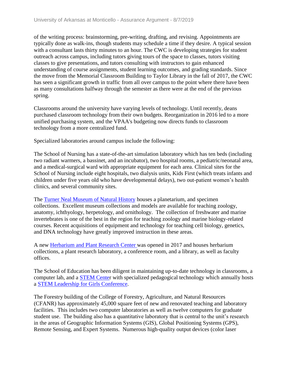of the writing process: brainstorming, pre-writing, drafting, and revising. Appointments are typically done as walk-ins, though students may schedule a time if they desire. A typical session with a consultant lasts thirty minutes to an hour. The CWC is developing strategies for student outreach across campus, including tutors giving tours of the space to classes, tutors visiting classes to give presentations, and tutors consulting with instructors to gain enhanced understanding of course assignments, student learning outcomes, and grading standards. Since the move from the Memorial Classroom Building to Taylor Library in the fall of 2017, the CWC has seen a significant growth in traffic from all over campus to the point where there have been as many consultations halfway through the semester as there were at the end of the previous spring.

Classrooms around the university have varying levels of technology. Until recently, deans purchased classroom technology from their own budgets. Reorganization in 2016 led to a more unified purchasing system, and the VPAA's budgeting now directs funds to classroom technology from a more centralized fund.

Specialized laboratories around campus include the following:

The School of Nursing has a state-of-the-art simulation laboratory which has ten beds (including two radiant warmers, a bassinet, and an incubator), two hospital rooms, a pediatric/neonatal area, and a medical-surgical ward with appropriate equipment for each area. Clinical sites for the School of Nursing include eight hospitals, two dialysis units, Kids First (which treats infants and children under five years old who have developmental delays), two out-patient women's health clinics, and several community sites.

The Turner Neal Museum of Natural History houses a planetarium, and specimen collections. Excellent museum collections and models are available for teaching zoology, anatomy, ichthyology, herpetology, and ornithology. The collection of freshwater and marine invertebrates is one of the best in the region for teaching zoology and marine biology-related courses. Recent acquisitions of equipment and technology for teaching cell biology, genetics, and DNA technology have greatly improved instruction in these areas.

A new Herbarium and Plant Research Center was opened in 2017 and houses herbarium collections, a plant research laboratory, a conference room, and a library, as well as faculty offices.

The School of Education has been diligent in maintaining up-to-date technology in classrooms, a computer lab, and a STEM Center with specialized pedagogical technology which annually hosts a STEM Leadership for Girls Conference.

The Forestry building of the College of Forestry, Agriculture, and Natural Resources (CFANR) has approximately 45,000 square feet of new and renovated teaching and laboratory facilities. This includes two computer laboratories as well as twelve computers for graduate student use. The building also has a quantitative laboratory that is central to the unit's research in the areas of Geographic Information Systems (GIS), Global Positioning Systems (GPS), Remote Sensing, and Expert Systems. Numerous high-quality output devices (color laser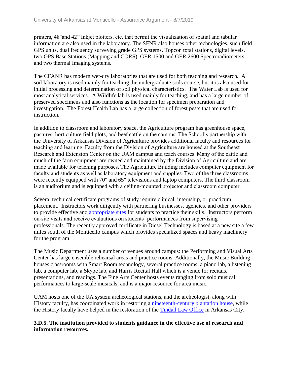printers, 48"and 42" Inkjet plotters, etc. that permit the visualization of spatial and tabular information are also used in the laboratory. The SFNR also houses other technologies, such field GPS units, dual frequency surveying grade GPS systems, Topcon total stations, digital levels, two GPS Base Stations (Mapping and CORS), GER 1500 and GER 2600 Spectroradiometers, and two thermal Imaging systems.

The CFANR has modern wet-dry laboratories that are used for both teaching and research. A soil laboratory is used mainly for teaching the undergraduate soils course, but it is also used for initial processing and determination of soil physical characteristics. The Water Lab is used for most analytical services. A Wildlife lab is used mainly for teaching, and has a large number of preserved specimens and also functions as the location for specimen preparation and investigation. The Forest Health Lab has a large collection of forest pests that are used for instruction.

In addition to classroom and laboratory space, the Agriculture program has greenhouse space, pastures, horticulture field plots, and beef cattle on the campus. The School's partnership with the University of Arkansas Division of Agriculture provides additional faculty and resources for teaching and learning. Faculty from the Division of Agriculture are housed at the Southeast Research and Extension Center on the UAM campus and teach courses. Many of the cattle and much of the farm equipment are owned and maintained by the Division of Agriculture and are made available for teaching purposes. The Agriculture Building includes computer equipment for faculty and students as well as laboratory equipment and supplies. Two of the three classrooms were recently equipped with 70" and 65" televisions and laptop computers. The third classroom is an auditorium and is equipped with a ceiling-mounted projector and classroom computer. 

Several technical certificate programs of study require clinical, internship, or practicum placement. Instructors work diligently with partnering businesses, agencies, and other providers to provide effective and appropriate sites for students to practice their skills. Instructors perform on-site visits and receive evaluations on students' performances from supervising professionals. The recently approved certificate in Diesel Technology is based at a new site a few miles south of the Monticello campus which provides specialized spaces and heavy machinery for the program.

The Music Department uses a number of venues around campus: the Performing and Visual Arts Center has large ensemble rehearsal areas and practice rooms. Additionally, the Music Building houses classrooms with Smart Room technology, several practice rooms, a piano lab, a listening lab, a computer lab, a Skype lab, and Harris Recital Hall which is a venue for recitals, presentations, and readings. The Fine Arts Center hosts events ranging from solo musical performances to large-scale musicals, and is a major resource for area music.

UAM hosts one of the UA system archeological stations, and the archeologist, along with History faculty, has coordinated work in restoring a nineteenth-century plantation house, while the History faculty have helped in the restoration of the Tindall Law Office in Arkansas City.

#### **3.D.5. The institution provided to students guidance in the effective use of research and information resources.**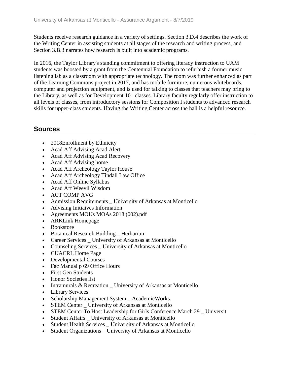Students receive research guidance in a variety of settings. Section 3.D.4 describes the work of the Writing Center in assisting students at all stages of the research and writing process, and Section 3.B.3 narrates how research is built into academic programs.

In 2016, the Taylor Library's standing commitment to offering literacy instruction to UAM students was boosted by a grant from the Centennial Foundation to refurbish a former music listening lab as a classroom with appropriate technology. The room was further enhanced as part of the Learning Commons project in 2017, and has mobile furniture, numerous whiteboards, computer and projection equipment, and is used for talking to classes that teachers may bring to the Library, as well as for Development 101 classes. Library faculty regularly offer instruction to all levels of classes, from introductory sessions for Composition I students to advanced research skills for upper-class students. Having the Writing Center across the hall is a helpful resource.

### **Sources**

- 2018Enrollment by Ethnicity
- Acad Aff Advising Acad Alert
- Acad Aff Advising Acad Recovery
- Acad Aff Advising home
- Acad Aff Archeology Taylor House
- Acad Aff Archeology Tindall Law Office
- Acad Aff Online Syllabus
- Acad Aff Weevil Wisdom
- ACT COMP AVG
- Admission Requirements \_ University of Arkansas at Monticello
- Advising Initiaives Information
- Agreements MOUs MOAs 2018 (002).pdf
- ARKLink Homepage
- Bookstore
- Botanical Research Building \_ Herbarium
- Career Services University of Arkansas at Monticello
- Counseling Services University of Arkansas at Monticello
- CUACRL Home Page
- Developmental Courses
- Fac Manual p 69 Office Hours
- First Gen Students
- Honor Societies list
- Intramurals & Recreation \_ University of Arkansas at Monticello
- Library Services
- Scholarship Management System \_ AcademicWorks
- STEM Center \_ University of Arkansas at Monticello
- STEM Center To Host Leadership for Girls Conference March 29 \_ Universit
- Student Affairs University of Arkansas at Monticello
- Student Health Services \_ University of Arkansas at Monticello
- Student Organizations \_ University of Arkansas at Monticello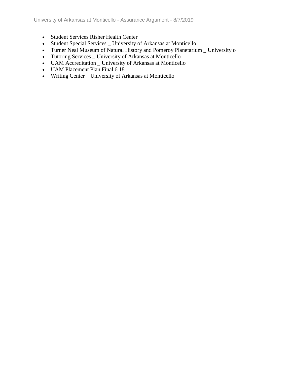- Student Services Risher Health Center
- Student Special Services \_ University of Arkansas at Monticello
- Turner Neal Museum of Natural History and Pomeroy Planetarium \_ University o
- Tutoring Services \_ University of Arkansas at Monticello
- UAM Accreditation \_ University of Arkansas at Monticello
- UAM Placement Plan Final 6 18
- Writing Center \_ University of Arkansas at Monticello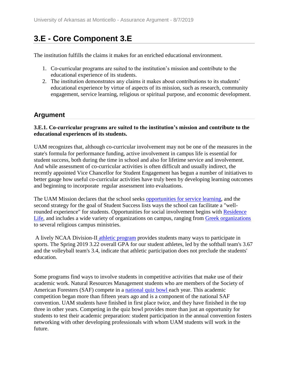## **3.E - Core Component 3.E**

The institution fulfills the claims it makes for an enriched educational environment.

- 1. Co-curricular programs are suited to the institution's mission and contribute to the educational experience of its students.
- 2. The institution demonstrates any claims it makes about contributions to its students' educational experience by virtue of aspects of its mission, such as research, community engagement, service learning, religious or spiritual purpose, and economic development.

### **Argument**

#### **3.E.1. Co-curricular programs are suited to the institution's mission and contribute to the educational experiences of its students.**

UAM recognizes that, although co-curricular involvement may not be one of the measures in the state's formula for performance funding, active involvement in campus life is essential for student success, both during the time in school and also for lifetime service and involvement. And while assessment of co-curricular activities is often difficult and usually indirect, the recently appointed Vice Chancellor for Student Engagement has begun a number of initiatives to better gauge how useful co-curricular activities have truly been by developing learning outcomes and beginning to incorporate regular assessment into evaluations.

The UAM Mission declares that the school seeks opportunities for service learning, and the second strategy for the goal of Student Success lists ways the school can facilitate a "wellrounded experience" for students. Opportunities for social involvement begins with Residence Life, and includes a wide variety of organizations on campus, ranging from Greek organizations to several religious campus ministries.

A lively NCAA Division-II athletic program provides students many ways to participate in sports. The Spring 2019 3.22 overall GPA for our student athletes, led by the softball team's 3.67 and the volleyball team's 3.4, indicate that athletic participation does not preclude the students' education.

Some programs find ways to involve students in competitive activities that make use of their academic work. Natural Resources Management students who are members of the Society of American Foresters (SAF) compete in a national quiz bowl each year. This academic competition began more than fifteen years ago and is a component of the national SAF convention. UAM students have finished in first place twice, and they have finished in the top three in other years. Competing in the quiz bowl provides more than just an opportunity for students to test their academic preparation: student participation in the annual convention fosters networking with other developing professionals with whom UAM students will work in the future.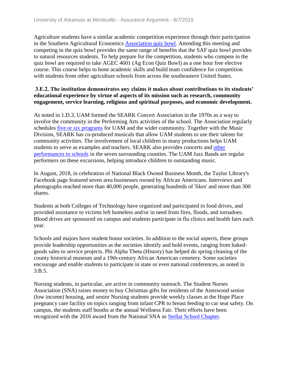Agriculture students have a similar academic competition experience through their participation in the Southern Agricultural Economics Association quiz bowl. Attending this meeting and competing in the quiz bowl provides the same range of benefits that the SAF quiz bowl provides to natural resources students. To help prepare for the competition, students who compete in the quiz bowl are required to take AGEC 4601 (Ag Econ Quiz Bowl) as a one hour free elective course. This course helps to hone academic skills and build team confidence for competition with students from other agriculture schools from across the southeastern United States.

#### **3.E.2. The institution demonstrates any claims it makes about contributions to its students' educational experience by virtue of aspects of its mission such as research, community engagement, service learning, religious and spiritual purposes, and economic development.**

As noted in 1.D.3, UAM formed the SEARK Concert Association in the 1970s as a way to involve the community in the Performing Arts activities of the school. The Association regularly schedules five or six programs for UAM and the wider community. Together with the Music Division, SEARK has co-produced musicals that allow UAM students to use their talents for community activities. The involvement of local children in many productions helps UAM students to serve as examples and teachers. SEARK also provides concerts and other performances to schools in the seven surrounding counties. The UAM Jazz Bands are regular performers on these excursions, helping introduce children to outstanding music.

In August, 2018, in celebration of National Black Owned Business Month, the Taylor Library's Facebook page featured seven area businesses owned by African Americans. Interviews and photographs reached more than 40,000 people, generating hundreds of 'likes' and more than 300 shares.

Students at both Colleges of Technology have organized and participated in food drives, and provided assistance to victims left homeless and/or in need from fires, floods, and tornadoes. Blood drives are sponsored on campus and students participate in flu clinics and health fairs each year.

Schools and majors have student honor societies. In addition to the social aspects, these groups provide leadership opportunities as the societies identify and hold events, ranging from bakedgoods sales to service projects. Phi Alpha Theta (History) has helped do spring cleaning of the county historical museum and a 19th-century African American cemetery. Some societies encourage and enable students to participate in state or even national conferences, as noted in 3.B.5.

Nursing students, in particular, are active in community outreach. The Student Nurses Association (SNA) raises money to buy Christmas gifts for residents of the Annswood senior (low income) housing, and senior Nursing students provide weekly classes at the Hope Place pregnancy care facility on topics ranging from infant CPR to breast feeding to car seat safety. On campus, the students staff booths at the annual Wellness Fair. Their efforts have been recognized with the 2016 award from the National SNA as Stellar School Chapter.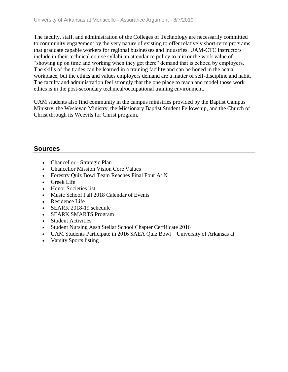The faculty, staff, and administration of the Colleges of Technology are necessarily committed to community engagement by the very nature of existing to offer relatively short-term programs that graduate capable workers for regional businesses and industries. UAM-CTC instructors include in their technical course syllabi an attendance policy to mirror the work value of "showing up on time and working when they get there" demand that is echoed by employers. The skills of the trades can be learned in a training facility and can be honed in the actual workplace, but the ethics and values employers demand are a matter of self-discipline and habit. The faculty and administration feel strongly that the one place to teach and model those work ethics is in the post-secondary technical/occupational training environment.

UAM students also find community in the campus ministries provided by the Baptist Campus Ministry, the Wesleyan Ministry, the Missionary Baptist Student Fellowship, and the Church of Christ through its Weevils for Christ program.

### **Sources**

- Chancellor Strategic Plan
- Chancellor Mission Vision Core Values
- Forestry Quiz Bowl Team Reaches Final Four At N
- Greek Life
- Honor Societies list
- Music School Fall 2018 Calendar of Events
- Residence Life
- SEARK 2018-19 schedule
- SEARK SMARTS Program
- Student Activities
- Student Nursing Assn Stellar School Chapter Certificate 2016
- UAM Students Participate in 2016 SAEA Quiz Bowl University of Arkansas at
- Varsity Sports listing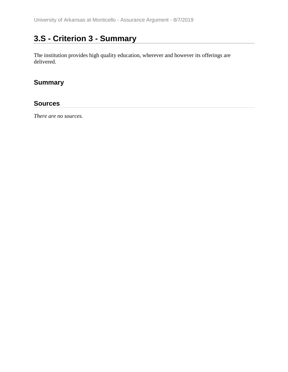# **3.S - Criterion 3 - Summary**

The institution provides high quality education, wherever and however its offerings are delivered.

## **Summary**

#### **Sources**

*There are no sources.*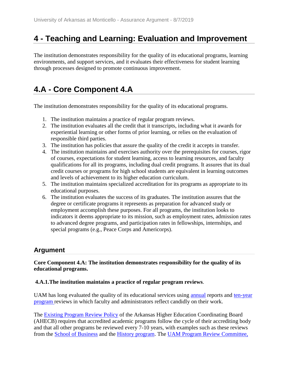# **4 - Teaching and Learning: Evaluation and Improvement**

The institution demonstrates responsibility for the quality of its educational programs, learning environments, and support services, and it evaluates their effectiveness for student learning through processes designed to promote continuous improvement.

# **4.A - Core Component 4.A**

The institution demonstrates responsibility for the quality of its educational programs.

- 1. The institution maintains a practice of regular program reviews.
- 2. The institution evaluates all the credit that it transcripts, including what it awards for experiential learning or other forms of prior learning, or relies on the evaluation of responsible third parties.
- 3. The institution has policies that assure the quality of the credit it accepts in transfer.
- 4. The institution maintains and exercises authority over the prerequisites for courses, rigor of courses, expectations for student learning, access to learning resources, and faculty qualifications for all its programs, including dual credit programs. It assures that its dual credit courses or programs for high school students are equivalent in learning outcomes and levels of achievement to its higher education curriculum.
- 5. The institution maintains specialized accreditation for its programs as appropriate to its educational purposes.
- 6. The institution evaluates the success of its graduates. The institution assures that the degree or certificate programs it represents as preparation for advanced study or employment accomplish these purposes. For all programs, the institution looks to indicators it deems appropriate to its mission, such as employment rates, admission rates to advanced degree programs, and participation rates in fellowships, internships, and special programs (e.g., Peace Corps and Americorps).

# **Argument**

#### **Core Component 4.A: The institution demonstrates responsibility for the quality of its educational programs.**

#### **4.A.1.The institution maintains a practice of regular program reviews**.

UAM has long evaluated the quality of its educational services using annual reports and ten-year program reviews in which faculty and administrators reflect candidly on their work.

The Existing Program Review Policy of the Arkansas Higher Education Coordinating Board (AHECB) requires that accredited academic programs follow the cycle of their accrediting body and that all other programs be reviewed every 7-10 years, with examples such as these reviews from the School of Business and the History program. The UAM Program Review Committee,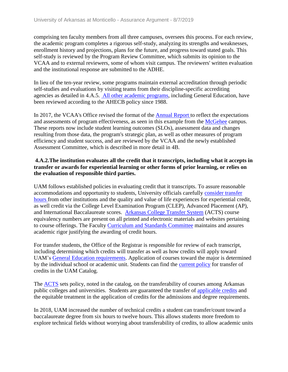comprising ten faculty members from all three campuses, oversees this process. For each review, the academic program completes a rigorous self-study, analyzing its strengths and weaknesses, enrollment history and projections, plans for the future, and progress toward stated goals. This self-study is reviewed by the Program Review Committee, which submits its opinion to the VCAA and to external reviewers, some of whom visit campus. The reviewers' written evaluation and the institutional response are submitted to the ADHE.

In lieu of the ten-year review, some programs maintain external accreditation through periodic self-studies and evaluations by visiting teams from their discipline-specific accrediting agencies as detailed in 4.A.5. All other academic programs, including General Education, have been reviewed according to the AHECB policy since 1988.

In 2017, the VCAA's Office revised the format of the [Annual Re](../../evidence/viewfile?fileId=553016)[port t](../../evidence/viewfile?fileid=553016)o reflect the expectations and assessments of program effectiveness, as seen in this example from the McGehee campus. These reports now include student learning outcomes (SLOs), assessment data and changes resulting from those data, the program's strategic plan, as well as other measures of program efficiency and student success, and are reviewed by the VCAA and the newly established Assessment Committee, which is described in more detail in 4B.

#### **4.A.2.The institution evaluates all the credit that it transcripts, including what it accepts in transfer or awards for experiential learning or other forms of prior learning, or relies on the evaluation of responsible third parties.**

UAM follows established policies in evaluating credit that it transcripts. To assure reasonable accommodations and opportunity to students, University officials carefully consider transfer hours from other institutions and the quality and value of life experiences for experiential credit, as well credit via the College Level Examination Program (CLEP), Advanced Placement (AP), and International Baccalaureate scores. Arkansas College Transfer System (ACTS) course equivalency numbers are present on all printed and electronic materials and websites pertaining to course offerings. The Faculty Curriculum and Standards Committee maintains and assures academic rigor justifying the awarding of credit hours.

For transfer students, the Office of the Registrar is responsible for review of each transcript, including determining which credits will transfer as well as how credits will apply toward UAM's General Education requirements. Application of courses toward the major is determined by the individual school or academic unit. Students can find the current policy for transfer of credits in the UAM Catalog.

The ACTS sets policy, noted in the catalog, on the transferability of courses among Arkansas public colleges and universities. Students are guaranteed the transfer of applicable credits and the equitable treatment in the application of credits for the admissions and degree requirements.

In 2018, UAM increased the number of technical credits a student can transfer/count toward a baccalaureate degree from six hours to twelve hours. This allows students more freedom to explore technical fields without worrying about transferability of credits, to allow academic units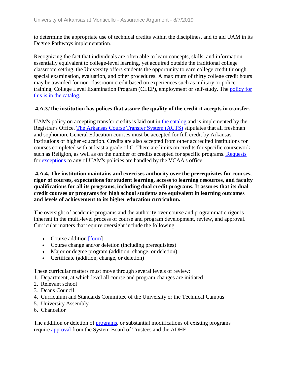to determine the appropriate use of technical credits within the disciplines, and to aid UAM in its Degree Pathways implementation.

Recognizing the fact that individuals are often able to learn concepts, skills, and information essentially equivalent to college-level learning, yet acquired outside the traditional college classroom setting, the University offers students the opportunity to earn college credit through special examination, evaluation, and other procedures. A maximum of thirty college credit hours may be awarded for non-classroom credit based on experiences such as military or police training, College Level Examination Program (CLEP), employment or self-study. The policy for this is in the catalog.

#### **4.A.3.The institution has polices that assure the quality of the credit it accepts in transfer.**

UAM's policy on accepting transfer credits is laid out in the catalog and is implemented by the Registrar's Office. The Arkansas Course Transfer System (ACTS) stipulates that all freshman and sophomore General Education courses must be accepted for full credit by Arkansas institutions of higher education. Credits are also accepted from other accredited institutions for courses completed with at least a grade of C. There are limits on credits for specific coursework, such as Religion, as well as on the number of credits accepted for specific programs. Requests for exceptions to any of UAM's policies are handled by the VCAA's office.

#### **4.A.4. The institution maintains and exercises authority over the prerequisites for courses, rigor of courses, expectations for student learning, access to learning resources, and faculty qualifications for all its programs, including dual credit programs. It assures that its dual credit courses or programs for high school students are equivalent in learning outcomes and levels of achievement to its higher education curriculum.**

The oversight of academic programs and the authority over course and programmatic rigor is inherent in the multi-level process of course and program development, review, and approval. Curricular matters that require oversight include the following:

- Course addition [form]
- Course change and/or deletion (including prerequisites)
- Major or degree program (addition, change, or deletion)
- Certificate (addition, change, or deletion)

These curricular matters must move through several levels of review:

- 1. Department, at which level all course and program changes are initiated
- 2. Relevant school
- 3. Deans Council
- 4. Curriculum and Standards Committee of the University or the Technical Campus
- 5. University Assembly
- 6. Chancellor

The addition or deletion of programs, or substantial modifications of existing programs require approval from the System Board of Trustees and the ADHE.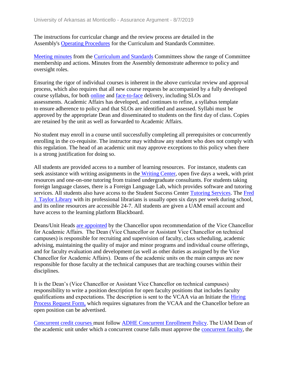The instructions for curricular change and the review process are detailed in the Assembly's Operating Procedures for the Curriculum and Standards Committee.

Meeting minutes from the Curriculum and Standards Committees show the range of Committee membership and actions. Minutes from the Assembly demonstrate adherence to policy and oversight roles.

Ensuring the rigor of individual courses is inherent in the above curricular review and approval process, which also requires that all new course requests be accompanied by a fully developed course syllabus, for both online and face-to-face delivery, including SLOs and assessments. Academic Affairs has developed, and continues to refine, a syllabus template to ensure adherence to policy and that SLOs are identified and assessed. Syllabi must be approved by the appropriate Dean and disseminated to students on the first day of class. Copies are retained by the unit as well as forwarded to Academic Affairs.

No student may enroll in a course until successfully completing all prerequisites or concurrently enrolling in the co-requisite. The instructor may withdraw any student who does not comply with this regulation. The head of an academic unit may approve exceptions to this policy when there is a strong justification for doing so.

All students are provided access to a number of learning resources. For instance, students can seek assistance with writing assignments in the Writing Center, open five days a week, with print resources and one-on-one tutoring from trained undergraduate consultants. For students taking foreign language classes, there is a Foreign Language Lab, which provides software and tutoring services. All students also have access to the Student Success Center Tutoring Services. The Fred J. Taylor Library with its professional librarians is usually open six days per week during school, and its online resources are accessible 24-7. All students are given a UAM email account and have access to the learning platform Blackboard.

Deans/Unit Heads are appointed by the Chancellor upon recommendation of the Vice Chancellor for Academic Affairs.  The Dean (Vice Chancellor or Assistant Vice Chancellor on technical campuses) is responsible for recruiting and supervision of faculty, class scheduling, academic advising, maintaining the quality of major and minor programs and individual course offerings, and for faculty evaluation and development (as well as other duties as assigned by the Vice Chancellor for Academic Affairs).  Deans of the academic units on the main campus are now responsible for those faculty at the technical campuses that are teaching courses within their disciplines.

It is the Dean's (Vice Chancellor or Assistant Vice Chancellor on technical campuses) responsibility to write a position description for open faculty positions that includes faculty qualifications and expectations. The description is sent to the VCAA via an Initiate the Hiring Process Request Form, which requires signatures from the VCAA and the Chancellor before an open position can be advertised.

Concurrent credit courses must follow ADHE Concurrent Enrollment Policy. The UAM Dean of the academic unit under which a concurrent course falls must approve the concurrent faculty, the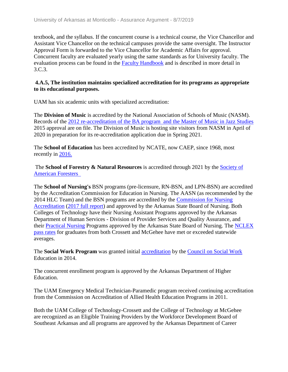textbook, and the syllabus. If the concurrent course is a technical course, the Vice Chancellor and Assistant Vice Chancellor on the technical campuses provide the same oversight. The Instructor Approval Form is forwarded to the Vice Chancellor for Academic Affairs for approval. Concurrent faculty are evaluated yearly using the same standards as for University faculty. The evaluation process can be found in the Faculty Handbook and is described in more detail in 3.C.3.

#### **4.A.5, The institution maintains specialized accreditation for its programs as appropriate to its educational purposes.**

UAM has six academic units with specialized accreditation:

The **Division of Music** is accredited by the National Association of Schools of Music (NASM). Records of the 2012 re-accreditation of the BA program and the Master of Music in Jazz Studies 2015 approval are on file. The Division of Music is hosting site visitors from NASM in April of 2020 in preparation for its re-accreditation application due in Spring 2021.

The **School of Education** has been accredited by NCATE, now CAEP, since 1968, most recently in 2016.

The **School of Forestry & Natural Resources** is accredited through 2021 by the Society of American Foresters

The **School of Nursing's** BSN programs (pre-licensure, RN-BSN, and LPN-BSN) are accredited by the Accreditation Commission for Education in Nursing. The AASN (as recommended by the 2014 HLC Team) and the BSN programs are accredited by the Commission for Nursing Accreditation (2017 full report) and approved by the Arkansas State Board of Nursing. Both Colleges of Technology have their Nursing Assistant Programs approved by the Arkansas Department of Human Services - Division of Provider Services and Quality Assurance, and their Practical Nursing Programs approved by the Arkansas State Board of Nursing. The NCLEX pass rates for graduates from both Crossett and McGehee have met or exceeded statewide averages.

The **Social Work Program** was granted initial accreditation by the Council on Social Work Education in 2014.

The concurrent enrollment program is approved by the Arkansas Department of Higher Education.

The UAM Emergency Medical Technician-Paramedic program received continuing accreditation from the Commission on Accreditation of Allied Health Education Programs in 2011.

Both the UAM College of Technology-Crossett and the College of Technology at McGehee are recognized as an Eligible Training Providers by the Workforce Development Board of Southeast Arkansas and all programs are approved by the Arkansas Department of Career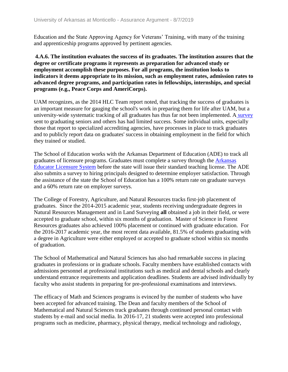Education and the State Approving Agency for Veterans' Training, with many of the training and apprenticeship programs approved by pertinent agencies.

#### **4.A.6. The institution evaluates the success of its graduates. The institution assures that the degree or certificate programs it represents as preparation for advanced study or employment accomplish these purposes. For all programs, the institution looks to indicators it deems appropriate to its mission, such as employment rates, admission rates to advanced degree programs, and participation rates in fellowships, internships, and special programs (e.g., Peace Corps and AmeriCorps).**

UAM recognizes, as the 2014 HLC Team report noted, that tracking the success of graduates is an important measure for gauging the school's work in preparing them for life after UAM, but a university-wide systematic tracking of all graduates has thus far not been implemented. A survey sent to graduating seniors and others has had limited success. Some individual units, especially those that report to specialized accrediting agencies, have processes in place to track graduates and to publicly report data on graduates' success in obtaining employment in the field for which they trained or studied.

The School of Education works with the Arkansas Department of Education (ADE) to track all graduates of licensure programs. Graduates must complete a survey through the Arkansas Educator Licensure System before the state will issue their standard teaching license. The ADE also submits a survey to hiring principals designed to determine employer satisfaction. Through the assistance of the state the School of Education has a 100% return rate on graduate surveys and a 60% return rate on employer surveys.

The College of Forestry, Agriculture, and Natural Resources tracks first-job placement of graduates. Since the 2014-2015 academic year, students receiving undergraduate degrees in Natural Resources Management and in Land Surveying **all** obtained a job in their field, or were accepted to graduate school, within six months of graduation. Master of Science in Forest Resources graduates also achieved 100% placement or continued with graduate education. For the 2016-2017 academic year, the most recent data available, 81.5% of students graduating with a degree in Agriculture were either employed or accepted to graduate school within six months of graduation.

The School of Mathematical and Natural Sciences has also had remarkable success in placing graduates in professions or in graduate schools. Faculty members have established contacts with admissions personnel at professional institutions such as medical and dental schools and clearly understand entrance requirements and application deadlines. Students are advised individually by faculty who assist students in preparing for pre-professional examinations and interviews.

The efficacy of Math and Sciences programs is evinced by the number of students who have been accepted for advanced training. The Dean and faculty members of the School of Mathematical and Natural Sciences track graduates through continued personal contact with students by e-mail and social media. In 2016-17, 21 students were accepted into professional programs such as medicine, pharmacy, physical therapy, medical technology and radiology,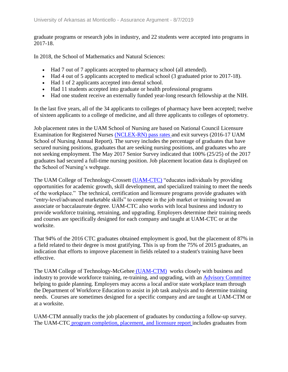graduate programs or research jobs in industry, and 22 students were accepted into programs in 2017-18.

In 2018, the School of Mathematics and Natural Sciences:

- Had 7 out of 7 applicants accepted to pharmacy school (all attended).
- Had 4 out of 5 applicants accepted to medical school (3 graduated prior to 2017-18).
- Had 1 of 2 applicants accepted into dental school.
- Had 11 students accepted into graduate or health professional programs
- Had one student receive an externally funded year-long research fellowship at the NIH.

In the last five years, all of the 34 applicants to colleges of pharmacy have been accepted; twelve of sixteen applicants to a college of medicine, and all three applicants to colleges of optometry.

Job placement rates in the UAM School of Nursing are based on National Council Licensure Examination for Registered Nurses (NCLEX-RN) pass rates and exit surveys (2016-17 UAM School of Nursing Annual Report). The survey includes the percentage of graduates that have secured nursing positions, graduates that are seeking nursing positions, and graduates who are not seeking employment. The May 2017 Senior Survey indicated that 100% (25/25) of the 2017 graduates had secured a full-time nursing position. Job placement location data is displayed on the School of Nursing's webpage.

The UAM College of Technology-Crossett (UAM-CTC) "educates individuals by providing opportunities for academic growth, skill development, and specialized training to meet the needs of the workplace." The technical, certification and licensure programs provide graduates with "entry-level/advanced marketable skills" to compete in the job market or training toward an associate or baccalaureate degree. UAM-CTC also works with local business and industry to provide workforce training, retraining, and upgrading. Employers determine their training needs and courses are specifically designed for each company and taught at UAM-CTC or at the worksite.

That 94% of the 2016 CTC graduates obtained employment is good, but the placement of 87% in a field related to their degree is most gratifying. This is up from the 75% of 2015 graduates, an indication that efforts to improve placement in fields related to a student's training have been effective.

The UAM College of Technology-McGehee (UAM-CTM) works closely with business and industry to provide workforce training, re-training, and upgrading, with an Advisory Committee helping to guide planning. Employers may access a local and/or state workplace team through the Department of Workforce Education to assist in job task analysis and to determine training needs. Courses are sometimes designed for a specific company and are taught at UAM-CTM or at a worksite.

UAM-CTM annually tracks the job placement of graduates by conducting a follow-up survey. The UAM-CTC program completion, placement, and licensure report includes graduates from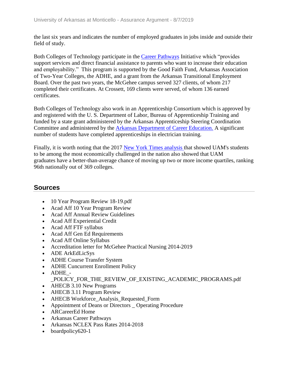the last six years and indicates the number of employed graduates in jobs inside and outside their field of study.

Both Colleges of Technology participate in the Career Pathways Initiative which "provides support services and direct financial assistance to parents who want to increase their education and employability." This program is supported by the Good Faith Fund, Arkansas Association of Two-Year Colleges, the ADHE, and a grant from the Arkansas Transitional Employment Board. Over the past two years, the McGehee campus served 327 clients, of whom 217 completed their certificates. At Crossett, 169 clients were served, of whom 136 earned certificates.

Both Colleges of Technology also work in an Apprenticeship Consortium which is approved by and registered with the U. S. Department of Labor, Bureau of Apprenticeship Training and funded by a state grant administered by the Arkansas Apprenticeship Steering Coordination Committee and administered by the Arkansas Department of Career Education. A significant number of students have completed apprenticeships in electrician training.

Finally, it is worth noting that the 2017 New York Times analysis that showed UAM's students to be among the most economically challenged in the nation also showed that UAM graduates have a better-than-average chance of moving up two or more income quartiles, ranking 96th nationally out of 369 colleges.

## **Sources**

- 10 Year Program Review 18-19.pdf
- Acad Aff 10 Year Program Review
- Acad Aff Annual Review Guidelines
- Acad Aff Experiential Credit
- Acad Aff FTF syllabus
- Acad Aff Gen Ed Requirements
- Acad Aff Online Syllabus
- Accreditation letter for McGehee Practical Nursing 2014-2019
- ADE ArkEdLicSys
- ADHE Course Transfer System
- ADHE Cuncurrent Enrollment Policy
- ADHE -
	- POLICY\_FOR\_THE\_REVIEW\_OF\_EXISTING\_ACADEMIC\_PROGRAMS.pdf
- AHECB 3.10 New Programs
- AHECB 3.11 Program Review
- AHECB Workforce Analysis Requested Form
- Appointment of Deans or Directors \_ Operating Procedure
- ARCareerEd Home
- Arkansas Career Pathways
- Arkansas NCLEX Pass Rates 2014-2018
- boardpolicy 620-1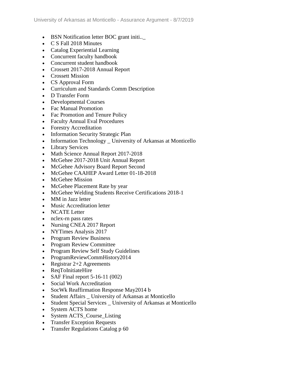- BSN Notification letter BOC grant initi...
- C S Fall 2018 Minutes
- Catalog Experiential Learning
- Concurrent faculty handbook
- Concurrent student handbook
- Crossett 2017-2018 Annual Report
- Crossett Mission
- CS Approval Form
- Curriculum and Standards Comm Description
- D Transfer Form
- Developmental Courses
- Fac Manual Promotion
- Fac Promotion and Tenure Policy
- Faculty Annual Eval Procedures
- Forestry Accreditation
- Information Security Strategic Plan
- Information Technology University of Arkansas at Monticello
- Library Services
- Math Science Annual Report 2017-2018
- McGehee 2017-2018 Unit Annual Report
- McGehee Advisory Board Report Second
- McGehee CAAHEP Award Letter 01-18-2018
- McGehee Mission
- McGehee Placement Rate by year
- McGehee Welding Students Receive Certifications 2018-1
- MM in Jazz letter
- Music Accreditation letter
- NCATE Letter
- nclex-rn pass rates
- Nursing CNEA 2017 Report
- NYTimes Analysis 2017
- Program Review Business
- Program Review Committee
- Program Review Self Study Guidelines
- ProgramReviewCommHistory2014
- Registrar  $2+2$  Agreements
- ReqToInitiateHire
- SAF Final report  $5-16-11(002)$
- Social Work Accreditation
- SocWk Reaffirmation Response May2014 b
- Student Affairs \_ University of Arkansas at Monticello
- Student Special Services University of Arkansas at Monticello
- System ACTS home
- System ACTS\_Course\_Listing
- Transfer Exception Requests
- Transfer Regulations Catalog p 60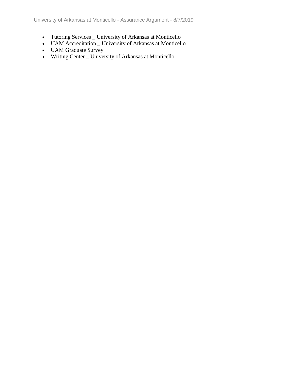University of Arkansas at Monticello - Assurance Argument - 8/7/2019

- Tutoring Services \_ University of Arkansas at Monticello
- UAM Accreditation \_ University of Arkansas at Monticello
- UAM Graduate Survey
- Writing Center \_ University of Arkansas at Monticello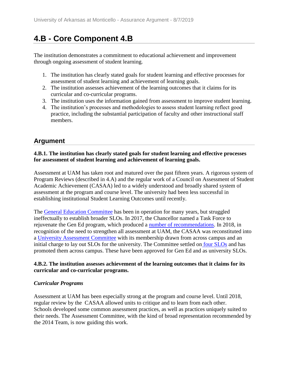# **4.B - Core Component 4.B**

The institution demonstrates a commitment to educational achievement and improvement through ongoing assessment of student learning.

- 1. The institution has clearly stated goals for student learning and effective processes for assessment of student learning and achievement of learning goals.
- 2. The institution assesses achievement of the learning outcomes that it claims for its curricular and co-curricular programs.
- 3. The institution uses the information gained from assessment to improve student learning.
- 4. The institution's processes and methodologies to assess student learning reflect good practice, including the substantial participation of faculty and other instructional staff members.

# **Argument**

#### **4.B.1. The institution has clearly stated goals for student learning and effective processes for assessment of student learning and achievement of learning goals.**

Assessment at UAM has taken root and matured over the past fifteen years. A rigorous system of Program Reviews (described in 4.A) and the regular work of a Council on Assessment of Student Academic Achievement (CASAA) led to a widely understood and broadly shared system of assessment at the program and course level. The university had been less successful in establishing institutional Student Learning Outcomes until recently.

The General Education Committee has been in operation for many years, but struggled ineffectually to establish broader SLOs. In 2017, the Chancellor named a Task Force to rejuvenate the Gen Ed program, which produced a number of recommendations. In 2018, in recognition of the need to strengthen all assessment at UAM, the CASAA was reconstituted into a University Assessment Committee with its membership drawn from across campus and an initial charge to lay out SLOs for the university. The Committee settled on four SLOs and has promoted them across campus. These have been approved for Gen Ed and as university SLOs.

#### **4.B.2. The institution assesses achievement of the learning outcomes that it claims for its curricular and co-curricular programs.**

### *Curricular Programs*

Assessment at UAM has been especially strong at the program and course level. Until 2018, regular review by the CASAA allowed units to critique and to learn from each other. Schools developed some common assessment practices, as well as practices uniquely suited to their needs. The Assessment Committee, with the kind of broad representation recommended by the 2014 Team, is now guiding this work.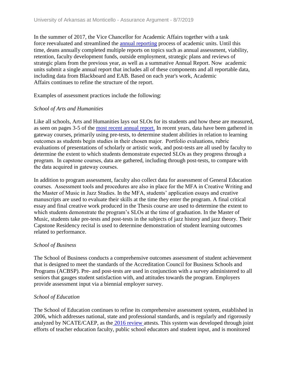In the summer of 2017, the Vice Chancellor for Academic Affairs together with a task force reevaluated and streamlined the **annual reporting** process of academic units. Until this time, deans annually completed multiple reports on topics such as annual assessment, viability, retention, faculty development funds, outside employment, strategic plans and reviews of strategic plans from the previous year, as well as a summative Annual Report. Now academic units submit a single annual report that includes all of these components and all reportable data, including data from Blackboard and EAB. Based on each year's work, Academic Affairs continues to refine the structure of the report.

Examples of assessment practices include the following:

#### *School of Arts and Humanities*

Like all schools, Arts and Humanities lays out SLOs for its students and how these are measured, as seen on pages 3-5 of the most recent annual report. In recent years, data have been gathered in gateway courses, primarily using pre-tests, to determine student abilities in relation to learning outcomes as students begin studies in their chosen major.  Portfolio evaluations, rubric evaluations of presentations of scholarly or artistic work, and post-tests are all used by faculty to determine the extent to which students demonstrate expected SLOs as they progress through a program.  In capstone courses, data are gathered, including through post-tests, to compare with the data acquired in gateway courses. 

In addition to program assessment, faculty also collect data for assessment of General Education courses.  Assessment tools and procedures are also in place for the MFA in Creative Writing and the Master of Music in Jazz Studies. In the MFA, students' application essays and creative manuscripts are used to evaluate their skills at the time they enter the program. A final critical essay and final creative work produced in the Thesis course are used to determine the extent to which students demonstrate the program's SLOs at the time of graduation. In the Master of Music, students take pre-tests and post-tests in the subjects of jazz history and jazz theory. Their Capstone Residency recital is used to determine demonstration of student learning outcomes related to performance.

#### *School of Business*

The School of Business conducts a comprehensive outcomes assessment of student achievement that is designed to meet the standards of the Accreditation Council for Business Schools and Programs (ACBSP). Pre- and post-tests are used in conjunction with a survey administered to all seniors that gauges student satisfaction with, and attitudes towards the program. Employers provide assessment input via a biennial employer survey.

#### *School of Education*

The School of Education continues to refine its comprehensive assessment system, established in 2006, which addresses national, state and professional standards, and is regularly and rigorously analyzed by NCATE/CAEP, as the 2016 review attests. This system was developed through joint efforts of teacher education faculty, public school educators and student input, and is monitored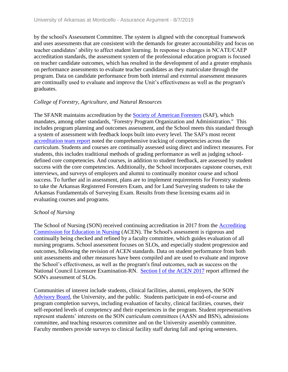by the school's Assessment Committee. The system is aligned with the conceptual framework and uses assessments that are consistent with the demands for greater accountability and focus on teacher candidates' ability to affect student learning. In response to changes in NCATE/CAEP accreditation standards, the assessment system of the professional education program is focused on teacher candidate outcomes, which has resulted in the development of and a greater emphasis on performance assessments to evaluate teacher candidates as they matriculate through the program. Data on candidate performance from both internal and external assessment measures are continually used to evaluate and improve the Unit's effectiveness as well as the program's graduates.

#### *College of Forestry, Agriculture, and Natural Resources*

The SFANR maintains accreditation by the Society of American Foresters (SAF), which mandates, among other standards, "Forestry Program Organization and Administration." This includes program planning and outcomes assessment, and the School meets this standard through a system of assessment with feedback loops built into every level. The SAF's most recent accreditation team report noted the comprehensive tracking of competencies across the curriculum. Students and courses are continually assessed using direct and indirect measures. For students, this includes traditional methods of grading performance as well as judging schooldefined core competencies. And courses, in addition to student feedback, are assessed by student success with the core competencies. Additionally, the School incorporates capstone courses, exit interviews, and surveys of employers and alumni to continually monitor course and school success. To further aid in assessment, plans are to implement requirements for Forestry students to take the Arkansas Registered Foresters Exam, and for Land Surveying students to take the Arkansas Fundamentals of Surveying Exam. Results from these licensing exams aid in evaluating courses and programs.

#### *School of Nursing*

The School of Nursing (SON) received continuing accreditation in 2017 from the Accrediting Commission for Education in Nursing (ACEN). The School's assessment is rigorous and continually being checked and refined by a faculty committee, which guides evaluation of all nursing programs. School assessment focuses on SLOs, and especially student progression and outcomes, following the revision of ACEN standards. Data on student performance from both unit assessments and other measures have been compiled and are used to evaluate and improve the School's effectiveness, as well as the program's final outcomes, such as success on the National Council Licensure Examination-RN. Section I of the ACEN 2017 report affirmed the SON's assessment of SLOs.

Communities of interest include students, clinical facilities, alumni, employers, the SON Advisory Board, the University, and the public. Students participate in end-of-course and program completion surveys, including evaluation of faculty, clinical facilities, courses, their self-reported levels of competency and their experiences in the program. Student representatives represent students' interests on the SON curriculum committees (AASN and BSN), admissions committee, and teaching resources committee and on the University assembly committee. Faculty members provide surveys to clinical facility staff during fall and spring semesters.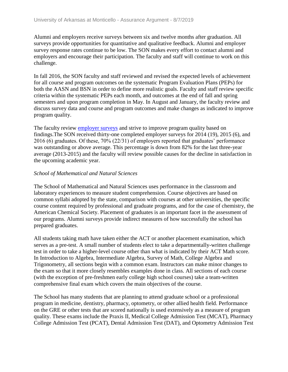Alumni and employers receive surveys between six and twelve months after graduation. All surveys provide opportunities for quantitative and qualitative feedback. Alumni and employer survey response rates continue to be low. The SON makes every effort to contact alumni and employers and encourage their participation. The faculty and staff will continue to work on this challenge.

In fall 2016, the SON faculty and staff reviewed and revised the expected levels of achievement for all course and program outcomes on the systematic Program Evaluation Plans (PEPs) for both the AASN and BSN in order to define more realistic goals. Faculty and staff review specific criteria within the systematic PEPs each month, and outcomes at the end of fall and spring semesters and upon program completion in May. In August and January, the faculty review and discuss survey data and course and program outcomes and make changes as indicated to improve program quality.

The faculty review employer surveys and strive to improve program quality based on findings.The SON received thirty-one completed employer surveys for 2014 (19), 2015 (6), and 2016 (6) graduates. Of these, 70% (22/31) of employers reported that graduates' performance was outstanding or above average. This percentage is down from 82% for the last three-year average (2013-2015) and the faculty will review possible causes for the decline in satisfaction in the upcoming academic year.

#### *School of Mathematical and Natural Sciences*

The School of Mathematical and Natural Sciences uses performance in the classroom and laboratory experiences to measure student comprehension. Course objectives are based on common syllabi adopted by the state, comparison with courses at other universities, the specific course content required by professional and graduate programs, and for the case of chemistry, the American Chemical Society. Placement of graduates is an important facet in the assessment of our programs. Alumni surveys provide indirect measures of how successfully the school has prepared graduates.

All students taking math have taken either the ACT or another placement examination, which serves as a pre-test. A small number of students elect to take a departmentally-written challenge test in order to take a higher-level course other than what is indicated by their ACT Math score. In Introduction to Algebra, Intermediate Algebra, Survey of Math, College Algebra and Trigonometry, all sections begin with a common exam. Instructors can make minor changes to the exam so that it more closely resembles examples done in class. All sections of each course (with the exception of pre-freshmen early college high school courses) take a team-written comprehensive final exam which covers the main objectives of the course.

The School has many students that are planning to attend graduate school or a professional program in medicine, dentistry, pharmacy, optometry, or other allied health field. Performance on the GRE or other tests that are scored nationally is used extensively as a measure of program quality. These exams include the Praxis II, Medical College Admission Test (MCAT), Pharmacy College Admission Test (PCAT), Dental Admission Test (DAT), and Optometry Admission Test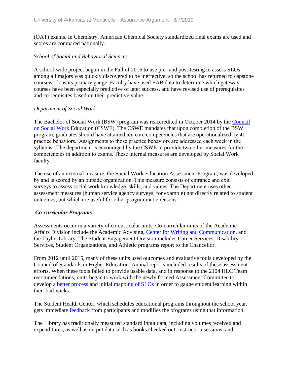(OAT) exams. In Chemistry, American Chemical Society standardized final exams are used and scores are compared nationally.

#### *School of Social and Behavioral Sciences*

A school-wide project begun in the Fall of 2016 to use pre- and post-testing to assess SLOs among all majors was quickly discovered to be ineffective, so the school has returned to capstone coursework as its primary gauge. Faculty have used EAB data to determine which gateway courses have been especially predictive of later success, and have revised use of prerequisites and co-requisites based on their predictive value.

#### *Department of Social Work*

The Bachelor of Social Work (BSW) program was reaccredited in October 2014 by the Council on Social Work Education (CSWE). The CSWE mandates that upon completion of the BSW program, graduates should have attained ten core competencies that are operationalized by 41 practice behaviors.  Assignments to those practice behaviors are addressed each week in the syllabus.  The department is encouraged by the CSWE to provide two other measures for the competencies in addition to exams. These internal measures are developed by Social Work faculty. 

The use of an external measure, the Social Work Education Assessment Program, was developed by and is scored by an outside organization. This measure consists of entrance and exit surveys to assess social work knowledge, skills, and values. The Department uses other assessment measures (human service agency surveys, for example) not directly related to student outcomes, but which are useful for other programmatic reasons. 

#### *Co-curricular Programs*

Assessments occur in a variety of co-curricular units. Co-curricular units of the Academic Affairs Division include the Academic Advising, Center for Writing and Communication, and the Taylor Library. The Student Engagement Division includes Career Services, Disability Services, Student Organizations, and Athletic programs report to the Chancellor.

From 2012 until 2015, many of these units used outcomes and evaluative tools developed by the Council of Standards in Higher Education. Annual reports included results of these assessment efforts. When these tools failed to provide usable data, and in response to the 2104 HLC Team recommendations, units began to work with the newly formed Assessment Committee to develop a better process and initial mapping of SLOs in order to gauge student learning within their bailiwicks.

The Student Health Center, which schedules educational programs throughout the school year, gets immediate feedback from participants and modifies the programs using that information.

The Library has traditionally measured standard input data, including volumes received and expenditures, as well as output data such as books checked out, instruction sessions, and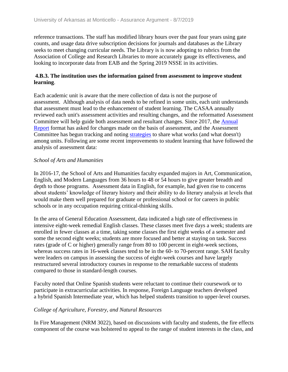reference transactions. The staff has modified library hours over the past four years using gate counts, and usage data drive subscription decisions for journals and databases as the Library seeks to meet changing curricular needs. The Library is is now adopting to rubrics from the Association of College and Research Libraries to more accurately gauge its effectiveness, and looking to incorporate data from EAB and the Spring 2019 NSSE in its activities.

#### **4.B.3. The institution uses the information gained from assessment to improve student learning**.

Each academic unit is aware that the mere collection of data is not the purpose of assessment. Although analysis of data needs to be refined in some units, each unit understands that assessment must lead to the enhancement of student learning. The CASAA annually reviewed each unit's assessment activities and resulting changes, and the reformatted Assessment Committee will help guide both assessment and resultant changes. Since 2017, the Annual Report format has asked for changes made on the basis of assessment, and the Assessment Committee has begun tracking and noting strategies to share what works (and what doesn't) among units. Following are some recent improvements to student learning that have followed the analysis of assessment data:

#### *School of Arts and Humanities*

In 2016-17, the School of Arts and Humanities faculty expanded majors in Art, Communication, English, and Modern Languages from 36 hours to 48 or 54 hours to give greater breadth and depth to those programs. Assessment data in English, for example, had given rise to concerns about students' knowledge of literary history and their ability to do literary analysis at levels that would make them well prepared for graduate or professional school or for careers in public schools or in any occupation requiring critical-thinking skills.

In the area of General Education Assessment, data indicated a high rate of effectiveness in intensive eight-week remedial English classes. These classes meet five days a week; students are enrolled in fewer classes at a time, taking some classes the first eight weeks of a semester and some the second eight weeks; students are more focused and better at staying on task. Success rates (grade of C or higher) generally range from 80 to 100 percent in eight-week sections, whereas success rates in 16-week classes tend to be in the 60- to 70-percent range. SAH faculty were leaders on campus in assessing the success of eight-week courses and have largely restructured several introductory courses in response to the remarkable success of students compared to those in standard-length courses.

Faculty noted that Online Spanish students were reluctant to continue their coursework or to participate in extracurricular activities. In response, Foreign Language teachers developed a hybrid Spanish Intermediate year, which has helped students transition to upper-level courses.

#### *College of Agriculture, Forestry, and Natural Resources*

In Fire Management (NRM 3022), based on discussions with faculty and students, the fire effects component of the course was bolstered to appeal to the range of student interests in the class, and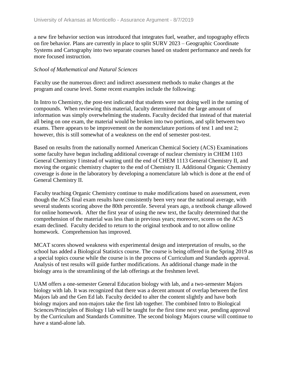a new fire behavior section was introduced that integrates fuel, weather, and topography effects on fire behavior. Plans are currently in place to split SURV 2023 – Geographic Coordinate Systems and Cartography into two separate courses based on student performance and needs for more focused instruction.

#### *School of Mathematical and Natural Sciences*

Faculty use the numerous direct and indirect assessment methods to make changes at the program and course level. Some recent examples include the following:

In Intro to Chemistry, the post-test indicated that students were not doing well in the naming of compounds. When reviewing this material, faculty determined that the large amount of information was simply overwhelming the students. Faculty decided that instead of that material all being on one exam, the material would be broken into two portions, and split between two exams. There appears to be improvement on the nomenclature portions of test 1 and test 2; however, this is still somewhat of a weakness on the end of semester post-test.

Based on results from the nationally normed American Chemical Society (ACS) Examinations some faculty have begun including additional coverage of nuclear chemistry in CHEM 1103 General Chemistry I instead of waiting until the end of CHEM 1113 General Chemistry II, and moving the organic chemistry chapter to the end of Chemistry II. Additional Organic Chemistry coverage is done in the laboratory by developing a nomenclature lab which is done at the end of General Chemistry II.

Faculty teaching Organic Chemistry continue to make modifications based on assessment, even though the ACS final exam results have consistently been very near the national average, with several students scoring above the 80th percentile. Several years ago, a textbook change allowed for online homework. After the first year of using the new text, the faculty determined that the comprehension of the material was less than in previous years; moreover, scores on the ACS exam declined. Faculty decided to return to the original textbook and to not allow online homework. Comprehension has improved.

MCAT scores showed weakness with experimental design and interpretation of results, so the school has added a Biological Statistics course. The course is being offered in the Spring 2019 as a special topics course while the course is in the process of Curriculum and Standards approval. Analysis of test results will guide further modifications. An additional change made in the biology area is the streamlining of the lab offerings at the freshmen level.

UAM offers a one-semester General Education biology with lab, and a two-semester Majors biology with lab. It was recognized that there was a decent amount of overlap between the first Majors lab and the Gen Ed lab. Faculty decided to alter the content slightly and have both biology majors and non-majors take the first lab together. The combined Intro to Biological Sciences/Principles of Biology I lab will be taught for the first time next year, pending approval by the Curriculum and Standards Committee. The second biology Majors course will continue to have a stand-alone lab.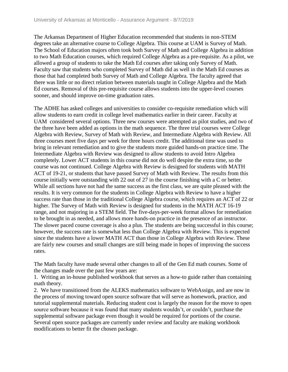The Arkansas Department of Higher Education recommended that students in non-STEM degrees take an alternative course to College Algebra. This course at UAM is Survey of Math. The School of Education majors often took both Survey of Math and College Algebra in addition to two Math Education courses, which required College Algebra as a pre-requisite. As a pilot, we allowed a group of students to take the Math Ed courses after taking only Survey of Math. Faculty saw that students who completed Survey of Math did as well in the Math Ed courses as those that had completed both Survey of Math and College Algebra. The faculty agreed that there was little or no direct relation between materials taught in College Algebra and the Math Ed courses. Removal of this pre-requisite course allows students into the upper-level courses sooner, and should improve on-time graduation rates.

The ADHE has asked colleges and universities to consider co-requisite remediation which will allow students to earn credit in college level mathematics earlier in their career. Faculty at UAM considered several options. Three new courses were attempted as pilot studies, and two of the three have been added as options in the math sequence. The three trial courses were College Algebra with Review, Survey of Math with Review, and Intermediate Algebra with Review. All three courses meet five days per week for three hours credit. The additional time was used to bring in relevant remediation and to give the students more guided hands-on practice time. The Intermediate Algebra with Review was designed to allow students to avoid Intro Algebra completely. Lower ACT students in this course did not do well despite the extra time, so the course was not continued. College Algebra with Review is designed for students with MATH ACT of 19-21, or students that have passed Survey of Math with Review. The results from this course initially were outstanding with 22 out of 27 in the course finishing with a C or better. While all sections have not had the same success as the first class, we are quite pleased with the results. It is very common for the students in College Algebra with Review to have a higher success rate than those in the traditional College Algebra course, which requires an ACT of 22 or higher. The Survey of Math with Review is designed for students in the MATH ACT 16-19 range, and not majoring in a STEM field. The five-days-per-week format allows for remediation to be brought in as needed, and allows more hands-on practice in the presence of an instructor. The slower paced course coverage is also a plus. The students are being successful in this course; however, the success rate is somewhat less than College Algebra with Review. This is expected since the students have a lower MATH ACT than those in College Algebra with Review. These are fairly new courses and small changes are still being made in hopes of improving the success rates.

The Math faculty have made several other changes to all of the Gen Ed math courses. Some of the changes made over the past few years are:

1. Writing an in-house published workbook that serves as a how-to guide rather than containing math theory.

2. We have transitioned from the ALEKS mathematics software to WebAssign, and are now in the process of moving toward open source software that will serve as homework, practice, and tutorial supplemental materials. Reducing student cost is largely the reason for the move to open source software because it was found that many students wouldn't, or couldn't, purchase the supplemental software package even though it would be required for portions of the course. Several open source packages are currently under review and faculty are making workbook modifications to better fit the chosen package.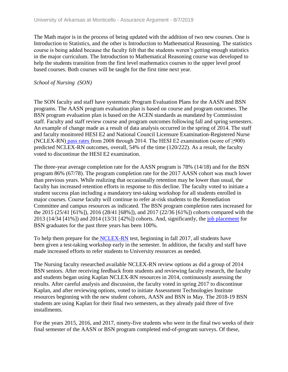The Math major is in the process of being updated with the addition of two new courses. One is Introduction to Statistics, and the other is Introduction to Mathematical Reasoning. The statistics course is being added because the faculty felt that the students weren't getting enough statistics in the major curriculum. The Introduction to Mathematical Reasoning course was developed to help the students transition from the first level mathematics courses to the upper level proof based courses. Both courses will be taught for the first time next year.

#### *School of Nursing (SON)*

The SON faculty and staff have systematic Program Evaluation Plans for the AASN and BSN programs. The AASN program evaluation plan is based on course and program outcomes. The BSN program evaluation plan is based on the ACEN standards as mandated by Commission staff. Faculty and staff review course and program outcomes following fall and spring semesters. An example of change made as a result of data analysis occurred in the spring of 2014. The staff and faculty monitored HESI E2 and National Council Licensure Examination-Registered Nurse (NCLEX-RN) pass rates from 2008 through 2014. The HESI E2 examination (score of  $\geq 900$ ) predicted NCLEX-RN outcomes, overall, 54% of the time (120/222). As a result, the faculty voted to discontinue the HESI E2 examination.

The three-year average completion rate for the AASN program is 78% (14/18) and for the BSN program 86% (67/78). The program completion rate for the 2017 AASN cohort was much lower than previous years. While realizing that occasionally retention may be lower than usual, the faculty has increased retention efforts in response to this decline. The faculty voted to initiate a student success plan including a mandatory test-taking workshop for all students enrolled in major courses. Course faculty will continue to refer at-risk students to the Remediation Committee and campus resources as indicated. The BSN program completion rates increased for the 2015 (25/41 [61%]), 2016 (28/41 [68%]), and 2017 (22/36 [61%]) cohorts compared with the 2013 (14/34 [41%]) and 2014 (13/31 [42%]) cohorts. And, significantly, the job placement for BSN graduates for the past three years has been 100%.

To help them prepare for the NCLEX-RN test, beginning in fall 2017, all students have been given a test-taking workshop early in the semester. In addition, the faculty and staff have made increased efforts to refer students to University resources as needed.

The Nursing faculty researched available NCLEX-RN review options as did a group of 2014 BSN seniors. After receiving feedback from students and reviewing faculty research, the faculty and students began using Kaplan NCLEX-RN resources in 2014, continuously assessing the results. After careful analysis and discussion, the faculty voted in spring 2017 to discontinue Kaplan, and after reviewing options, voted to initiate Assessment Technologies Institute resources beginning with the new student cohorts, AASN and BSN in May. The 2018-19 BSN students are using Kaplan for their final two semesters, as they already paid three of five installments.

For the years 2015, 2016, and 2017, ninety-five students who were in the final two weeks of their final semester of the AASN or BSN program completed end-of-program surveys. Of these,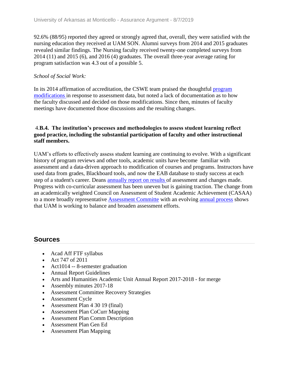92.6% (88/95) reported they agreed or strongly agreed that, overall, they were satisfied with the nursing education they received at UAM SON. Alumni surveys from 2014 and 2015 graduates revealed similar findings. The Nursing faculty received twenty-one completed surveys from 2014 (11) and 2015 (6), and 2016 (4) graduates. The overall three-year average rating for program satisfaction was 4.3 out of a possible 5.

#### *School of Social Work:*

In its 2014 affirmation of accreditation, the CSWE team praised the thoughtful program modifications in response to assessment data, but noted a lack of documentation as to how the faculty discussed and decided on those modifications. Since then, minutes of faculty meetings have documented those discussions and the resulting changes.

#### 4.**B.4. The institution's processes and methodologies to assess student learning reflect good practice, including the substantial participation of faculty and other instructional staff members.**

UAM's efforts to effectively assess student learning are continuing to evolve. With a significant history of program reviews and other tools, academic units have become familiar with assessment and a data-driven approach to modification of courses and programs. Instructors have used data from grades, Blackboard tools, and now the EAB database to study success at each step of a student's career. Deans annually report on results of assessment and changes made. Progress with co-curricular assessment has been uneven but is gaining traction. The change from an academically weighted Council on Assessment of Student Academic Achievement (CASAA) to a more broadly representative Assessment Committe with an evolving annual process shows that UAM is working to balance and broaden assessment efforts.

## **Sources**

- Acad Aff FTF syllabus
- Act 747 of 2011
- Act1014 -- 8-semester graduation
- Annual Report Guidelines
- Arts and Humanities Academic Unit Annual Report 2017-2018 for merge
- Assembly minutes 2017-18
- Assessment Committee Recovery Strategies
- Assessment Cycle
- Assessment Plan 4 30 19 (final)
- Assessment Plan CoCurr Mapping
- Assessment Plan Comm Description
- Assessment Plan Gen Ed
- Assessment Plan Mapping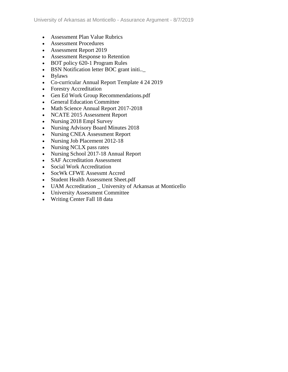- Assessment Plan Value Rubrics
- Assessment Procedures
- Assessment Report 2019
- Assessment Response to Retention
- BOT policy 620-1 Program Rules
- BSN Notification letter BOC grant initi..\_
- Bylaws
- Co-curricular Annual Report Template 4 24 2019
- Forestry Accreditation
- Gen Ed Work Group Recommendations.pdf
- General Education Committee
- Math Science Annual Report 2017-2018
- NCATE 2015 Assessment Report
- Nursing 2018 Empl Survey
- Nursing Advisory Board Minutes 2018
- Nursing CNEA Assessment Report
- Nursing Job Placement 2012-18
- Nursing NCLX pass rates
- Nursing School 2017-18 Annual Report
- SAF Accreditation Assessment
- Social Work Accreditation
- SocWk CFWE Assessmt Accred
- Student Health Assessment Sheet.pdf
- UAM Accreditation \_ University of Arkansas at Monticello
- University Assessment Committee
- Writing Center Fall 18 data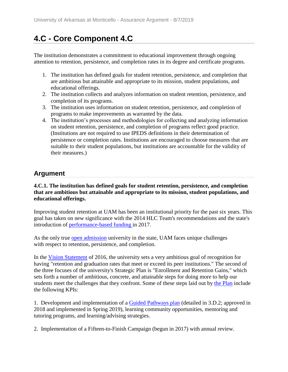# **4.C - Core Component 4.C**

The institution demonstrates a commitment to educational improvement through ongoing attention to retention, persistence, and completion rates in its degree and certificate programs.

- 1. The institution has defined goals for student retention, persistence, and completion that are ambitious but attainable and appropriate to its mission, student populations, and educational offerings.
- 2. The institution collects and analyzes information on student retention, persistence, and completion of its programs.
- 3. The institution uses information on student retention, persistence, and completion of programs to make improvements as warranted by the data.
- 4. The institution's processes and methodologies for collecting and analyzing information on student retention, persistence, and completion of programs reflect good practice. (Institutions are not required to use IPEDS definitions in their determination of persistence or completion rates. Institutions are encouraged to choose measures that are suitable to their student populations, but institutions are accountable for the validity of their measures.)

# **Argument**

**4.C.1. The institution has defined goals for student retention, persistence, and completion that are ambitious but attainable and appropriate to its mission, student populations, and educational offerings.**

Improving student retention at UAM has been an institutional priority for the past six years. This goal has taken on new significance with the 2014 HLC Team's recommendations and the state's introduction of performance-based funding in 2017.

As the only true open admission university in the state, UAM faces unique challenges with respect to retention, persistence, and completion.

In the Vision Statement of 2016, the university sets a very ambitious goal of recognition for having "retention and graduation rates that meet or exceed its peer institutions." The second of the three focuses of the university's Strategic Plan is "Enrollment and Retention Gains," which sets forth a number of ambitious, concrete, and attainable steps for doing more to help our students meet the challenges that they confront. Some of these steps laid out by the Plan include the following KPIs:

1. Development and implementation of a Guided Pathways plan (detailed in 3.D.2; approved in 2018 and implemented in Spring 2019), learning community opportunities, mentoring and tutoring programs, and learning/advising strategies.

2. Implementation of a Fifteen-to-Finish Campaign (begun in 2017) with annual review.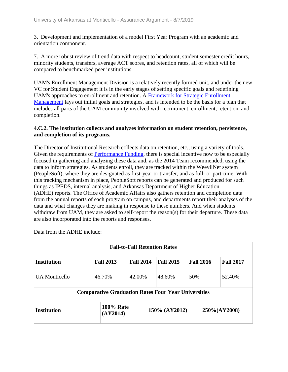3. Development and implementation of a model First Year Program with an academic and orientation component.

7. A more robust review of trend data with respect to headcount, student semester credit hours, minority students, transfers, average ACT scores, and retention rates, all of which will be compared to benchmarked peer institutions.

UAM's Enrollment Management Division is a relatively recently formed unit, and under the new VC for Student Engagement it is in the early stages of setting specific goals and redefining UAM's approaches to enrollment and retention. A Framework for Strategic Enrollment Management lays out initial goals and strategies, and is intended to be the basis for a plan that includes all parts of the UAM community involved with recruitment, enrollment, retention, and completion.

#### **4.C.2. The institution collects and analyzes information on student retention, persistence, and completion of its programs.**

The Director of Institutional Research collects data on retention, etc., using a variety of tools. Given the requirements of Performance Funding, there is special incentive now to be especially focused in gathering and analyzing these data and, as the 2014 Team recommended, using the data to inform strategies. As students enroll, they are tracked within the WeevilNet system (PeopleSoft), where they are designated as first-year or transfer, and as full- or part-time. With this tracking mechanism in place, PeopleSoft reports can be generated and produced for such things as IPEDS, internal analysis, and Arkansas Department of Higher Education (ADHE) reports. The Office of Academic Affairs also gathers retention and completion data from the annual reports of each program on campus, and departments report their analyses of the data and what changes they are making in response to these numbers. And when students withdraw from UAM, they are asked to self-report the reason(s) for their departure. These data are also incorporated into the reports and responses.

| <b>Fall-to-Fall Retention Rates</b> |                                                            |                  |                  |                  |                  |  |  |
|-------------------------------------|------------------------------------------------------------|------------------|------------------|------------------|------------------|--|--|
| <b>Institution</b>                  | <b>Fall 2013</b>                                           | <b>Fall 2014</b> | <b>Fall 2015</b> | <b>Fall 2016</b> | <b>Fall 2017</b> |  |  |
| UA Monticello                       | 46.70%                                                     | 42.00%           | 48.60%           | 50%              | 52.40%           |  |  |
|                                     | <b>Comparative Graduation Rates Four Year Universities</b> |                  |                  |                  |                  |  |  |
| <b>Institution</b>                  | <b>100% Rate</b><br>(AY2014)                               |                  | 150% (AY2012)    |                  | 250%(AY2008)     |  |  |

Data from the ADHE include: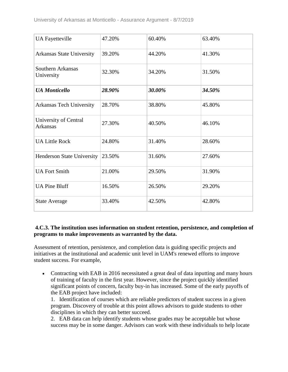| <b>UA Fayetteville</b>                   | 47.20% | 60.40% | 63.40% |
|------------------------------------------|--------|--------|--------|
| <b>Arkansas State University</b>         | 39.20% | 44.20% | 41.30% |
| Southern Arkansas<br>University          | 32.30% | 34.20% | 31.50% |
| <b>UA</b> Monticello                     | 28.90% | 30.00% | 34.50% |
| <b>Arkansas Tech University</b>          | 28.70% | 38.80% | 45.80% |
| University of Central<br><b>Arkansas</b> | 27.30% | 40.50% | 46.10% |
| <b>UA Little Rock</b>                    | 24.80% | 31.40% | 28.60% |
| <b>Henderson State University</b>        | 23.50% | 31.60% | 27.60% |
| <b>UA Fort Smith</b>                     | 21.00% | 29.50% | 31.90% |
| <b>UA Pine Bluff</b>                     | 16.50% | 26.50% | 29.20% |
| <b>State Average</b>                     | 33.40% | 42.50% | 42.80% |

#### **4.C.3. The institution uses information on student retention, persistence, and completion of programs to make improvements as warranted by the data.**

Assessment of retention, persistence, and completion data is guiding specific projects and initiatives at the institutional and academic unit level in UAM's renewed efforts to improve student success. For example,

• Contracting with EAB in 2016 necessitated a great deal of data inputting and many hours of training of faculty in the first year. However, since the project quickly identified significant points of concern, faculty buy-in has increased. Some of the early payoffs of the EAB project have included:

1. Identification of courses which are reliable predictors of student success in a given program. Discovery of trouble at this point allows advisors to guide students to other disciplines in which they can better succeed.

2. EAB data can help identify students whose grades may be acceptable but whose success may be in some danger. Advisors can work with these individuals to help locate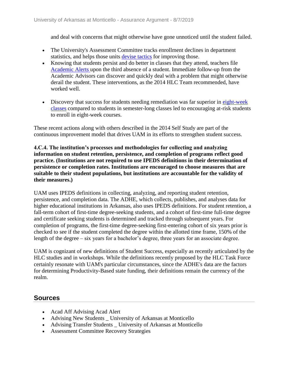and deal with concerns that might otherwise have gone unnoticed until the student failed.

- The University's Assessment Committee tracks enrollment declines in department statistics, and helps those units devise tactics for improving those.
- Knowing that students persist and do better in classes that they attend, teachers file Academic Alerts upon the third absence of a student. Immediate follow-up from the Academic Advisors can discover and quickly deal with a problem that might otherwise derail the student. These interventions, as the 2014 HLC Team recommended, have worked well.
- Discovery that success for students needing remediation was far superior in eight-week classes compared to students in semester-long classes led to encouraging at-risk students to enroll in eight-week courses.

These recent actions along with others described in the 2014 Self Study are part of the continuous improvement model that drives UAM in its efforts to strengthen student success.

#### **4.C.4. The institution's processes and methodologies for collecting and analyzing information on student retention, persistence, and completion of programs reflect good practice. (Institutions are not required to use IPEDS definitions in their determination of persistence or completion rates. Institutions are encouraged to choose measures that are suitable to their student populations, but institutions are accountable for the validity of their measures.)**

UAM uses IPEDS definitions in collecting, analyzing, and reporting student retention, persistence, and completion data. The ADHE, which collects, publishes, and analyses data for higher educational institutions in Arkansas, also uses IPEDS definitions. For student retention, a fall-term cohort of first-time degree-seeking students, and a cohort of first-time full-time degree and certificate seeking students is determined and tracked through subsequent years. For completion of programs, the first-time degree-seeking first-entering cohort of six years prior is checked to see if the student completed the degree within the allotted time frame, 150% of the length of the degree – six years for a bachelor's degree, three years for an associate degree.

UAM is cognizant of new definitions of Student Success, especially as recently articulated by the HLC studies and in workshops. While the definitions recently proposed by the HLC Task Force certainly resonate with UAM's particular circumstances, since the ADHE's data are the factors for determining Productivity-Based state funding, their definitions remain the currency of the realm.

## **Sources**

- Acad Aff Advising Acad Alert
- Advising New Students \_ University of Arkansas at Monticello
- Advising Transfer Students University of Arkansas at Monticello
- Assessment Committee Recovery Strategies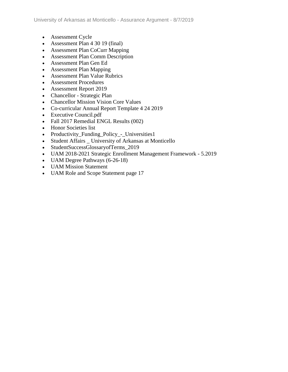- Assessment Cycle
- Assessment Plan 4 30 19 (final)
- Assessment Plan CoCurr Mapping
- Assessment Plan Comm Description
- Assessment Plan Gen Ed
- Assessment Plan Mapping
- Assessment Plan Value Rubrics
- Assessment Procedures
- Assessment Report 2019
- Chancellor Strategic Plan
- Chancellor Mission Vision Core Values
- Co-curricular Annual Report Template 4 24 2019
- Executive Council.pdf
- Fall 2017 Remedial ENGL Results (002)
- Honor Societies list
- Productivity\_Funding\_Policy\_-\_Universities1
- Student Affairs University of Arkansas at Monticello
- StudentSuccessGlossaryofTerms\_2019
- UAM 2018-2021 Strategic Enrollment Management Framework 5.2019
- UAM Degree Pathways (6-26-18)
- UAM Mission Statement
- UAM Role and Scope Statement page 17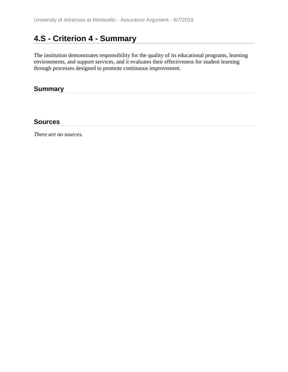# **4.S - Criterion 4 - Summary**

The institution demonstrates responsibility for the quality of its educational programs, learning environments, and support services, and it evaluates their effectiveness for student learning through processes designed to promote continuous improvement.

## **Summary**

### **Sources**

*There are no sources.*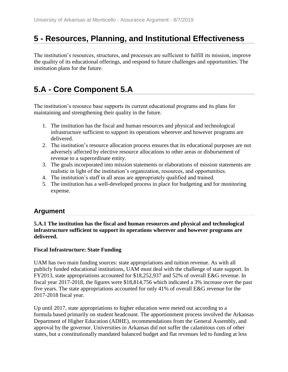# **5 - Resources, Planning, and Institutional Effectiveness**

The institution's resources, structures, and processes are sufficient to fulfill its mission, improve the quality of its educational offerings, and respond to future challenges and opportunities. The institution plans for the future.

# **5.A - Core Component 5.A**

The institution's resource base supports its current educational programs and its plans for maintaining and strengthening their quality in the future.

- 1. The institution has the fiscal and human resources and physical and technological infrastructure sufficient to support its operations wherever and however programs are delivered.
- 2. The institution's resource allocation process ensures that its educational purposes are not adversely affected by elective resource allocations to other areas or disbursement of revenue to a superordinate entity.
- 3. The goals incorporated into mission statements or elaborations of mission statements are realistic in light of the institution's organization, resources, and opportunities.
- 4. The institution's staff in all areas are appropriately qualified and trained.
- 5. The institution has a well-developed process in place for budgeting and for monitoring expense.

# **Argument**

**5.A.1 The institution has the fiscal and human resources and physical and technological infrastructure sufficient to support its operations wherever and however programs are delivered.**

### **Fiscal Infrastructure: State Funding**

UAM has two main funding sources: state appropriations and tuition revenue. As with all publicly funded educational institutions, UAM must deal with the challenge of state support. In FY2013, state appropriations accounted for \$18,252,937 and 52% of overall E&G revenue. In fiscal year 2017-2018, the figures were \$18,814,756 which indicated a 3% increase over the past five years. The state appropriations accounted for only 41% of overall E&G revenue for the 2017-2018 fiscal year.

Up until 2017, state appropriations to higher education were meted out according to a formula based primarily on student headcount. The apportionment process involved the Arkansas Department of Higher Education (ADHE), recommendations from the General Assembly, and approval by the governor. Universities in Arkansas did not suffer the calamitous cuts of other states, but a constitutionally mandated balanced budget and flat revenues led to funding at less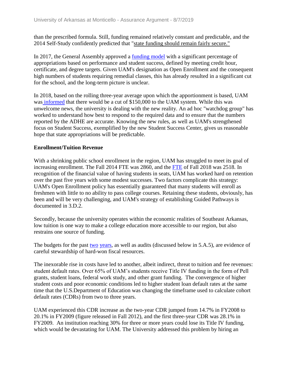than the prescribed formula. Still, funding remained relatively constant and predictable, and the 2014 Self-Study confidently predicted that "state funding should remain fairly secure."

In 2017, the General Assembly approved a funding model with a significant percentage of appropriations based on performance and student success, defined by meeting credit hour, certificate, and degree targets. Given UAM's designation as Open Enrollment and the consequent high numbers of students requiring remedial classes, this has already resulted in a significant cut for the school, and the long-term picture is unclear.

In 2018, based on the rolling three-year average upon which the apportionment is based, UAM was informed that there would be a cut of \$150,000 to the UAM system. While this was unwelcome news, the university is dealing with the new reality. An ad hoc "watchdog group" has worked to understand how best to respond to the required data and to ensure that the numbers reported by the ADHE are accurate. Knowing the new rules, as well as UAM's strengthened focus on Student Success, exemplified by the new Student Success Center, gives us reasonable hope that state appropriations will be predictable.

#### **Enrollment/Tuition Revenue**

With a shrinking public school enrollment in the region, UAM has struggled to meet its goal of increasing enrollment. The Fall 2014 FTE was 2860, and the FTE of Fall 2018 was 2518. In recognition of the financial value of having students in seats, UAM has worked hard on retention over the past five years with some modest successes. Two factors complicate this strategy: UAM's Open Enrollment policy has essentially guaranteed that many students will enroll as freshmen with little to no ability to pass college courses. Retaining these students, obviously, has been and will be very challenging, and UAM's strategy of establishing Guided Pathways is documented in 3.D.2.

Secondly, because the university operates within the economic realities of Southeast Arkansas, low tuition is one way to make a college education more accessible to our region, but also restrains one source of funding.

The budgets for the past two years, as well as audits (discussed below in 5.A.5), are evidence of careful stewardship of hard-won fiscal resources.

The inexorable rise in costs have led to another, albeit indirect, threat to tuition and fee revenues: student default rates. Over 65% of UAM's students receive Title IV funding in the form of Pell grants, student loans, federal work study, and other grant funding. The convergence of higher student costs and poor economic conditions led to higher student loan default rates at the same time that the U.S.Department of Education was changing the timeframe used to calculate cohort default rates (CDRs) from two to three years.

UAM experienced this CDR increase as the two-year CDR jumped from 14.7% in FY2008 to 20.1% in FY2009 (figure released in Fall 2012), and the first three-year CDR was 28.1% in FY2009. An institution reaching 30% for three or more years could lose its Title IV funding, which would be devastating for UAM. The University addressed this problem by hiring an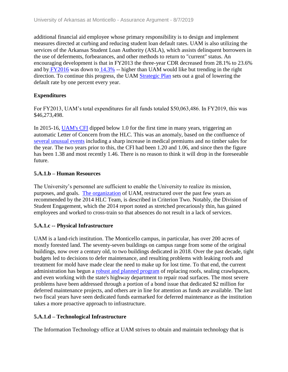additional financial aid employee whose primary responsibility is to design and implement measures directed at curbing and reducing student loan default rates. UAM is also utilizing the services of the Arkansas Student Loan Authority (ASLA), which assists delinquent borrowers in the use of deferments, forbearances, and other methods to return to "current" status. An encouraging development is that in FY2013 the three-year CDR decreased from 28.1% to 23.6% and by FY2016 was down to 14.3% -- higher than UAM would like but trending in the right direction. To continue this progress, the UAM Strategic Plan sets out a goal of lowering the default rate by one percent every year.

### **Expenditures**

For FY2013, UAM's total expenditures for all funds totaled \$50,063,486. In FY2019, this was \$46,273,498.

In 2015-16, UAM's CFI dipped below 1.0 for the first time in many years, triggering an automatic Letter of Concern from the HLC. This was an anomaly, based on the confluence of several unusual events including a sharp increase in medical premiums and no timber sales for the year. The two years prior to this, the CFI had been 1.20 and 1.06, and since then the figure has been 1.38 and most recently 1.46. There is no reason to think it will drop in the foreseeable future.

### **5.A.1.b – Human Resources**

The University's personnel are sufficient to enable the University to realize its mission, purposes, and goals. The organization of UAM, restructured over the past few years as recommended by the 2014 HLC Team, is described in Criterion Two. Notably, the Division of Student Engagement, which the 2014 report noted as stretched precariously thin, has gained employees and worked to cross-train so that absences do not result in a lack of services.

### **5.A.1.c -- Physical Infrastructure**

UAM is a land-rich institution. The Monticello campus, in particular, has over 200 acres of mostly forested land. The seventy-seven buildings on campus range from some of the original buildings, now over a century old, to two buildings dedicated in 2018. Over the past decade, tight budgets led to decisions to defer maintenance, and resulting problems with leaking roofs and treatment for mold have made clear the need to make up for lost time. To that end, the current administration has begun a robust and planned program of replacing roofs, sealing crawlspaces, and even working with the state's highway department to repair road surfaces. The most severe problems have been addressed through a portion of a bond issue that dedicated \$2 million for deferred maintenance projects, and others are in line for attention as funds are available. The last two fiscal years have seen dedicated funds earmarked for deferred maintenance as the institution takes a more proactive approach to infrastructure.

## **5.A.1.d – Technological Infrastructure**

The Information Technology office at UAM strives to obtain and maintain technology that is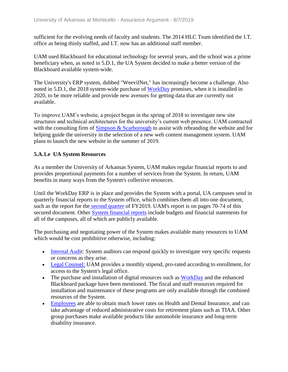sufficient for the evolving needs of faculty and students. The 2014 HLC Team identified the I.T. office as being thinly staffed, and I.T. now has an additional staff member.

UAM used Blackboard for educational technology for several years, and the school was a prime beneficiary when, as noted in 5.D.1, the UA System decided to make a better version of the Blackboard available system-wide.

The University's ERP system, dubbed "WeevilNet," has increasingly become a challenge. Also noted in 5.D.1, the 2018 system-wide purchase of WorkDay promises, when it is installed in 2020, to be more reliable and provide new avenues for getting data that are currently not available.

To improve UAM's website, a project began in the spring of 2018 to investigate new site structures and technical architectures for the university's current web presence. UAM contracted with the consulting firm of Simpson & Scarborough to assist with rebranding the website and for helping guide the university in the selection of a new web content management system. UAM plans to launch the new website in the summer of 2019.

### **5.A.1.e UA System Resources**

As a member the University of Arkansas System, UAM makes regular financial reports to and provides proportional payments for a number of services from the System. In return, UAM benefits in many ways from the System's collective resources.

Until the WorkDay ERP is in place and provides the System with a portal, UA campuses send in quarterly financial reports to the System office, which combines them all into one document, such as the report for the second quarter of FY2019. UAM's report is on pages 70-74 of this secured document. Other System financial reports include budgets and financial statements for all of the campuses, all of which are publicly available.

The purchasing and negotiating power of the System makes available many resources to UAM which would be cost prohibitive otherwise, including:

- Internal Audit: System auditors can respond quickly to investigate very specific requests or concerns as they arise.
- Legal Counsel: UAM provides a monthly stipend, pro-rated according to enrollment, for access to the System's legal office.
- The purchase and installation of digital resources such as WorkDay and the enhanced Blackboard package have been mentioned. The fiscal and staff resources required for installation and maintenance of these programs are only available through the combined resources of the System.
- Employees are able to obtain much lower rates on Health and Dental Insurance, and can take advantage of reduced administrative costs for retirement plans such as TIAA. Other group purchases make available products like automobile insurance and long-term disability insurance.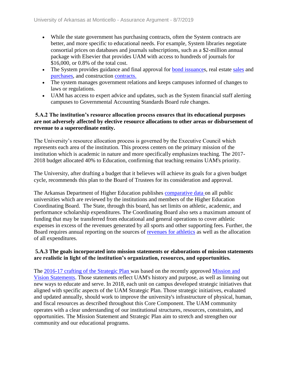- While the state government has purchasing contracts, often the System contracts are better, and more specific to educational needs. For example, System libraries negotiate consortial prices on databases and journals subscriptions, such as a \$2-million annual package with Elsevier that provides UAM with access to hundreds of journals for \$16,000, or 0.8% of the total cost.
- The System provides guidance and final approval for bond issuances, real estate sales and purchases, and construction contracts.
- The system manages government relations and keeps campuses informed of changes to laws or regulations.
- UAM has access to expert advice and updates, such as the System financial staff alerting campuses to Governmental Accounting Standards Board rule changes.

#### **5.A.2 The institution's resource allocation process ensures that its educational purposes are not adversely affected by elective resource allocations to other areas or disbursement of revenue to a superordinate entity.**

The University's resource allocation process is governed by the Executive Council which represents each area of the institution. This process centers on the primary mission of the institution which is academic in nature and more specifically emphasizes teaching. The 2017- 2018 budget allocated 40% to Education, confirming that teaching remains UAM's priority.

The University, after drafting a budget that it believes will achieve its goals for a given budget cycle, recommends this plan to the Board of Trustees for its consideration and approval.

The Arkansas Department of Higher Education publishes comparative data on all public universities which are reviewed by the institutions and members of the Higher Education Coordinating Board. The State, through this board, has set limits on athletic, academic, and performance scholarship expenditures. The Coordinating Board also sets a maximum amount of funding that may be transferred from educational and general operations to cover athletic expenses in excess of the revenues generated by all sports and other supporting fees. Further, the Board requires annual reporting on the sources of revenues for athletics as well as the allocation of all expenditures.

#### **5.A.3 The goals incorporated into mission statements or elaborations of mission statements are realistic in light of the institution's organization, resources, and opportunities.**

The 2016-17 crafting of the Strategic Plan was based on the recently approved Mission and Vision Statements. Those statements reflect UAM's history and purpose, as well as limning out new ways to educate and serve. In 2018, each unit on campus developed strategic initiatives that aligned with specific aspects of the UAM Strategic Plan. Those strategic initiatives, evaluated and updated annually, should work to improve the university's infrastructure of physical, human, and fiscal resources as described throughout this Core Component. The UAM community operates with a clear understanding of our institutional structures, resources, constraints, and opportunities. The Mission Statement and Strategic Plan aim to stretch and strengthen our community and our educational programs.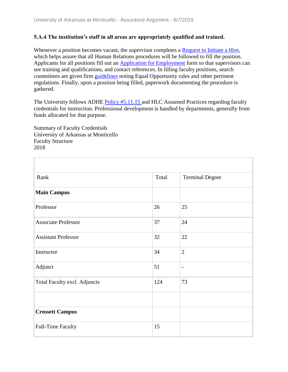#### **5.A.4 The institution's staff in all areas are appropriately qualified and trained.**

Whenever a position becomes vacant, the supervisor completes a Request to Initiate a Hire, which helps assure that all Human Relations procedures will be followed to fill the position. Applicants for all positions fill out an Application for Employment form so that supervisors can see training and qualifications, and contact references. In filling faculty positions, search committees are given firm guidelines noting Equal Opportunity rules and other pertinent regulations. Finally, upon a position being filled, paperwork documenting the procedure is gathered.

The University follows ADHE Policy #5.11.15 and HLC Assumed Practices regarding faculty credentials for instruction. Professional development is handled by departments, generally from funds allocated for that purpose.

Summary of Faculty Credentials University of Arkansas at Monticello Faculty Structure 2018

| Rank                         | Total | <b>Terminal Degree</b>   |
|------------------------------|-------|--------------------------|
| <b>Main Campus</b>           |       |                          |
| Professor                    | 26    | 25                       |
| <b>Associate Professor</b>   | 37    | 24                       |
| <b>Assistant Professor</b>   | 32    | 22                       |
| Instructor                   | 34    | $\overline{2}$           |
| Adjunct                      | 51    | $\overline{\phantom{a}}$ |
| Total Faculty excl. Adjuncts | 124   | 73                       |
|                              |       |                          |
| <b>Crossett Campus</b>       |       |                          |
| Full-Time Faculty            | 15    |                          |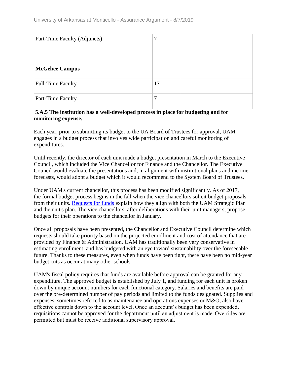| Part-Time Faculty (Adjuncts) | 7  |  |
|------------------------------|----|--|
|                              |    |  |
| <b>McGehee Campus</b>        |    |  |
| <b>Full-Time Faculty</b>     | 17 |  |
| Part-Time Faculty            |    |  |

#### **5.A.5 The institution has a well-developed process in place for budgeting and for monitoring expense.**

Each year, prior to submitting its budget to the UA Board of Trustees for approval, UAM engages in a budget process that involves wide participation and careful monitoring of expenditures.

Until recently, the director of each unit made a budget presentation in March to the Executive Council, which included the Vice Chancellor for Finance and the Chancellor. The Executive Council would evaluate the presentations and, in alignment with institutional plans and income forecasts, would adopt a budget which it would recommend to the System Board of Trustees.

Under UAM's current chancellor, this process has been modified significantly. As of 2017, the formal budget process begins in the fall when the vice chancellors solicit budget proposals from their units. Requests for funds explain how they align with both the UAM Strategic Plan and the unit's plan. The vice chancellors, after deliberations with their unit managers, propose budgets for their operations to the chancellor in January.

Once all proposals have been presented, the Chancellor and Executive Council determine which requests should take priority based on the projected enrollment and cost of attendance that are provided by Finance & Administration. UAM has traditionally been very conservative in estimating enrollment, and has budgeted with an eye toward sustainability over the foreseeable future. Thanks to these measures, even when funds have been tight, there have been no mid-year budget cuts as occur at many other schools.

UAM's fiscal policy requires that funds are available before approval can be granted for any expenditure. The approved budget is established by July 1, and funding for each unit is broken down by unique account numbers for each functional category. Salaries and benefits are paid over the pre-determined number of pay periods and limited to the funds designated. Supplies and expenses, sometimes referred to as maintenance and operations expenses or M&O, also have effective controls down to the account level. Once an account's budget has been expended, requisitions cannot be approved for the department until an adjustment is made. Overrides are permitted but must be receive additional supervisory approval.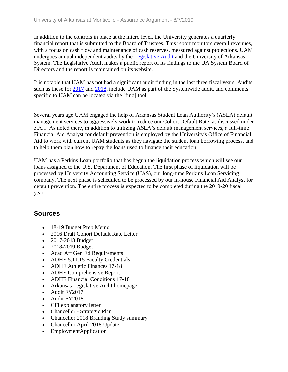In addition to the controls in place at the micro level, the University generates a quarterly financial report that is submitted to the Board of Trustees. This report monitors overall revenues, with a focus on cash flow and maintenance of cash reserves, measured against projections. UAM undergoes annual independent audits by the Legislative Audit and the University of Arkansas System. The Legislative Audit makes a public report of its findings to the UA System Board of Directors and the report is maintained on its website.

It is notable that UAM has not had a significant audit finding in the last three fiscal years. Audits, such as these for 2017 and 2018, include UAM as part of the Systemwide audit, and comments specific to UAM can be located via the [find] tool.

Several years ago UAM engaged the help of Arkansas Student Loan Authority's (ASLA) default management services to aggressively work to reduce our Cohort Default Rate, as discussed under 5.A.1. As noted there, in addition to utilizing ASLA's default management services, a full-time Financial Aid Analyst for default prevention is employed by the University's Office of Financial Aid to work with current UAM students as they navigate the student loan borrowing process, and to help them plan how to repay the loans used to finance their education.

UAM has a Perkins Loan portfolio that has begun the liquidation process which will see our loans assigned to the U.S. Department of Education. The first phase of liquidation will be processed by University Accounting Service (UAS), our long-time Perkins Loan Servicing company. The next phase is scheduled to be processed by our in-house Financial Aid Analyst for default prevention. The entire process is expected to be completed during the 2019-20 fiscal year.

## **Sources**

- 18-19 Budget Prep Memo
- 2016 Draft Cohort Default Rate Letter
- 2017-2018 Budget
- 2018-2019 Budget
- Acad Aff Gen Ed Requirements
- ADHE 5.11.15 Faculty Credentials
- ADHE Athletic Finances 17-18
- ADHE Comprehensive Report
- ADHE Financial Conditions 17-18
- Arkansas Legislative Audit homepage
- Audit FY2017
- Audit FY2018
- CFI explanatory letter
- Chancellor Strategic Plan
- Chancellor 2018 Branding Study summary
- Chancellor April 2018 Update
- EmploymentApplication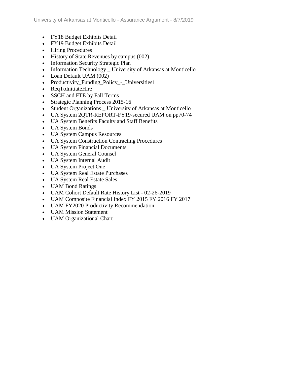- FY18 Budget Exhibits Detail
- FY19 Budget Exhibits Detail
- Hiring Procedures
- History of State Revenues by campus (002)
- Information Security Strategic Plan
- Information Technology \_ University of Arkansas at Monticello
- Loan Default UAM (002)
- Productivity\_Funding\_Policy\_-\_Universities1
- ReqToInitiateHire
- SSCH and FTE by Fall Terms
- Strategic Planning Process 2015-16
- Student Organizations \_ University of Arkansas at Monticello
- UA System 2QTR-REPORT-FY19-secured UAM on pp70-74
- UA System Benefits Faculty and Staff Benefits
- UA System Bonds
- UA System Campus Resources
- UA System Construction Contracting Procedures
- UA System Financial Documents
- UA System General Counsel
- UA System Internal Audit
- UA System Project One
- UA System Real Estate Purchases
- UA System Real Estate Sales
- UAM Bond Ratings
- UAM Cohort Default Rate History List 02-26-2019
- UAM Composite Financial Index FY 2015 FY 2016 FY 2017
- UAM FY2020 Productivity Recommendation
- UAM Mission Statement
- UAM Organizational Chart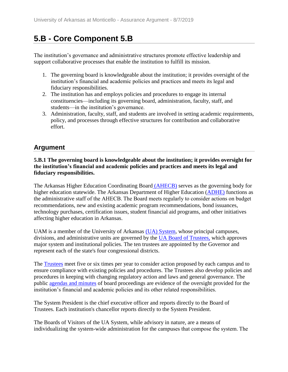# **5.B - Core Component 5.B**

The institution's governance and administrative structures promote effective leadership and support collaborative processes that enable the institution to fulfill its mission.

- 1. The governing board is knowledgeable about the institution; it provides oversight of the institution's financial and academic policies and practices and meets its legal and fiduciary responsibilities.
- 2. The institution has and employs policies and procedures to engage its internal constituencies—including its governing board, administration, faculty, staff, and students—in the institution's governance.
- 3. Administration, faculty, staff, and students are involved in setting academic requirements, policy, and processes through effective structures for contribution and collaborative effort.

## **Argument**

#### **5.B.1 The governing board is knowledgeable about the institution; it provides oversight for the institution's financial and academic policies and practices and meets its legal and fiduciary responsibilities.**

The Arkansas Higher Education Coordinating Board (AHECB) serves as the governing body for higher education statewide. The Arkansas Department of Higher Education (ADHE) functions as the administrative staff of the AHECB. The Board meets regularly to consider actions on budget recommendations, new and existing academic program recommendations, bond issuances, technology purchases, certification issues, student financial aid programs, and other initiatives affecting higher education in Arkansas.

UAM is a member of the University of Arkansas (UA) System, whose principal campuses, divisions, and administrative units are governed by the UA Board of Trustees, which approves major system and institutional policies. The ten trustees are appointed by the Governor and represent each of the state's four congressional districts.

The Trustees meet five or six times per year to consider action proposed by each campus and to ensure compliance with existing policies and procedures. The Trustees also develop policies and procedures in keeping with changing regulatory action and laws and general governance. The public agendas and minutes of board proceedings are evidence of the oversight provided for the institution's financial and academic policies and its other related responsibilities.

The System President is the chief executive officer and reports directly to the Board of Trustees. Each institution's chancellor reports directly to the System President.

The Boards of Visitors of the UA System, while advisory in nature, are a means of individualizing the system-wide administration for the campuses that compose the system. The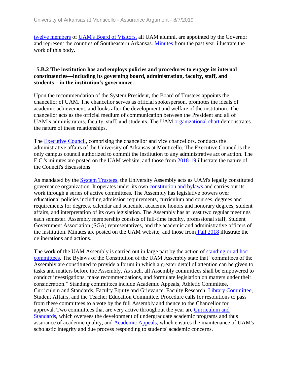twelve members of UAM's Board of Visitor[s,](../../evidence/viewfile?fileid=602562) all UAM alumni, are appointed by the Governor and represent the counties of Southeastern Arkansas. Minutes from the past year illustrate the work of this body.

#### **5.B.2 The institution has and employs policies and procedures to engage its internal constituencies—including its governing board, administration, faculty, staff, and students—in the institution's governance.**

Upon the recommendation of the System President, the Board of Trustees appoints the chancellor of UAM. The chancellor serves as official spokesperson, promotes the ideals of academic achievement, and looks after the development and welfare of the institution. The chancellor acts as the official medium of communication between the President and all of UAM's administrators, faculty, staff, and students. The UAM organizational chart demonstrates the nature of these relationships.

The Executive Council, comprising the chancellor and vice chancellors, conducts the administrative affairs of the University of Arkansas at Monticello. The Executive Council is the only campus council authorized to commit the institution to any administrative act or action. The E.C.'s minutes are posted on the UAM website, and those from 2018-19 illustrate the nature of the Council's discussions.

As mandated by the System Trustees, the University Assembly acts as UAM's legally constituted governance organization. It operates under its own constitution and bylaws and carries out its work through a series of active committees. The Assembly has legislative powers over educational policies including admission requirements, curriculum and courses, degrees and requirements for degrees, calendar and schedule, academic honors and honorary degrees, student affairs, and interpretation of its own legislation. The Assembly has at least two regular meetings each semester. Assembly membership consists of full-time faculty, professional staff, Student Government Association (SGA) representatives, and the academic and administrative officers of the institution. Minutes are posted on the UAM website, and those from Fall 2018 illustrate the deliberations and actions.

The work of the UAM Assembly is carried out in large part by the action of standing or ad hoc committees. The Bylaws of the Constitution of the UAM Assembly state that "committees of the Assembly are constituted to provide a forum in which a greater detail of attention can be given to tasks and matters before the Assembly. As such, all Assembly committees shall be empowered to conduct investigations, make recommendations, and formulate legislation on matters under their consideration." Standing committees include Academic Appeals, Athletic Committee, Curriculum and Standards, Faculty Equity and Grievance, Faculty Research, Library Committee, Student Affairs, and the Teacher Education Committee. Procedure calls for resolutions to pass from these committees to a vote by the full Assembly and thence to the Chancellor for approval. Two committees that are very active throughout the year are Curriculum and Standards, which oversees the development of undergraduate academic programs and thus assurance of academic quality, and Academic Appeals, which ensures the maintenance of UAM's scholastic integrity and due process responding to students' academic concerns.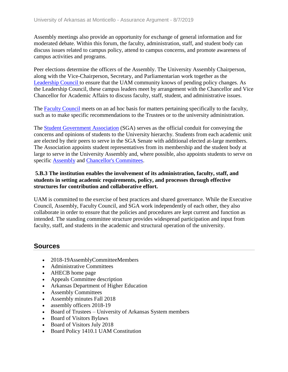Assembly meetings also provide an opportunity for exchange of general information and for moderated debate. Within this forum, the faculty, administration, staff, and student body can discuss issues related to campus policy, attend to campus concerns, and promote awareness of campus activities and programs.

Peer elections determine the officers of the Assembly. The University Assembly Chairperson, along with the Vice-Chairperson, Secretary, and Parliamentarian work together as the Leadership Council to ensure that the UAM community knows of pending policy changes. As the Leadership Council, these campus leaders meet by arrangement with the Chancellor and Vice Chancellor for Academic Affairs to discuss faculty, staff, student, and administrative issues.

The Faculty Council meets on an ad hoc basis for matters pertaining specifically to the faculty, such as to make specific recommendations to the Trustees or to the university administration.

The **Student Government Association** (SGA) serves as the official conduit for conveying the concerns and opinions of students to the University hierarchy. Students from each academic unit are elected by their peers to serve in the SGA Senate with additional elected at-large members. The Association appoints student representatives from its membership and the student body at large to serve in the University Assembly and, where possible, also appoints students to serve on specific Assembly and Chancellor's Committees.

#### **5.B.3 The institution enables the involvement of its administration, faculty, staff, and students in setting academic requirements, policy, and processes through effective structures for contribution and collaborative effort.**

UAM is committed to the exercise of best practices and shared governance. While the Executive Council, Assembly, Faculty Council, and SGA work independently of each other, they also collaborate in order to ensure that the policies and procedures are kept current and function as intended. The standing committee structure provides widespread participation and input from faculty, staff, and students in the academic and structural operation of the university.

## **Sources**

- 2018-19AssemblyCommitteeMembers
- Administrative Committees
- AHECB home page
- Appeals Committee description
- Arkansas Department of Higher Education
- Assembly Committees
- Assembly minutes Fall 2018
- assembly officers 2018-19
- Board of Trustees University of Arkansas System members
- Board of Visitors Bylaws
- Board of Visitors July 2018
- Board Policy 1410.1 UAM Constitution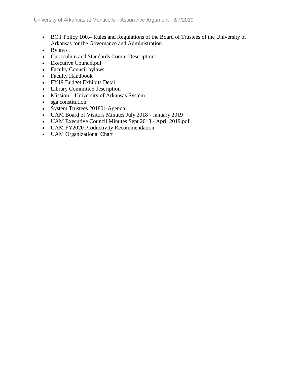- BOT Policy 100.4 Rules and Regulations of the Board of Trustees of the University of Arkansas for the Governance and Administration
- Bylaws
- Curriculum and Standards Comm Description
- Executive Council.pdf
- Faculty Council bylaws
- Faculty Handbook
- FY19 Budget Exhibits Detail
- Library Committee description
- Mission University of Arkansas System
- sga constitution
- System Trustees 201801 Agenda
- UAM Board of Visitors Minutes July 2018 January 2019
- UAM Executive Council Minutes Sept 2018 April 2019.pdf
- UAM FY2020 Productivity Recommendation
- UAM Organizational Chart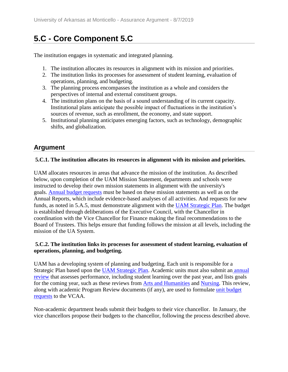# **5.C - Core Component 5.C**

The institution engages in systematic and integrated planning.

- 1. The institution allocates its resources in alignment with its mission and priorities.
- 2. The institution links its processes for assessment of student learning, evaluation of operations, planning, and budgeting.
- 3. The planning process encompasses the institution as a whole and considers the perspectives of internal and external constituent groups.
- 4. The institution plans on the basis of a sound understanding of its current capacity. Institutional plans anticipate the possible impact of fluctuations in the institution's sources of revenue, such as enrollment, the economy, and state support.
- 5. Institutional planning anticipates emerging factors, such as technology, demographic shifts, and globalization.

## **Argument**

#### **5.C.1. The institution allocates its resources in alignment with its mission and priorities.**

UAM allocates resources in areas that advance the mission of the institution. As described below, upon completion of the UAM Mission Statement, departments and schools were instructed to develop their own mission statements in alignment with the university's goals. Annual budget requests must be based on these mission statements as well as on the Annual Reports, which include evidence-based analyses of all activities. And requests for new funds, as noted in 5.A.5, must demonstrate alignment with the UAM Strategic Plan. The budget is established through deliberations of the Executive Council, with the Chancellor in coordination with the Vice Chancellor for Finance making the final recommendations to the Board of Trustees. This helps ensure that funding follows the mission at all levels, including the mission of the UA System.

#### **5.C.2. The institution links its processes for assessment of student learning, evaluation of operations, planning, and budgeting.**

UAM has a developing system of planning and budgeting. Each unit is responsible for a Strategic Plan based upon the UAM Strategic Plan. Academic units must also submit an annual review that assesses performance, including student learning over the past year, and lists goals for the coming year, such as these reviews from Arts and Humanities and Nursing. This review, along with academic Program Review documents (if any), are used to formulate unit budget requests to the VCAA.

Non-academic department heads submit their budgets to their vice chancellor. In January, the vice chancellors propose their budgets to the chancellor, following the process described above.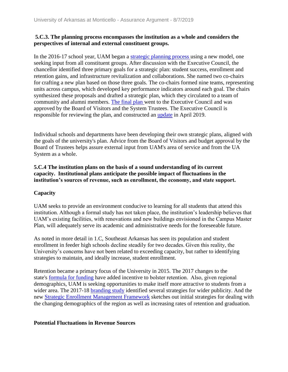#### **5.C.3. The planning process encompasses the institution as a whole and considers the perspectives of internal and external constituent groups.**

In the 2016-17 school year, UAM began a strategic planning process using a new model, one seeking input from all constituent groups. After discussion with the Executive Council, the chancellor identified three primary goals for a strategic plan: student success, enrollment and retention gains, and infrastructure revitalization and collaborations. She named two co-chairs for crafting a new plan based on those three goals. The co-chairs formed nine teams, representing units across campus, which developed key performance indicators around each goal. The chairs synthesized these proposals and drafted a strategic plan, which they circulated to a team of community and alumni members. The final plan went to the Executive Council and was approved by the Board of Visitors and the System Trustees. The Executive Council is responsible for reviewing the plan, and constructed an update in April 2019.

Individual schools and departments have been developing their own strategic plans, aligned with the goals of the university's plan. Advice from the Board of Visitors and budget approval by the Board of Trustees helps assure external input from UAM's area of service and from the UA System as a whole.

#### **5.C.4 The institution plans on the basis of a sound understanding of its current capacity. Institutional plans anticipate the possible impact of fluctuations in the institution's sources of revenue, such as enrollment, the economy, and state support.**

#### **Capacity**

UAM seeks to provide an environment conducive to learning for all students that attend this institution. Although a formal study has not taken place, the institution's leadership believes that UAM's existing facilities, with renovations and new buildings envisioned in the Campus Master Plan, will adequately serve its academic and administrative needs for the foreseeable future.

As noted in more detail in 1.C, Southeast Arkansas has seen its population and student enrollment in feeder high schools decline steadily for two decades. Given this reality, the University's concerns have not been related to exceeding capacity, but rather to identifying strategies to maintain, and ideally increase, student enrollment.

Retention became a primary focus of the University in 2015. The 2017 changes to the state's formula for funding have added incentive to bolster retention.  Also, given regional demographics, UAM is seeking opportunities to make itself more attractive to students from a wider area. The 2017-18 branding study identified several strategies for wider publicity. And the new Strategic Enrollment Management Framework sketches out initial strategies for dealing with the changing demographics of the region as well as increasing rates of retention and graduation.

#### **Potential Fluctuations in Revenue Sources**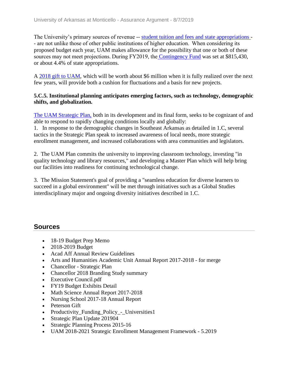The University's primary sources of revenue -- student tuition and fees and state appropriations - - are not unlike those of other public institutions of higher education.  When considering its proposed budget each year, UAM makes allowance for the possibility that one or both of these sources may not meet projections. During FY2019, the Contingency Fund was set at \$815,430, or about 4.4% of state appropriations.

A 2018 gift to UAM, which will be worth about \$6 million when it is fully realized over the next few years, will provide both a cushion for fluctuations and a basis for new projects.

#### **5.C.5. Institutional planning anticipates emerging factors, such as technology, demographic shifts, and globalization.**

The UAM Strategic Plan, both in its development and its final form, seeks to be cognizant of and able to respond to rapidly changing conditions locally and globally:

1. In response to the demographic changes in Southeast Arkansas as detailed in 1.C, several tactics in the Strategic Plan speak to increased awareness of local needs, more strategic enrollment management, and increased collaborations with area communities and legislators.

2. The UAM Plan commits the university to improving classroom technology, investing "in quality technology and library resources," and developing a Master Plan which will help bring our facilities into readiness for continuing technological change.

3. The Mission Statement's goal of providing a "seamless education for diverse learners to succeed in a global environment" will be met through initiatives such as a Global Studies interdisciplinary major and ongoing diversity initiatives described in 1.C.

## **Sources**

- 18-19 Budget Prep Memo
- 2018-2019 Budget
- Acad Aff Annual Review Guidelines
- Arts and Humanities Academic Unit Annual Report 2017-2018 for merge
- Chancellor Strategic Plan
- Chancellor 2018 Branding Study summary
- Executive Council.pdf
- FY19 Budget Exhibits Detail
- Math Science Annual Report 2017-2018
- Nursing School 2017-18 Annual Report
- Peterson Gift
- Productivity Funding Policy Universities1
- Strategic Plan Update 201904
- Strategic Planning Process 2015-16
- UAM 2018-2021 Strategic Enrollment Management Framework 5.2019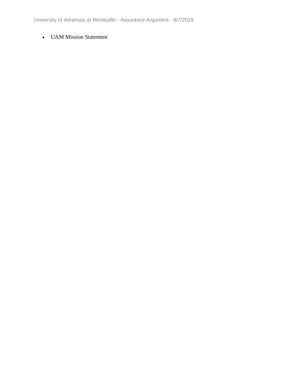University of Arkansas at Monticello - Assurance Argument - 8/7/2019

#### UAM Mission Statement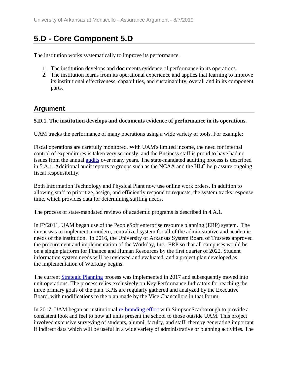## **5.D - Core Component 5.D**

The institution works systematically to improve its performance.

- 1. The institution develops and documents evidence of performance in its operations.
- 2. The institution learns from its operational experience and applies that learning to improve its institutional effectiveness, capabilities, and sustainability, overall and in its component parts.

### **Argument**

#### **5.D.1. The institution develops and documents evidence of performance in its operations.**

UAM tracks the performance of many operations using a wide variety of tools. For example:

Fiscal operations are carefully monitored. With UAM's limited income, the need for internal control of expenditures is taken very seriously, and the Business staff is proud to have had no issues from the annual audits over many years. The state-mandated auditing process is described in 5.A.1. Additional audit reports to groups such as the NCAA and the HLC help assure ongoing fiscal responsibility.

Both Information Technology and Physical Plant now use online work orders. In addition to allowing staff to prioritize, assign, and efficiently respond to requests, the system tracks response time, which provides data for determining staffing needs.

The process of state-mandated reviews of academic programs is described in 4.A.1.

In FY2011, UAM began use of the PeopleSoft enterprise resource planning (ERP) system. The intent was to implement a modern, centralized system for all of the administrative and academic needs of the institution. In 2016, the University of Arkansas System Board of Trustees approved the procurement and implementation of the Workday, Inc., ERP so that all campuses would be on a single platform for Finance and Human Resources by the first quarter of 2022. Student information system needs will be reviewed and evaluated, and a project plan developed as the implementation of Workday begins.

The current Strategic Planning process was implemented in 2017 and subsequently moved into unit operations. The process relies exclusively on Key Performance Indicators for reaching the three primary goals of the plan. KPIs are regularly gathered and analyzed by the Executive Board, with modifications to the plan made by the Vice Chancellors in that forum.

In 2017, UAM began an institutional re-branding effort with SimpsonScarborough to provide a consistent look and feel to how all units present the school to those outside UAM. This project involved extensive surveying of students, alumni, faculty, and staff, thereby generating important if indirect data which will be useful in a wide variety of administrative or planning activities. The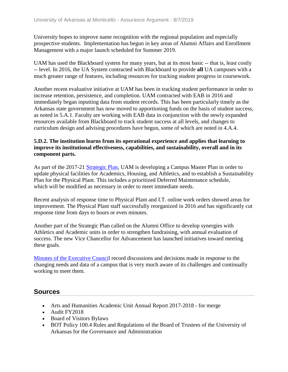University hopes to improve name recognition with the regional population and especially prospective students. Implementation has begun in key areas of Alumni Affairs and Enrollment Management with a major launch scheduled for Summer 2019.

UAM has used the Blackboard system for many years, but at its most basic -- that is, least costly -- level. In 2016, the UA System contracted with Blackboard to provide **all** UA campuses with a much greater range of features, including resources for tracking student progress in coursework.

Another recent evaluative initiative at UAM has been in tracking student performance in order to increase retention, persistence, and completion. UAM contracted with EAB in 2016 and immediately began inputting data from student records. This has been particularly timely as the Arkansas state government has now moved to apportioning funds on the basis of student success, as noted in 5.A.1. Faculty are working with EAB data in conjunction with the newly expanded resources available from Blackboard to track student success at all levels, and changes to curriculum design and advising procedures have begun, some of which are noted in 4.A.4.

#### **5.D.2. The institution learns from its operational experience and applies that learning to improve its institutional effectiveness, capabilities, and sustainability, overall and in its component parts.**

As part of the 2017-21 Strategic Plan, UAM is developing a Campus Master Plan in order to update physical facilities for Academics, Housing, and Athletics, and to establish a Sustainability Plan for the Physical Plant. This includes a prioritized Deferred Maintenance schedule, which will be modified as necessary in order to meet immediate needs.

Recent analysis of response time to Physical Plant and I.T. online work orders showed areas for improvement. The Physical Plant staff successfully reorganized in 2016 and has significantly cut response time from days to hours or even minutes.

Another part of the Strategic Plan called on the Alumni Office to develop synergies with Athletics and Academic units in order to strengthen fundraising, with annual evaluation of success. The new Vice Chancellor for Advancement has launched initiatives toward meeting these goals.

Minutes of the Executive Council record discussions and decisions made in response to the changing needs and data of a campus that is very much aware of its challenges and continually working to meet them.

## **Sources**

- Arts and Humanities Academic Unit Annual Report 2017-2018 for merge
- Audit FY2018
- Board of Visitors Bylaws
- BOT Policy 100.4 Rules and Regulations of the Board of Trustees of the University of Arkansas for the Governance and Administration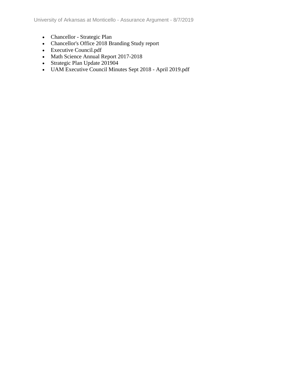University of Arkansas at Monticello - Assurance Argument - 8/7/2019

- Chancellor Strategic Plan
- Chancellor's Office 2018 Branding Study report
- Executive Council.pdf
- Math Science Annual Report 2017-2018
- Strategic Plan Update 201904
- UAM Executive Council Minutes Sept 2018 April 2019.pdf